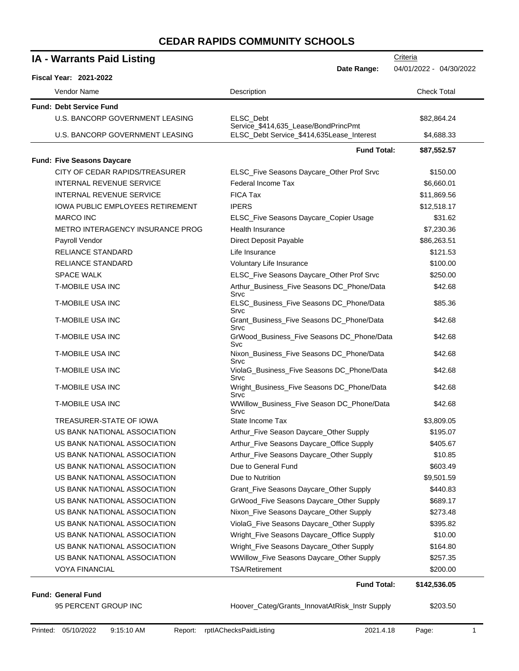| <b>IA - Warrants Paid Listing</b>                                       |                                                                                   | Criteria           |  |
|-------------------------------------------------------------------------|-----------------------------------------------------------------------------------|--------------------|--|
| Date Range:<br>04/01/2022 - 04/30/2022<br><b>Fiscal Year: 2021-2022</b> |                                                                                   |                    |  |
| Vendor Name                                                             | Description                                                                       | <b>Check Total</b> |  |
| <b>Fund: Debt Service Fund</b>                                          |                                                                                   |                    |  |
| U.S. BANCORP GOVERNMENT LEASING                                         | ELSC Debt                                                                         | \$82,864.24        |  |
| U.S. BANCORP GOVERNMENT LEASING                                         | Service_\$414,635_Lease/BondPrincPmt<br>ELSC_Debt Service_\$414,635Lease_Interest | \$4,688.33         |  |
|                                                                         | <b>Fund Total:</b>                                                                | \$87,552.57        |  |
| <b>Fund: Five Seasons Daycare</b>                                       |                                                                                   |                    |  |
| CITY OF CEDAR RAPIDS/TREASURER                                          | ELSC_Five Seasons Daycare_Other Prof Srvc                                         | \$150.00           |  |
| <b>INTERNAL REVENUE SERVICE</b>                                         | Federal Income Tax                                                                | \$6,660.01         |  |
| <b>INTERNAL REVENUE SERVICE</b>                                         | <b>FICA Tax</b>                                                                   | \$11,869.56        |  |
| <b>IOWA PUBLIC EMPLOYEES RETIREMENT</b>                                 | <b>IPERS</b>                                                                      | \$12,518.17        |  |
| <b>MARCO INC</b>                                                        | ELSC_Five Seasons Daycare_Copier Usage                                            | \$31.62            |  |
| METRO INTERAGENCY INSURANCE PROG                                        | Health Insurance                                                                  | \$7,230.36         |  |
| Payroll Vendor                                                          | Direct Deposit Payable                                                            | \$86,263.51        |  |
| <b>RELIANCE STANDARD</b>                                                | Life Insurance                                                                    | \$121.53           |  |
| <b>RELIANCE STANDARD</b>                                                | Voluntary Life Insurance                                                          | \$100.00           |  |
| <b>SPACE WALK</b>                                                       | ELSC_Five Seasons Daycare_Other Prof Srvc                                         | \$250.00           |  |
| T-MOBILE USA INC                                                        | Arthur_Business_Five Seasons DC_Phone/Data<br>Srvc                                | \$42.68            |  |
| <b>T-MOBILE USA INC</b>                                                 | ELSC_Business_Five Seasons DC_Phone/Data<br>Srvc                                  | \$85.36            |  |
| <b>T-MOBILE USA INC</b>                                                 | Grant_Business_Five Seasons DC_Phone/Data<br>Srvc                                 | \$42.68            |  |
| <b>T-MOBILE USA INC</b>                                                 | GrWood_Business_Five Seasons DC_Phone/Data<br>Svc                                 | \$42.68            |  |
| <b>T-MOBILE USA INC</b>                                                 | Nixon_Business_Five Seasons DC_Phone/Data<br>Srvc                                 | \$42.68            |  |
| T-MOBILE USA INC                                                        | ViolaG_Business_Five Seasons DC_Phone/Data<br>Srvc                                | \$42.68            |  |
| <b>T-MOBILE USA INC</b>                                                 | Wright_Business_Five Seasons DC_Phone/Data<br>Srvc                                | \$42.68            |  |
| T-MOBILE USA INC                                                        | WWillow_Business_Five Season DC_Phone/Data<br>Srvc                                | \$42.68            |  |
| TREASURER-STATE OF IOWA                                                 | State Income Tax                                                                  | \$3,809.05         |  |
| US BANK NATIONAL ASSOCIATION                                            | Arthur_Five Season Daycare_Other Supply                                           | \$195.07           |  |
| US BANK NATIONAL ASSOCIATION                                            | Arthur_Five Seasons Daycare_Office Supply                                         | \$405.67           |  |
| US BANK NATIONAL ASSOCIATION                                            | Arthur_Five Seasons Daycare_Other Supply                                          | \$10.85            |  |
| US BANK NATIONAL ASSOCIATION                                            | Due to General Fund                                                               | \$603.49           |  |
| US BANK NATIONAL ASSOCIATION                                            | Due to Nutrition                                                                  | \$9,501.59         |  |
| US BANK NATIONAL ASSOCIATION                                            | Grant_Five Seasons Daycare_Other Supply                                           | \$440.83           |  |
| US BANK NATIONAL ASSOCIATION                                            | GrWood_Five Seasons Daycare_Other Supply                                          | \$689.17           |  |
| US BANK NATIONAL ASSOCIATION                                            | Nixon_Five Seasons Daycare_Other Supply                                           | \$273.48           |  |
| US BANK NATIONAL ASSOCIATION                                            | ViolaG_Five Seasons Daycare_Other Supply                                          | \$395.82           |  |
| US BANK NATIONAL ASSOCIATION                                            | Wright_Five Seasons Daycare_Office Supply                                         | \$10.00            |  |
| US BANK NATIONAL ASSOCIATION                                            | Wright_Five Seasons Daycare_Other Supply                                          | \$164.80           |  |
| US BANK NATIONAL ASSOCIATION                                            | WWillow_Five Seasons Daycare_Other Supply                                         | \$257.35           |  |
| <b>VOYA FINANCIAL</b>                                                   | <b>TSA/Retirement</b>                                                             | \$200.00           |  |
|                                                                         | <b>Fund Total:</b>                                                                | \$142,536.05       |  |

95 PERCENT GROUP INC **Hoover\_Categ/Grants\_InnovatAtRisk\_Instr Supply** \$203.50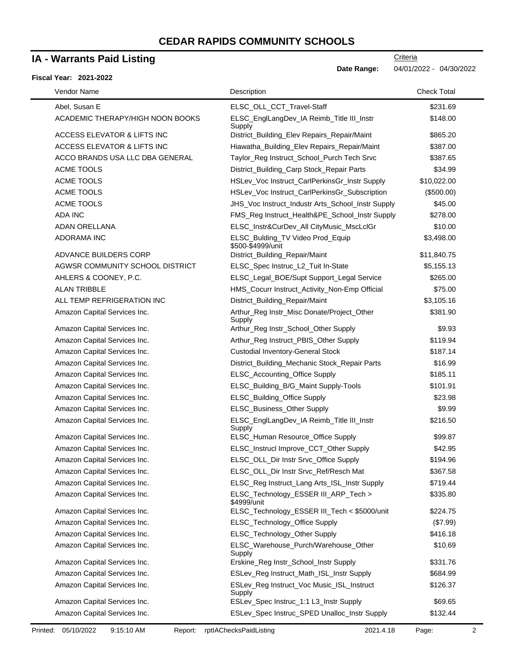### **IA - Warrants Paid Listing**

#### **Fiscal Year: 2021-2022**

| Vendor Name                      | Description                                           | <b>Check Total</b> |
|----------------------------------|-------------------------------------------------------|--------------------|
| Abel, Susan E                    | ELSC_OLL_CCT_Travel-Staff                             | \$231.69           |
| ACADEMIC THERAPY/HIGH NOON BOOKS | ELSC_EnglLangDev_IA Reimb_Title III_Instr<br>Supply   | \$148.00           |
| ACCESS ELEVATOR & LIFTS INC      | District_Building_Elev Repairs_Repair/Maint           | \$865.20           |
| ACCESS ELEVATOR & LIFTS INC      | Hiawatha_Building_Elev Repairs_Repair/Maint           | \$387.00           |
| ACCO BRANDS USA LLC DBA GENERAL  | Taylor_Reg Instruct_School_Purch Tech Srvc            | \$387.65           |
| ACME TOOLS                       | District_Building_Carp Stock_Repair Parts             | \$34.99            |
| ACME TOOLS                       | HSLev_Voc Instruct_CarlPerkinsGr_Instr Supply         | \$10,022.00        |
| ACME TOOLS                       | HSLev_Voc Instruct_CarlPerkinsGr_Subscription         | (\$500.00)         |
| ACME TOOLS                       | JHS_Voc Instruct_Industr Arts_School_Instr Supply     | \$45.00            |
| ADA INC                          | FMS_Reg Instruct_Health&PE_School_Instr Supply        | \$278.00           |
| ADAN ORELLANA                    | ELSC_Instr&CurDev_All CityMusic_MscLclGr              | \$10.00            |
| <b>ADORAMA INC</b>               | ELSC_Bulding_TV Video Prod_Equip<br>\$500-\$4999/unit | \$3,498.00         |
| ADVANCE BUILDERS CORP            | District_Building_Repair/Maint                        | \$11,840.75        |
| AGWSR COMMUNITY SCHOOL DISTRICT  | ELSC_Spec Instruc_L2_Tuit In-State                    | \$5,155.13         |
| AHLERS & COONEY, P.C.            | ELSC_Legal_BOE/Supt Support_Legal Service             | \$265.00           |
| <b>ALAN TRIBBLE</b>              | HMS_Cocurr Instruct_Activity_Non-Emp Official         | \$75.00            |
| ALL TEMP REFRIGERATION INC       | District_Building_Repair/Maint                        | \$3,105.16         |
| Amazon Capital Services Inc.     | Arthur_Reg Instr_Misc Donate/Project_Other<br>Supply  | \$381.90           |
| Amazon Capital Services Inc.     | Arthur_Reg Instr_School_Other Supply                  | \$9.93             |
| Amazon Capital Services Inc.     | Arthur_Reg Instruct_PBIS_Other Supply                 | \$119.94           |
| Amazon Capital Services Inc.     | <b>Custodial Inventory-General Stock</b>              | \$187.14           |
| Amazon Capital Services Inc.     | District_Building_Mechanic Stock_Repair Parts         | \$16.99            |
| Amazon Capital Services Inc.     | ELSC_Accounting_Office Supply                         | \$185.11           |
| Amazon Capital Services Inc.     | ELSC_Building_B/G_Maint Supply-Tools                  | \$101.91           |
| Amazon Capital Services Inc.     | ELSC_Building_Office Supply                           | \$23.98            |
| Amazon Capital Services Inc.     | ELSC_Business_Other Supply                            | \$9.99             |
| Amazon Capital Services Inc.     | ELSC_EnglLangDev_IA Reimb_Title III_Instr<br>Supply   | \$216.50           |
| Amazon Capital Services Inc.     | ELSC_Human Resource_Office Supply                     | \$99.87            |
| Amazon Capital Services Inc.     | ELSC_Instrucl Improve_CCT_Other Supply                | \$42.95            |
| Amazon Capital Services Inc.     | ELSC_OLL_Dir Instr Srvc_Office Supply                 | \$194.96           |
| Amazon Capital Services Inc.     | ELSC_OLL_Dir Instr Srvc_Ref/Resch Mat                 | \$367.58           |
| Amazon Capital Services Inc.     | ELSC_Reg Instruct_Lang Arts_ISL_Instr Supply          | \$719.44           |
| Amazon Capital Services Inc.     | ELSC_Technology_ESSER III_ARP_Tech ><br>\$4999/unit   | \$335.80           |
| Amazon Capital Services Inc.     | ELSC_Technology_ESSER III_Tech < \$5000/unit          | \$224.75           |
| Amazon Capital Services Inc.     | ELSC_Technology_Office Supply                         | (\$7.99)           |
| Amazon Capital Services Inc.     | ELSC_Technology_Other Supply                          | \$416.18           |
| Amazon Capital Services Inc.     | ELSC_Warehouse_Purch/Warehouse_Other<br>Supply        | \$10.69            |
| Amazon Capital Services Inc.     | Erskine_Reg Instr_School_Instr Supply                 | \$331.76           |
| Amazon Capital Services Inc.     | ESLev_Reg Instruct_Math_ISL_Instr Supply              | \$684.99           |
| Amazon Capital Services Inc.     | ESLev_Reg Instruct_Voc Music_ISL_Instruct<br>Supply   | \$126.37           |
| Amazon Capital Services Inc.     | ESLev_Spec Instruc_1:1 L3_Instr Supply                | \$69.65            |
| Amazon Capital Services Inc.     | ESLev_Spec Instruc_SPED Unalloc_Instr Supply          | \$132.44           |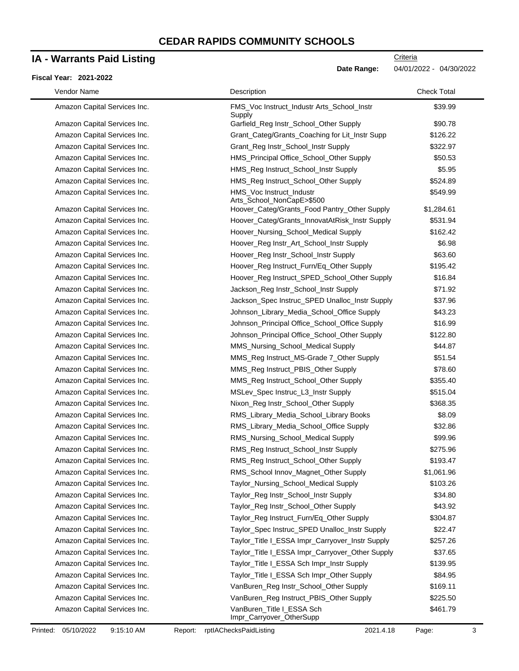### **IA - Warrants Paid Listing**

#### **Fiscal Year: 2021-2022**

**Criteria** 

**Date Range:** 04/01/2022 - 04/30/2022

| Vendor Name                  | Description                                           | <b>Check Total</b> |
|------------------------------|-------------------------------------------------------|--------------------|
| Amazon Capital Services Inc. | FMS_Voc Instruct_Industr Arts_School_Instr<br>Supply  | \$39.99            |
| Amazon Capital Services Inc. | Garfield_Reg Instr_School_Other Supply                | \$90.78            |
| Amazon Capital Services Inc. | Grant_Categ/Grants_Coaching for Lit_Instr Supp        | \$126.22           |
| Amazon Capital Services Inc. | Grant_Reg Instr_School_Instr Supply                   | \$322.97           |
| Amazon Capital Services Inc. | HMS_Principal Office_School_Other Supply              | \$50.53            |
| Amazon Capital Services Inc. | HMS_Reg Instruct_School_Instr Supply                  | \$5.95             |
| Amazon Capital Services Inc. | HMS_Reg Instruct_School_Other Supply                  | \$524.89           |
| Amazon Capital Services Inc. | HMS_Voc Instruct_Industr<br>Arts_School_NonCapE>\$500 | \$549.99           |
| Amazon Capital Services Inc. | Hoover_Categ/Grants_Food Pantry_Other Supply          | \$1,284.61         |
| Amazon Capital Services Inc. | Hoover_Categ/Grants_InnovatAtRisk_Instr Supply        | \$531.94           |
| Amazon Capital Services Inc. | Hoover_Nursing_School_Medical Supply                  | \$162.42           |
| Amazon Capital Services Inc. | Hoover_Reg Instr_Art_School_Instr Supply              | \$6.98             |
| Amazon Capital Services Inc. | Hoover_Reg Instr_School_Instr Supply                  | \$63.60            |
| Amazon Capital Services Inc. | Hoover_Reg Instruct_Furn/Eq_Other Supply              | \$195.42           |
| Amazon Capital Services Inc. | Hoover_Reg Instruct_SPED_School_Other Supply          | \$16.84            |
| Amazon Capital Services Inc. | Jackson_Reg Instr_School_Instr Supply                 | \$71.92            |
| Amazon Capital Services Inc. | Jackson_Spec Instruc_SPED Unalloc_Instr Supply        | \$37.96            |
| Amazon Capital Services Inc. | Johnson_Library_Media_School_Office Supply            | \$43.23            |
| Amazon Capital Services Inc. | Johnson_Principal Office_School_Office Supply         | \$16.99            |
| Amazon Capital Services Inc. | Johnson_Principal Office_School_Other Supply          | \$122.80           |
| Amazon Capital Services Inc. | MMS_Nursing_School_Medical Supply                     | \$44.87            |
| Amazon Capital Services Inc. | MMS_Reg Instruct_MS-Grade 7_Other Supply              | \$51.54            |
| Amazon Capital Services Inc. | MMS_Reg Instruct_PBIS_Other Supply                    | \$78.60            |
| Amazon Capital Services Inc. | MMS_Reg Instruct_School_Other Supply                  | \$355.40           |
| Amazon Capital Services Inc. | MSLev_Spec Instruc_L3_Instr Supply                    | \$515.04           |
| Amazon Capital Services Inc. | Nixon_Reg Instr_School_Other Supply                   | \$368.35           |
| Amazon Capital Services Inc. | RMS_Library_Media_School_Library Books                | \$8.09             |
| Amazon Capital Services Inc. | RMS_Library_Media_School_Office Supply                | \$32.86            |
| Amazon Capital Services Inc. | RMS_Nursing_School_Medical Supply                     | \$99.96            |
| Amazon Capital Services Inc. | RMS_Reg Instruct_School_Instr Supply                  | \$275.96           |
| Amazon Capital Services Inc. | RMS_Reg Instruct_School_Other Supply                  | \$193.47           |
| Amazon Capital Services Inc. | RMS_School Innov_Magnet_Other Supply                  | \$1,061.96         |
| Amazon Capital Services Inc. | Taylor_Nursing_School_Medical Supply                  | \$103.26           |
| Amazon Capital Services Inc. | Taylor_Reg Instr_School_Instr Supply                  | \$34.80            |
| Amazon Capital Services Inc. | Taylor_Reg Instr_School_Other Supply                  | \$43.92            |
| Amazon Capital Services Inc. | Taylor_Reg Instruct_Furn/Eq_Other Supply              | \$304.87           |
| Amazon Capital Services Inc. | Taylor_Spec Instruc_SPED Unalloc_Instr Supply         | \$22.47            |
| Amazon Capital Services Inc. | Taylor_Title I_ESSA Impr_Carryover_Instr Supply       | \$257.26           |
| Amazon Capital Services Inc. | Taylor_Title I_ESSA Impr_Carryover_Other Supply       | \$37.65            |
| Amazon Capital Services Inc. | Taylor_Title I_ESSA Sch Impr_Instr Supply             | \$139.95           |
| Amazon Capital Services Inc. | Taylor_Title I_ESSA Sch Impr_Other Supply             | \$84.95            |
| Amazon Capital Services Inc. | VanBuren_Reg Instr_School_Other Supply                | \$169.11           |
| Amazon Capital Services Inc. | VanBuren_Reg Instruct_PBIS_Other Supply               | \$225.50           |
| Amazon Capital Services Inc. | VanBuren_Title I_ESSA Sch<br>Impr_Carryover_OtherSupp | \$461.79           |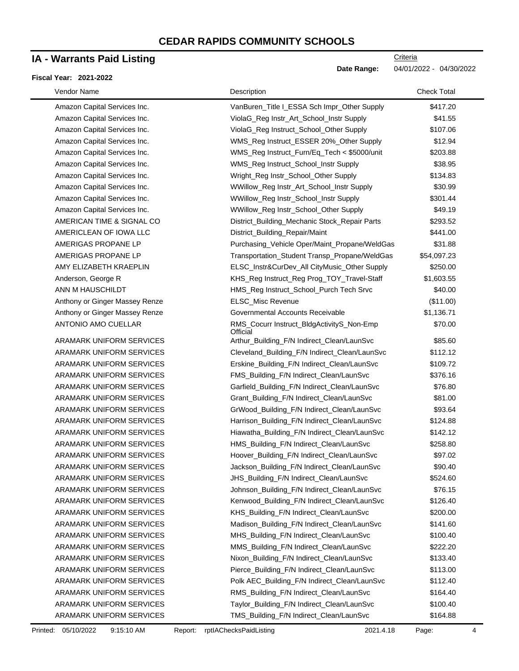# **IA - Warrants Paid Listing**

#### **Fiscal Year: 2021-2022**

 $\blacksquare$ 

| Vendor Name                     | Description                                           | <b>Check Total</b> |
|---------------------------------|-------------------------------------------------------|--------------------|
| Amazon Capital Services Inc.    | VanBuren_Title I_ESSA Sch Impr_Other Supply           | \$417.20           |
| Amazon Capital Services Inc.    | ViolaG_Reg Instr_Art_School_Instr Supply              | \$41.55            |
| Amazon Capital Services Inc.    | ViolaG_Reg Instruct_School_Other Supply               | \$107.06           |
| Amazon Capital Services Inc.    | WMS_Reg Instruct_ESSER 20%_Other Supply               | \$12.94            |
| Amazon Capital Services Inc.    | WMS_Reg Instruct_Furn/Eq_Tech < \$5000/unit           | \$203.88           |
| Amazon Capital Services Inc.    | WMS_Reg Instruct_School_Instr Supply                  | \$38.95            |
| Amazon Capital Services Inc.    | Wright_Reg Instr_School_Other Supply                  | \$134.83           |
| Amazon Capital Services Inc.    | WWillow_Reg Instr_Art_School_Instr Supply             | \$30.99            |
| Amazon Capital Services Inc.    | WWillow_Reg Instr_School_Instr Supply                 | \$301.44           |
| Amazon Capital Services Inc.    | WWillow_Reg Instr_School_Other Supply                 | \$49.19            |
| AMERICAN TIME & SIGNAL CO       | District_Building_Mechanic Stock_Repair Parts         | \$293.52           |
| AMERICLEAN OF IOWA LLC          | District_Building_Repair/Maint                        | \$441.00           |
| AMERIGAS PROPANE LP             | Purchasing_Vehicle Oper/Maint_Propane/WeldGas         | \$31.88            |
| AMERIGAS PROPANE LP             | Transportation_Student Transp_Propane/WeldGas         | \$54,097.23        |
| AMY ELIZABETH KRAEPLIN          | ELSC_Instr&CurDev_All CityMusic_Other Supply          | \$250.00           |
| Anderson, George R              | KHS_Reg Instruct_Reg Prog_TOY_Travel-Staff            | \$1,603.55         |
| ANN M HAUSCHILDT                | HMS_Reg Instruct_School_Purch Tech Srvc               | \$40.00            |
| Anthony or Ginger Massey Renze  | ELSC_Misc Revenue                                     | (\$11.00)          |
| Anthony or Ginger Massey Renze  | Governmental Accounts Receivable                      | \$1,136.71         |
| ANTONIO AMO CUELLAR             | RMS_Cocurr Instruct_BldgActivityS_Non-Emp<br>Official | \$70.00            |
| ARAMARK UNIFORM SERVICES        | Arthur_Building_F/N Indirect_Clean/LaunSvc            | \$85.60            |
| ARAMARK UNIFORM SERVICES        | Cleveland_Building_F/N Indirect_Clean/LaunSvc         | \$112.12           |
| ARAMARK UNIFORM SERVICES        | Erskine_Building_F/N Indirect_Clean/LaunSvc           | \$109.72           |
| ARAMARK UNIFORM SERVICES        | FMS_Building_F/N Indirect_Clean/LaunSvc               | \$376.16           |
| ARAMARK UNIFORM SERVICES        | Garfield_Building_F/N Indirect_Clean/LaunSvc          | \$76.80            |
| ARAMARK UNIFORM SERVICES        | Grant_Building_F/N Indirect_Clean/LaunSvc             | \$81.00            |
| ARAMARK UNIFORM SERVICES        | GrWood_Building_F/N Indirect_Clean/LaunSvc            | \$93.64            |
| <b>ARAMARK UNIFORM SERVICES</b> | Harrison_Building_F/N Indirect_Clean/LaunSvc          | \$124.88           |
| ARAMARK UNIFORM SERVICES        | Hiawatha_Building_F/N Indirect_Clean/LaunSvc          | \$142.12           |
| ARAMARK UNIFORM SERVICES        | HMS_Building_F/N Indirect_Clean/LaunSvc               | \$258.80           |
| ARAMARK UNIFORM SERVICES        | Hoover_Building_F/N Indirect_Clean/LaunSvc            | \$97.02            |
| <b>ARAMARK UNIFORM SERVICES</b> | Jackson_Building_F/N Indirect_Clean/LaunSvc           | \$90.40            |
| ARAMARK UNIFORM SERVICES        | JHS Building F/N Indirect Clean/LaunSvc               | \$524.60           |
| ARAMARK UNIFORM SERVICES        | Johnson_Building_F/N Indirect_Clean/LaunSvc           | \$76.15            |
| ARAMARK UNIFORM SERVICES        | Kenwood_Building_F/N Indirect_Clean/LaunSvc           | \$126.40           |
| <b>ARAMARK UNIFORM SERVICES</b> | KHS_Building_F/N Indirect_Clean/LaunSvc               | \$200.00           |
| ARAMARK UNIFORM SERVICES        | Madison_Building_F/N Indirect_Clean/LaunSvc           | \$141.60           |
| ARAMARK UNIFORM SERVICES        | MHS_Building_F/N Indirect_Clean/LaunSvc               | \$100.40           |
| ARAMARK UNIFORM SERVICES        | MMS_Building_F/N Indirect_Clean/LaunSvc               | \$222.20           |
| ARAMARK UNIFORM SERVICES        | Nixon_Building_F/N Indirect_Clean/LaunSvc             | \$133.40           |
| ARAMARK UNIFORM SERVICES        | Pierce_Building_F/N Indirect_Clean/LaunSvc            | \$113.00           |
| ARAMARK UNIFORM SERVICES        | Polk AEC_Building_F/N Indirect_Clean/LaunSvc          | \$112.40           |
| ARAMARK UNIFORM SERVICES        | RMS_Building_F/N Indirect_Clean/LaunSvc               | \$164.40           |
| ARAMARK UNIFORM SERVICES        | Taylor_Building_F/N Indirect_Clean/LaunSvc            | \$100.40           |
| ARAMARK UNIFORM SERVICES        | TMS_Building_F/N Indirect_Clean/LaunSvc               | \$164.88           |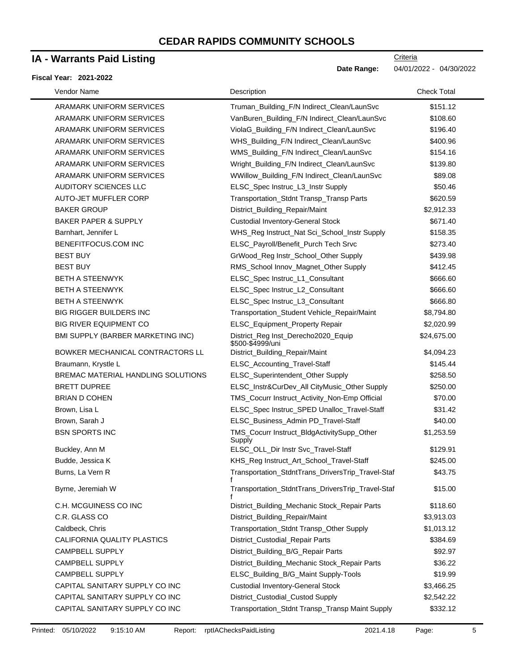### **IA - Warrants Paid Listing**

#### **Fiscal Year: 2021-2022**

| Vendor Name                        | Description                                             | <b>Check Total</b> |
|------------------------------------|---------------------------------------------------------|--------------------|
| ARAMARK UNIFORM SERVICES           | Truman_Building_F/N Indirect_Clean/LaunSvc              | \$151.12           |
| ARAMARK UNIFORM SERVICES           | VanBuren_Building_F/N Indirect_Clean/LaunSvc            | \$108.60           |
| ARAMARK UNIFORM SERVICES           | ViolaG_Building_F/N Indirect_Clean/LaunSvc              | \$196.40           |
| ARAMARK UNIFORM SERVICES           | WHS_Building_F/N Indirect_Clean/LaunSvc                 | \$400.96           |
| ARAMARK UNIFORM SERVICES           | WMS_Building_F/N Indirect_Clean/LaunSvc                 | \$154.16           |
| ARAMARK UNIFORM SERVICES           | Wright_Building_F/N Indirect_Clean/LaunSvc              | \$139.80           |
| ARAMARK UNIFORM SERVICES           | WWillow_Building_F/N Indirect_Clean/LaunSvc             | \$89.08            |
| AUDITORY SCIENCES LLC              | ELSC_Spec Instruc_L3_Instr Supply                       | \$50.46            |
| AUTO-JET MUFFLER CORP              | Transportation_Stdnt Transp_Transp Parts                | \$620.59           |
| <b>BAKER GROUP</b>                 | District_Building_Repair/Maint                          | \$2,912.33         |
| <b>BAKER PAPER &amp; SUPPLY</b>    | <b>Custodial Inventory-General Stock</b>                | \$671.40           |
| Barnhart, Jennifer L               | WHS_Reg Instruct_Nat Sci_School_Instr Supply            | \$158.35           |
| BENEFITFOCUS.COM INC               | ELSC_Payroll/Benefit_Purch Tech Srvc                    | \$273.40           |
| <b>BEST BUY</b>                    | GrWood_Reg Instr_School_Other Supply                    | \$439.98           |
| <b>BEST BUY</b>                    | RMS_School Innov_Magnet_Other Supply                    | \$412.45           |
| <b>BETH A STEENWYK</b>             | ELSC_Spec Instruc_L1_Consultant                         | \$666.60           |
| <b>BETH A STEENWYK</b>             | ELSC_Spec Instruc_L2_Consultant                         | \$666.60           |
| <b>BETH A STEENWYK</b>             | ELSC_Spec Instruc_L3_Consultant                         | \$666.80           |
| <b>BIG RIGGER BUILDERS INC</b>     | Transportation_Student Vehicle_Repair/Maint             | \$8,794.80         |
| <b>BIG RIVER EQUIPMENT CO</b>      | ELSC_Equipment_Property Repair                          | \$2,020.99         |
| BMI SUPPLY (BARBER MARKETING INC)  | District_Reg Inst_Derecho2020_Equip<br>\$500-\$4999/uni | \$24,675.00        |
| BOWKER MECHANICAL CONTRACTORS LL   | District_Building_Repair/Maint                          | \$4,094.23         |
| Braumann, Krystle L                | ELSC_Accounting_Travel-Staff                            | \$145.44           |
| BREMAC MATERIAL HANDLING SOLUTIONS | ELSC_Superintendent_Other Supply                        | \$258.50           |
| <b>BRETT DUPREE</b>                | ELSC_Instr&CurDev_All CityMusic_Other Supply            | \$250.00           |
| <b>BRIAN D COHEN</b>               | TMS_Cocurr Instruct_Activity_Non-Emp Official           | \$70.00            |
| Brown, Lisa L                      | ELSC_Spec Instruc_SPED Unalloc_Travel-Staff             | \$31.42            |
| Brown, Sarah J                     | ELSC_Business_Admin PD_Travel-Staff                     | \$40.00            |
| <b>BSN SPORTS INC</b>              | TMS_Cocurr Instruct_BldgActivitySupp_Other<br>Supply    | \$1,253.59         |
| Buckley, Ann M                     | ELSC_OLL_Dir Instr Svc_Travel-Staff                     | \$129.91           |
| Budde, Jessica K                   | KHS_Reg Instruct_Art_School_Travel-Staff                | \$245.00           |
| Burns, La Vern R                   | Transportation_StdntTrans_DriversTrip_Travel-Staf       | \$43.75            |
| Byrne, Jeremiah W                  | Transportation_StdntTrans_DriversTrip_Travel-Staf       | \$15.00            |
| C.H. MCGUINESS CO INC              | District_Building_Mechanic Stock_Repair Parts           | \$118.60           |
| C.R. GLASS CO                      | District_Building_Repair/Maint                          | \$3,913.03         |
| Caldbeck, Chris                    | Transportation_Stdnt Transp_Other Supply                | \$1,013.12         |
| CALIFORNIA QUALITY PLASTICS        | District_Custodial_Repair Parts                         | \$384.69           |
| <b>CAMPBELL SUPPLY</b>             | District_Building_B/G_Repair Parts                      | \$92.97            |
| CAMPBELL SUPPLY                    | District_Building_Mechanic Stock_Repair Parts           | \$36.22            |
| CAMPBELL SUPPLY                    | ELSC_Building_B/G_Maint Supply-Tools                    | \$19.99            |
| CAPITAL SANITARY SUPPLY CO INC     | <b>Custodial Inventory-General Stock</b>                | \$3,466.25         |
| CAPITAL SANITARY SUPPLY CO INC     | District_Custodial_Custod Supply                        | \$2,542.22         |
| CAPITAL SANITARY SUPPLY CO INC     | Transportation_Stdnt Transp_Transp Maint Supply         | \$332.12           |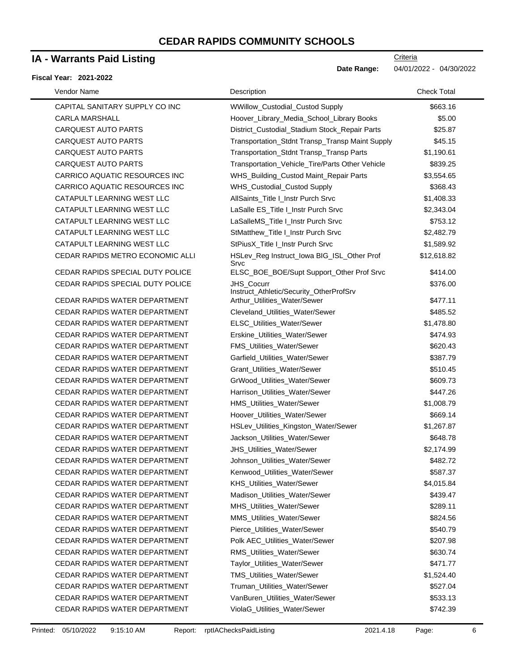## **IA - Warrants Paid Listing**

#### **Fiscal Year: 2021-2022**

| Vendor Name                      | Description                                                  | <b>Check Total</b> |
|----------------------------------|--------------------------------------------------------------|--------------------|
| CAPITAL SANITARY SUPPLY CO INC   | WWillow_Custodial_Custod Supply                              | \$663.16           |
| <b>CARLA MARSHALL</b>            | Hoover_Library_Media_School_Library Books                    | \$5.00             |
| <b>CARQUEST AUTO PARTS</b>       | District_Custodial_Stadium Stock_Repair Parts                | \$25.87            |
| <b>CARQUEST AUTO PARTS</b>       | Transportation_Stdnt Transp_Transp Maint Supply              | \$45.15            |
| <b>CARQUEST AUTO PARTS</b>       | Transportation_Stdnt Transp_Transp Parts                     | \$1,190.61         |
| <b>CARQUEST AUTO PARTS</b>       | Transportation_Vehicle_Tire/Parts Other Vehicle              | \$839.25           |
| CARRICO AQUATIC RESOURCES INC    | WHS_Building_Custod Maint_Repair Parts                       | \$3,554.65         |
| CARRICO AQUATIC RESOURCES INC    | WHS_Custodial_Custod Supply                                  | \$368.43           |
| CATAPULT LEARNING WEST LLC       | AllSaints_Title I_Instr Purch Srvc                           | \$1,408.33         |
| CATAPULT LEARNING WEST LLC       | LaSalle ES_Title I_Instr Purch Srvc                          | \$2,343.04         |
| CATAPULT LEARNING WEST LLC       | LaSalleMS_Title I_Instr Purch Srvc                           | \$753.12           |
| CATAPULT LEARNING WEST LLC       | StMatthew_Title I_Instr Purch Srvc                           | \$2,482.79         |
| CATAPULT LEARNING WEST LLC       | StPiusX_Title I_Instr Purch Srvc                             | \$1,589.92         |
| CEDAR RAPIDS METRO ECONOMIC ALLI | HSLev_Reg Instruct_lowa BIG_ISL_Other Prof<br>Srvc           | \$12,618.82        |
| CEDAR RAPIDS SPECIAL DUTY POLICE | ELSC_BOE_BOE/Supt Support_Other Prof Srvc                    | \$414.00           |
| CEDAR RAPIDS SPECIAL DUTY POLICE | <b>JHS Cocurr</b><br>Instruct_Athletic/Security_OtherProfSrv | \$376.00           |
| CEDAR RAPIDS WATER DEPARTMENT    | Arthur_Utilities_Water/Sewer                                 | \$477.11           |
| CEDAR RAPIDS WATER DEPARTMENT    | Cleveland_Utilities_Water/Sewer                              | \$485.52           |
| CEDAR RAPIDS WATER DEPARTMENT    | ELSC_Utilities_Water/Sewer                                   | \$1,478.80         |
| CEDAR RAPIDS WATER DEPARTMENT    | Erskine_Utilities_Water/Sewer                                | \$474.93           |
| CEDAR RAPIDS WATER DEPARTMENT    | <b>FMS_Utilities_Water/Sewer</b>                             | \$620.43           |
| CEDAR RAPIDS WATER DEPARTMENT    | Garfield_Utilities_Water/Sewer                               | \$387.79           |
| CEDAR RAPIDS WATER DEPARTMENT    | Grant_Utilities_Water/Sewer                                  | \$510.45           |
| CEDAR RAPIDS WATER DEPARTMENT    | GrWood_Utilities_Water/Sewer                                 | \$609.73           |
| CEDAR RAPIDS WATER DEPARTMENT    | Harrison_Utilities_Water/Sewer                               | \$447.26           |
| CEDAR RAPIDS WATER DEPARTMENT    | HMS_Utilities_Water/Sewer                                    | \$1,008.79         |
| CEDAR RAPIDS WATER DEPARTMENT    | Hoover_Utilities_Water/Sewer                                 | \$669.14           |
| CEDAR RAPIDS WATER DEPARTMENT    | HSLev_Utilities_Kingston_Water/Sewer                         | \$1,267.87         |
| CEDAR RAPIDS WATER DEPARTMENT    | Jackson_Utilities_Water/Sewer                                | \$648.78           |
| CEDAR RAPIDS WATER DEPARTMENT    | JHS_Utilities_Water/Sewer                                    | \$2,174.99         |
| CEDAR RAPIDS WATER DEPARTMENT    | Johnson_Utilities_Water/Sewer                                | \$482.72           |
| CEDAR RAPIDS WATER DEPARTMENT    | Kenwood_Utilities_Water/Sewer                                | \$587.37           |
| CEDAR RAPIDS WATER DEPARTMENT    | KHS_Utilities_Water/Sewer                                    | \$4,015.84         |
| CEDAR RAPIDS WATER DEPARTMENT    | Madison Utilities Water/Sewer                                | \$439.47           |
| CEDAR RAPIDS WATER DEPARTMENT    | MHS_Utilities_Water/Sewer                                    | \$289.11           |
| CEDAR RAPIDS WATER DEPARTMENT    | MMS_Utilities_Water/Sewer                                    | \$824.56           |
| CEDAR RAPIDS WATER DEPARTMENT    | Pierce_Utilities_Water/Sewer                                 | \$540.79           |
| CEDAR RAPIDS WATER DEPARTMENT    | Polk AEC_Utilities_Water/Sewer                               | \$207.98           |
| CEDAR RAPIDS WATER DEPARTMENT    | RMS Utilities Water/Sewer                                    | \$630.74           |
| CEDAR RAPIDS WATER DEPARTMENT    | Taylor_Utilities_Water/Sewer                                 | \$471.77           |
| CEDAR RAPIDS WATER DEPARTMENT    | TMS_Utilities_Water/Sewer                                    | \$1,524.40         |
| CEDAR RAPIDS WATER DEPARTMENT    | Truman_Utilities_Water/Sewer                                 | \$527.04           |
| CEDAR RAPIDS WATER DEPARTMENT    | VanBuren_Utilities_Water/Sewer                               | \$533.13           |
| CEDAR RAPIDS WATER DEPARTMENT    | ViolaG_Utilities_Water/Sewer                                 | \$742.39           |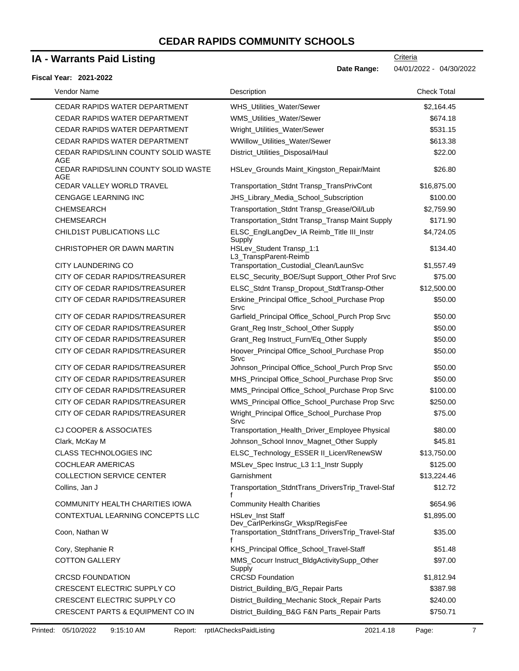# **IA - Warrants Paid Listing**

| <b>IA - Warrants Paid Listing</b>                                | Criteria                                                                             |                    |  |
|------------------------------------------------------------------|--------------------------------------------------------------------------------------|--------------------|--|
| Date Range:<br>04/01/2022 - 04/30/2022<br>Fiscal Year: 2021-2022 |                                                                                      |                    |  |
| Vendor Name                                                      | Description                                                                          | <b>Check Total</b> |  |
| CEDAR RAPIDS WATER DEPARTMENT                                    | WHS Utilities Water/Sewer                                                            | \$2,164.45         |  |
| CEDAR RAPIDS WATER DEPARTMENT                                    | WMS_Utilities_Water/Sewer                                                            | \$674.18           |  |
| CEDAR RAPIDS WATER DEPARTMENT                                    | Wright_Utilities_Water/Sewer                                                         | \$531.15           |  |
| CEDAR RAPIDS WATER DEPARTMENT                                    | WWillow_Utilities_Water/Sewer                                                        | \$613.38           |  |
| CEDAR RAPIDS/LINN COUNTY SOLID WASTE<br>AGE                      | District_Utilities_Disposal/Haul                                                     | \$22.00            |  |
| CEDAR RAPIDS/LINN COUNTY SOLID WASTE<br>AGE                      | HSLev_Grounds Maint_Kingston_Repair/Maint                                            | \$26.80            |  |
| CEDAR VALLEY WORLD TRAVEL                                        | Transportation_Stdnt Transp_TransPrivCont                                            | \$16,875.00        |  |
| <b>CENGAGE LEARNING INC</b>                                      | JHS_Library_Media_School_Subscription                                                | \$100.00           |  |
| <b>CHEMSEARCH</b>                                                | Transportation_Stdnt Transp_Grease/Oil/Lub                                           | \$2,759.90         |  |
| <b>CHEMSEARCH</b>                                                | Transportation_Stdnt Transp_Transp Maint Supply                                      | \$171.90           |  |
| <b>CHILD1ST PUBLICATIONS LLC</b>                                 | ELSC_EnglLangDev_IA Reimb_Title III_Instr<br>Supply                                  | \$4,724.05         |  |
| CHRISTOPHER OR DAWN MARTIN                                       | HSLev_Student Transp_1:1<br>L3_TranspParent-Reimb                                    | \$134.40           |  |
| CITY LAUNDERING CO                                               | Transportation_Custodial_Clean/LaunSvc                                               | \$1,557.49         |  |
| CITY OF CEDAR RAPIDS/TREASURER                                   | ELSC_Security_BOE/Supt Support_Other Prof Srvc                                       | \$75.00            |  |
| CITY OF CEDAR RAPIDS/TREASURER                                   | ELSC_Stdnt Transp_Dropout_StdtTransp-Other                                           | \$12,500.00        |  |
| CITY OF CEDAR RAPIDS/TREASURER                                   | Erskine_Principal Office_School_Purchase Prop<br>Srvc                                | \$50.00            |  |
| CITY OF CEDAR RAPIDS/TREASURER                                   | Garfield_Principal Office_School_Purch Prop Srvc                                     | \$50.00            |  |
| CITY OF CEDAR RAPIDS/TREASURER                                   | Grant_Reg Instr_School_Other Supply                                                  | \$50.00            |  |
| CITY OF CEDAR RAPIDS/TREASURER                                   | Grant_Reg Instruct_Furn/Eq_Other Supply                                              | \$50.00            |  |
| CITY OF CEDAR RAPIDS/TREASURER                                   | Hoover_Principal Office_School_Purchase Prop<br>Srvc                                 | \$50.00            |  |
| CITY OF CEDAR RAPIDS/TREASURER                                   | Johnson_Principal Office_School_Purch Prop Srvc                                      | \$50.00            |  |
| CITY OF CEDAR RAPIDS/TREASURER                                   | MHS_Principal Office_School_Purchase Prop Srvc                                       | \$50.00            |  |
| CITY OF CEDAR RAPIDS/TREASURER                                   | MMS_Principal Office_School_Purchase Prop Srvc                                       | \$100.00           |  |
| CITY OF CEDAR RAPIDS/TREASURER                                   | WMS_Principal Office_School_Purchase Prop Srvc                                       | \$250.00           |  |
| CITY OF CEDAR RAPIDS/TREASURER                                   | Wright_Principal Office_School_Purchase Prop<br>Srvc                                 | \$75.00            |  |
| <b>CJ COOPER &amp; ASSOCIATES</b>                                | Transportation Health Driver Employee Physical                                       | \$80.00            |  |
| Clark, McKay M                                                   | Johnson_School Innov_Magnet_Other Supply                                             | \$45.81            |  |
| CLASS TECHNOLOGIES INC                                           | ELSC_Technology_ESSER II_Licen/RenewSW                                               | \$13,750.00        |  |
| <b>COCHLEAR AMERICAS</b>                                         | MSLev_Spec Instruc_L3 1:1_Instr Supply                                               | \$125.00           |  |
| <b>COLLECTION SERVICE CENTER</b>                                 | Garnishment                                                                          | \$13,224.46        |  |
| Collins, Jan J                                                   | Transportation_StdntTrans_DriversTrip_Travel-Staf                                    | \$12.72            |  |
| COMMUNITY HEALTH CHARITIES IOWA                                  | <b>Community Health Charities</b>                                                    | \$654.96           |  |
| CONTEXTUAL LEARNING CONCEPTS LLC                                 | HSLev_Inst Staff                                                                     | \$1,895.00         |  |
| Coon, Nathan W                                                   | Dev_CarlPerkinsGr_Wksp/RegisFee<br>Transportation_StdntTrans_DriversTrip_Travel-Staf | \$35.00            |  |
| Cory, Stephanie R                                                | KHS_Principal Office_School_Travel-Staff                                             | \$51.48            |  |
| <b>COTTON GALLERY</b>                                            | MMS_Cocurr Instruct_BldgActivitySupp_Other                                           | \$97.00            |  |
| <b>CRCSD FOUNDATION</b>                                          | Supply<br><b>CRCSD Foundation</b>                                                    | \$1,812.94         |  |
| CRESCENT ELECTRIC SUPPLY CO                                      | District_Building_B/G_Repair Parts                                                   | \$387.98           |  |
| CRESCENT ELECTRIC SUPPLY CO                                      | District_Building_Mechanic Stock_Repair Parts                                        | \$240.00           |  |
| CRESCENT PARTS & EQUIPMENT CO IN                                 | District_Building_B&G F&N Parts_Repair Parts                                         | \$750.71           |  |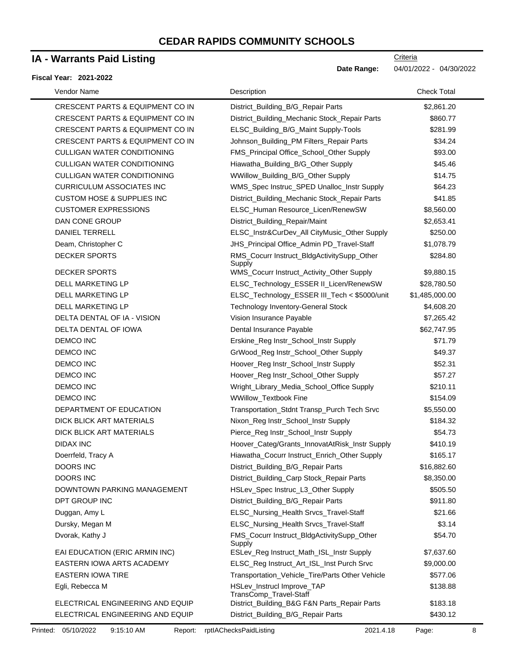### **IA - Warrants Paid Listing**

#### **Fiscal Year: 2021-2022**

| Vendor Name                                 | Description                                          | <b>Check Total</b> |
|---------------------------------------------|------------------------------------------------------|--------------------|
| <b>CRESCENT PARTS &amp; EQUIPMENT CO IN</b> | District_Building_B/G_Repair Parts                   | \$2,861.20         |
| CRESCENT PARTS & EQUIPMENT CO IN            | District_Building_Mechanic Stock_Repair Parts        | \$860.77           |
| <b>CRESCENT PARTS &amp; EQUIPMENT CO IN</b> | ELSC_Building_B/G_Maint Supply-Tools                 | \$281.99           |
| CRESCENT PARTS & EQUIPMENT CO IN            | Johnson_Building_PM Filters_Repair Parts             | \$34.24            |
| <b>CULLIGAN WATER CONDITIONING</b>          | FMS_Principal Office_School_Other Supply             | \$93.00            |
| <b>CULLIGAN WATER CONDITIONING</b>          | Hiawatha_Building_B/G_Other Supply                   | \$45.46            |
| <b>CULLIGAN WATER CONDITIONING</b>          | WWillow_Building_B/G_Other Supply                    | \$14.75            |
| <b>CURRICULUM ASSOCIATES INC</b>            | WMS_Spec Instruc_SPED Unalloc_Instr Supply           | \$64.23            |
| <b>CUSTOM HOSE &amp; SUPPLIES INC</b>       | District_Building_Mechanic Stock_Repair Parts        | \$41.85            |
| <b>CUSTOMER EXPRESSIONS</b>                 | ELSC_Human Resource_Licen/RenewSW                    | \$8,560.00         |
| DAN CONE GROUP                              | District_Building_Repair/Maint                       | \$2,653.41         |
| <b>DANIEL TERRELL</b>                       | ELSC_Instr&CurDev_All CityMusic_Other Supply         | \$250.00           |
| Deam, Christopher C                         | JHS_Principal Office_Admin PD_Travel-Staff           | \$1,078.79         |
| <b>DECKER SPORTS</b>                        | RMS_Cocurr Instruct_BldgActivitySupp_Other<br>Supply | \$284.80           |
| <b>DECKER SPORTS</b>                        | WMS_Cocurr Instruct_Activity_Other Supply            | \$9,880.15         |
| DELL MARKETING LP                           | ELSC_Technology_ESSER II_Licen/RenewSW               | \$28,780.50        |
| <b>DELL MARKETING LP</b>                    | ELSC_Technology_ESSER III_Tech < \$5000/unit         | \$1,485,000.00     |
| DELL MARKETING LP                           | <b>Technology Inventory-General Stock</b>            | \$4,608.20         |
| DELTA DENTAL OF IA - VISION                 | Vision Insurance Payable                             | \$7,265.42         |
| DELTA DENTAL OF IOWA                        | Dental Insurance Payable                             | \$62,747.95        |
| <b>DEMCO INC</b>                            | Erskine_Reg Instr_School_Instr Supply                | \$71.79            |
| <b>DEMCO INC</b>                            | GrWood_Reg Instr_School_Other Supply                 | \$49.37            |
| <b>DEMCO INC</b>                            | Hoover_Reg Instr_School_Instr Supply                 | \$52.31            |
| <b>DEMCO INC</b>                            | Hoover_Reg Instr_School_Other Supply                 | \$57.27            |
| <b>DEMCO INC</b>                            | Wright_Library_Media_School_Office Supply            | \$210.11           |
| <b>DEMCO INC</b>                            | WWillow_Textbook Fine                                | \$154.09           |
| DEPARTMENT OF EDUCATION                     | Transportation_Stdnt Transp_Purch Tech Srvc          | \$5,550.00         |
| DICK BLICK ART MATERIALS                    | Nixon_Reg Instr_School_Instr Supply                  | \$184.32           |
| DICK BLICK ART MATERIALS                    | Pierce_Reg Instr_School_Instr Supply                 | \$54.73            |
| <b>DIDAX INC</b>                            | Hoover_Categ/Grants_InnovatAtRisk_Instr Supply       | \$410.19           |
| Doerrfeld, Tracy A                          | Hiawatha_Cocurr Instruct_Enrich_Other Supply         | \$165.17           |
| <b>DOORS INC</b>                            | District_Building_B/G_Repair Parts                   | \$16,882.60        |
| <b>DOORS INC</b>                            | District_Building_Carp Stock_Repair Parts            | \$8,350.00         |
| DOWNTOWN PARKING MANAGEMENT                 | HSLev_Spec Instruc_L3_Other Supply                   | \$505.50           |
| DPT GROUP INC                               | District_Building_B/G_Repair Parts                   | \$911.80           |
| Duggan, Amy L                               | ELSC_Nursing_Health Srvcs_Travel-Staff               | \$21.66            |
| Dursky, Megan M                             | ELSC_Nursing_Health Srvcs_Travel-Staff               | \$3.14             |
| Dvorak, Kathy J                             | FMS_Cocurr Instruct_BldgActivitySupp_Other<br>Supply | \$54.70            |
| EAI EDUCATION (ERIC ARMIN INC)              | ESLev_Reg Instruct_Math_ISL_Instr Supply             | \$7,637.60         |
| <b>EASTERN IOWA ARTS ACADEMY</b>            | ELSC_Reg Instruct_Art_ISL_Inst Purch Srvc            | \$9,000.00         |
| <b>EASTERN IOWA TIRE</b>                    | Transportation_Vehicle_Tire/Parts Other Vehicle      | \$577.06           |
| Egli, Rebecca M                             | HSLev_Instrucl Improve_TAP<br>TransComp_Travel-Staff | \$138.88           |
| ELECTRICAL ENGINEERING AND EQUIP            | District_Building_B&G F&N Parts_Repair Parts         | \$183.18           |
| ELECTRICAL ENGINEERING AND EQUIP            | District_Building_B/G_Repair Parts                   | \$430.12           |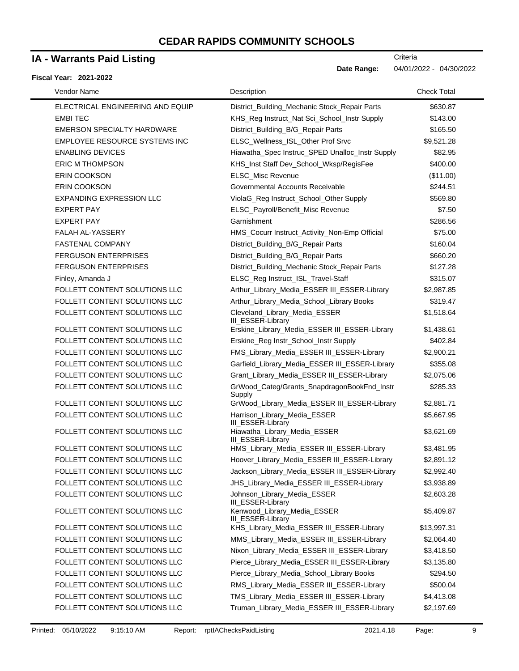## **IA - Warrants Paid Listing**

#### **Fiscal Year: 2021-2022**

| Vendor Name                      | Description                                               | <b>Check Total</b> |
|----------------------------------|-----------------------------------------------------------|--------------------|
| ELECTRICAL ENGINEERING AND EQUIP | District_Building_Mechanic Stock_Repair Parts             | \$630.87           |
| <b>EMBITEC</b>                   | KHS_Reg Instruct_Nat Sci_School_Instr Supply              | \$143.00           |
| EMERSON SPECIALTY HARDWARE       | District_Building_B/G_Repair Parts                        | \$165.50           |
| EMPLOYEE RESOURCE SYSTEMS INC    | ELSC_Wellness_ISL_Other Prof Srvc                         | \$9,521.28         |
| <b>ENABLING DEVICES</b>          | Hiawatha_Spec Instruc_SPED Unalloc_Instr Supply           | \$82.95            |
| <b>ERIC M THOMPSON</b>           | KHS_Inst Staff Dev_School_Wksp/RegisFee                   | \$400.00           |
| <b>ERIN COOKSON</b>              | ELSC_Misc Revenue                                         | (\$11.00)          |
| ERIN COOKSON                     | Governmental Accounts Receivable                          | \$244.51           |
| <b>EXPANDING EXPRESSION LLC</b>  | ViolaG_Reg Instruct_School_Other Supply                   | \$569.80           |
| <b>EXPERT PAY</b>                | ELSC_Payroll/Benefit_Misc Revenue                         | \$7.50             |
| <b>EXPERT PAY</b>                | Garnishment                                               | \$286.56           |
| FALAH AL-YASSERY                 | HMS_Cocurr Instruct_Activity_Non-Emp Official             | \$75.00            |
| <b>FASTENAL COMPANY</b>          | District_Building_B/G_Repair Parts                        | \$160.04           |
| <b>FERGUSON ENTERPRISES</b>      | District_Building_B/G_Repair Parts                        | \$660.20           |
| <b>FERGUSON ENTERPRISES</b>      | District_Building_Mechanic Stock_Repair Parts             | \$127.28           |
| Finley, Amanda J                 | ELSC_Reg Instruct_ISL_Travel-Staff                        | \$315.07           |
| FOLLETT CONTENT SOLUTIONS LLC    | Arthur_Library_Media_ESSER III_ESSER-Library              | \$2,987.85         |
| FOLLETT CONTENT SOLUTIONS LLC    | Arthur_Library_Media_School_Library Books                 | \$319.47           |
| FOLLETT CONTENT SOLUTIONS LLC    | Cleveland_Library_Media_ESSER<br><b>III ESSER-Library</b> | \$1,518.64         |
| FOLLETT CONTENT SOLUTIONS LLC    | Erskine_Library_Media_ESSER III_ESSER-Library             | \$1,438.61         |
| FOLLETT CONTENT SOLUTIONS LLC    | Erskine_Reg Instr_School_Instr Supply                     | \$402.84           |
| FOLLETT CONTENT SOLUTIONS LLC    | FMS_Library_Media_ESSER III_ESSER-Library                 | \$2,900.21         |
| FOLLETT CONTENT SOLUTIONS LLC    | Garfield_Library_Media_ESSER III_ESSER-Library            | \$355.08           |
| FOLLETT CONTENT SOLUTIONS LLC    | Grant_Library_Media_ESSER III_ESSER-Library               | \$2,075.06         |
| FOLLETT CONTENT SOLUTIONS LLC    | GrWood_Categ/Grants_SnapdragonBookFnd_Instr<br>Supply     | \$285.33           |
| FOLLETT CONTENT SOLUTIONS LLC    | GrWood_Library_Media_ESSER III_ESSER-Library              | \$2,881.71         |
| FOLLETT CONTENT SOLUTIONS LLC    | Harrison_Library_Media_ESSER<br>III_ESSER-Library         | \$5,667.95         |
| FOLLETT CONTENT SOLUTIONS LLC    | Hiawatha_Library_Media_ESSER<br>III_ESSER-Library         | \$3,621.69         |
| FOLLETT CONTENT SOLUTIONS LLC    | HMS_Library_Media_ESSER III_ESSER-Library                 | \$3,481.95         |
| FOLLETT CONTENT SOLUTIONS LLC    | Hoover_Library_Media_ESSER III_ESSER-Library              | \$2,891.12         |
| FOLLETT CONTENT SOLUTIONS LLC    | Jackson_Library_Media_ESSER III_ESSER-Library             | \$2,992.40         |
| FOLLETT CONTENT SOLUTIONS LLC    | JHS_Library_Media_ESSER III_ESSER-Library                 | \$3,938.89         |
| FOLLETT CONTENT SOLUTIONS LLC    | Johnson_Library_Media_ESSER<br>III_ESSER-Library          | \$2,603.28         |
| FOLLETT CONTENT SOLUTIONS LLC    | Kenwood_Library_Media_ESSER<br>III_ESSER-Library          | \$5,409.87         |
| FOLLETT CONTENT SOLUTIONS LLC    | KHS_Library_Media_ESSER III_ESSER-Library                 | \$13,997.31        |
| FOLLETT CONTENT SOLUTIONS LLC    | MMS_Library_Media_ESSER III_ESSER-Library                 | \$2,064.40         |
| FOLLETT CONTENT SOLUTIONS LLC    | Nixon_Library_Media_ESSER III_ESSER-Library               | \$3,418.50         |
| FOLLETT CONTENT SOLUTIONS LLC    | Pierce_Library_Media_ESSER III_ESSER-Library              | \$3,135.80         |
| FOLLETT CONTENT SOLUTIONS LLC    | Pierce_Library_Media_School_Library Books                 | \$294.50           |
| FOLLETT CONTENT SOLUTIONS LLC    | RMS_Library_Media_ESSER III_ESSER-Library                 | \$500.04           |
| FOLLETT CONTENT SOLUTIONS LLC    | TMS_Library_Media_ESSER III_ESSER-Library                 | \$4,413.08         |
| FOLLETT CONTENT SOLUTIONS LLC    | Truman_Library_Media_ESSER III_ESSER-Library              | \$2,197.69         |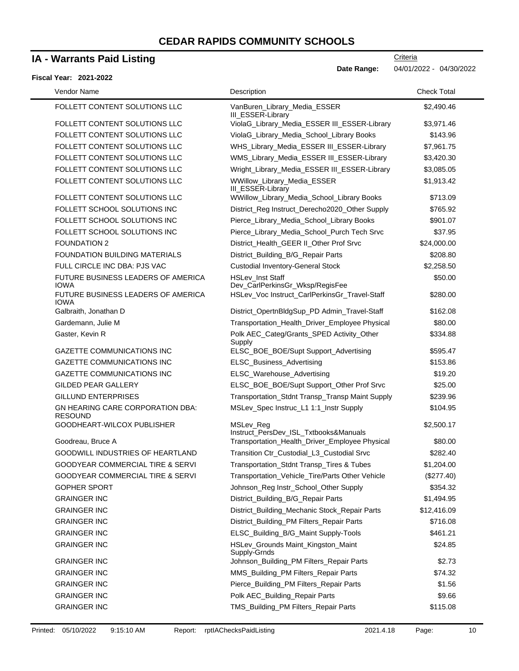## **IA - Warrants Paid Listing**

#### **Fiscal Year: 2021-2022**

| Vendor Name                                               | Description                                                | <b>Check Total</b> |  |
|-----------------------------------------------------------|------------------------------------------------------------|--------------------|--|
| FOLLETT CONTENT SOLUTIONS LLC                             | VanBuren_Library_Media_ESSER<br>III_ESSER-Library          | \$2,490.46         |  |
| FOLLETT CONTENT SOLUTIONS LLC                             | ViolaG_Library_Media_ESSER III_ESSER-Library               | \$3,971.46         |  |
| FOLLETT CONTENT SOLUTIONS LLC                             | ViolaG_Library_Media_School_Library Books                  | \$143.96           |  |
| FOLLETT CONTENT SOLUTIONS LLC                             | WHS_Library_Media_ESSER III_ESSER-Library                  | \$7,961.75         |  |
| FOLLETT CONTENT SOLUTIONS LLC                             | WMS_Library_Media_ESSER III_ESSER-Library                  | \$3,420.30         |  |
| FOLLETT CONTENT SOLUTIONS LLC                             | Wright_Library_Media_ESSER III_ESSER-Library               | \$3,085.05         |  |
| FOLLETT CONTENT SOLUTIONS LLC                             | WWillow_Library_Media_ESSER<br>III_ESSER-Library           | \$1,913.42         |  |
| FOLLETT CONTENT SOLUTIONS LLC                             | WWillow_Library_Media_School_Library Books                 | \$713.09           |  |
| FOLLETT SCHOOL SOLUTIONS INC                              | District_Reg Instruct_Derecho2020_Other Supply             | \$765.92           |  |
| FOLLETT SCHOOL SOLUTIONS INC                              | Pierce_Library_Media_School_Library Books                  | \$901.07           |  |
| FOLLETT SCHOOL SOLUTIONS INC                              | Pierce_Library_Media_School_Purch Tech Srvc                | \$37.95            |  |
| <b>FOUNDATION 2</b>                                       | District_Health_GEER II_Other Prof Srvc                    | \$24,000.00        |  |
| <b>FOUNDATION BUILDING MATERIALS</b>                      | District_Building_B/G_Repair Parts                         | \$208.80           |  |
| FULL CIRCLE INC DBA: PJS VAC                              | <b>Custodial Inventory-General Stock</b>                   | \$2,258.50         |  |
| FUTURE BUSINESS LEADERS OF AMERICA<br><b>IOWA</b>         | <b>HSLev Inst Staff</b><br>Dev_CarlPerkinsGr_Wksp/RegisFee | \$50.00            |  |
| FUTURE BUSINESS LEADERS OF AMERICA<br><b>IOWA</b>         | HSLev_Voc Instruct_CarlPerkinsGr_Travel-Staff              | \$280.00           |  |
| Galbraith, Jonathan D                                     | District_OpertnBldgSup_PD Admin_Travel-Staff               | \$162.08           |  |
| Gardemann, Julie M                                        | Transportation_Health_Driver_Employee Physical             | \$80.00            |  |
| Gaster, Kevin R                                           | Polk AEC_Categ/Grants_SPED Activity_Other<br>Supply        | \$334.88           |  |
| <b>GAZETTE COMMUNICATIONS INC</b>                         | ELSC_BOE_BOE/Supt Support_Advertising                      | \$595.47           |  |
| <b>GAZETTE COMMUNICATIONS INC</b>                         | ELSC_Business_Advertising                                  | \$153.86           |  |
| <b>GAZETTE COMMUNICATIONS INC</b>                         | ELSC_Warehouse_Advertising                                 | \$19.20            |  |
| <b>GILDED PEAR GALLERY</b>                                | ELSC_BOE_BOE/Supt Support_Other Prof Srvc                  | \$25.00            |  |
| <b>GILLUND ENTERPRISES</b>                                | Transportation_Stdnt Transp_Transp Maint Supply            | \$239.96           |  |
| <b>GN HEARING CARE CORPORATION DBA:</b><br><b>RESOUND</b> | MSLev_Spec Instruc_L1 1:1_Instr Supply                     | \$104.95           |  |
| GOODHEART-WILCOX PUBLISHER                                | MSLev Reg<br>Instruct_PersDev_ISL_Txtbooks&Manuals         | \$2,500.17         |  |
| Goodreau, Bruce A                                         | Transportation_Health_Driver_Employee Physical             | \$80.00            |  |
| <b>GOODWILL INDUSTRIES OF HEARTLAND</b>                   | Transition Ctr_Custodial_L3_Custodial Srvc                 | \$282.40           |  |
| GOODYEAR COMMERCIAL TIRE & SERVI                          | Transportation_Stdnt Transp_Tires & Tubes                  | \$1,204.00         |  |
| <b>GOODYEAR COMMERCIAL TIRE &amp; SERVI</b>               | Transportation_Vehicle_Tire/Parts Other Vehicle            | (\$277.40)         |  |
| <b>GOPHER SPORT</b>                                       | Johnson_Reg Instr_School_Other Supply                      | \$354.32           |  |
| <b>GRAINGER INC</b>                                       | District_Building_B/G_Repair Parts                         | \$1,494.95         |  |
| <b>GRAINGER INC</b>                                       | District_Building_Mechanic Stock_Repair Parts              | \$12,416.09        |  |
| <b>GRAINGER INC</b>                                       | District_Building_PM Filters_Repair Parts                  | \$716.08           |  |
| <b>GRAINGER INC</b>                                       | ELSC_Building_B/G_Maint Supply-Tools                       | \$461.21           |  |
| <b>GRAINGER INC</b>                                       | HSLev_Grounds Maint_Kingston_Maint<br>Supply-Grnds         | \$24.85            |  |
| <b>GRAINGER INC</b>                                       | Johnson_Building_PM Filters_Repair Parts                   | \$2.73             |  |
| <b>GRAINGER INC</b>                                       | MMS_Building_PM Filters_Repair Parts                       | \$74.32            |  |
| <b>GRAINGER INC</b>                                       | Pierce_Building_PM Filters_Repair Parts                    | \$1.56             |  |
| <b>GRAINGER INC</b>                                       | Polk AEC_Building_Repair Parts                             | \$9.66             |  |
| <b>GRAINGER INC</b>                                       | TMS_Building_PM Filters_Repair Parts                       | \$115.08           |  |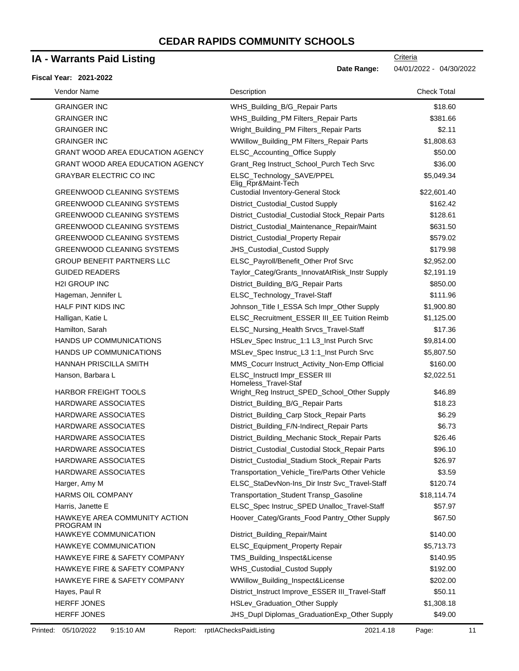### **IA - Warrants Paid Listing**

#### **Fiscal Year: 2021-2022**

| Vendor Name                                        | Description                                           | <b>Check Total</b> |
|----------------------------------------------------|-------------------------------------------------------|--------------------|
| <b>GRAINGER INC</b>                                | WHS_Building_B/G_Repair Parts                         | \$18.60            |
| <b>GRAINGER INC</b>                                | WHS_Building_PM Filters_Repair Parts                  | \$381.66           |
| <b>GRAINGER INC</b>                                | Wright_Building_PM Filters_Repair Parts               | \$2.11             |
| <b>GRAINGER INC</b>                                | WWillow_Building_PM Filters_Repair Parts              | \$1,808.63         |
| <b>GRANT WOOD AREA EDUCATION AGENCY</b>            | ELSC_Accounting_Office Supply                         | \$50.00            |
| <b>GRANT WOOD AREA EDUCATION AGENCY</b>            | Grant_Reg Instruct_School_Purch Tech Srvc             | \$36.00            |
| <b>GRAYBAR ELECTRIC CO INC</b>                     | ELSC_Technology_SAVE/PPEL<br>Elig_Rpr&Maint-Tech      | \$5,049.34         |
| <b>GREENWOOD CLEANING SYSTEMS</b>                  | <b>Custodial Inventory-General Stock</b>              | \$22,601.40        |
| <b>GREENWOOD CLEANING SYSTEMS</b>                  | District_Custodial_Custod Supply                      | \$162.42           |
| <b>GREENWOOD CLEANING SYSTEMS</b>                  | District_Custodial_Custodial Stock_Repair Parts       | \$128.61           |
| <b>GREENWOOD CLEANING SYSTEMS</b>                  | District_Custodial_Maintenance_Repair/Maint           | \$631.50           |
| <b>GREENWOOD CLEANING SYSTEMS</b>                  | District_Custodial_Property Repair                    | \$579.02           |
| <b>GREENWOOD CLEANING SYSTEMS</b>                  | JHS_Custodial_Custod Supply                           | \$179.98           |
| <b>GROUP BENEFIT PARTNERS LLC</b>                  | ELSC_Payroll/Benefit_Other Prof Srvc                  | \$2,952.00         |
| <b>GUIDED READERS</b>                              | Taylor_Categ/Grants_InnovatAtRisk_Instr Supply        | \$2,191.19         |
| <b>H2I GROUP INC</b>                               | District_Building_B/G_Repair Parts                    | \$850.00           |
| Hageman, Jennifer L                                | ELSC_Technology_Travel-Staff                          | \$111.96           |
| HALF PINT KIDS INC                                 | Johnson_Title I_ESSA Sch Impr_Other Supply            | \$1,900.80         |
| Halligan, Katie L                                  | ELSC_Recruitment_ESSER III_EE Tuition Reimb           | \$1,125.00         |
| Hamilton, Sarah                                    | ELSC_Nursing_Health Srvcs_Travel-Staff                | \$17.36            |
| HANDS UP COMMUNICATIONS                            | HSLev_Spec Instruc_1:1 L3_Inst Purch Srvc             | \$9,814.00         |
| <b>HANDS UP COMMUNICATIONS</b>                     | MSLev_Spec Instruc_L3 1:1_Inst Purch Srvc             | \$5,807.50         |
| HANNAH PRISCILLA SMITH                             | MMS_Cocurr Instruct_Activity_Non-Emp Official         | \$160.00           |
| Hanson, Barbara L                                  | ELSC_Instructl Impr_ESSER III<br>Homeless_Travel-Staf | \$2,022.51         |
| <b>HARBOR FREIGHT TOOLS</b>                        | Wright_Reg Instruct_SPED_School_Other Supply          | \$46.89            |
| HARDWARE ASSOCIATES                                | District_Building_B/G_Repair Parts                    | \$18.23            |
| HARDWARE ASSOCIATES                                | District_Building_Carp Stock_Repair Parts             | \$6.29             |
| HARDWARE ASSOCIATES                                | District_Building_F/N-Indirect_Repair Parts           | \$6.73             |
| HARDWARE ASSOCIATES                                | District_Building_Mechanic Stock_Repair Parts         | \$26.46            |
| HARDWARE ASSOCIATES                                | District_Custodial_Custodial Stock_Repair Parts       | \$96.10            |
| <b>HARDWARE ASSOCIATES</b>                         | District Custodial Stadium Stock Repair Parts         | \$26.97            |
| HARDWARE ASSOCIATES                                | Transportation_Vehicle_Tire/Parts Other Vehicle       | \$3.59             |
| Harger, Amy M                                      | ELSC_StaDevNon-Ins_Dir Instr Svc_Travel-Staff         | \$120.74           |
| HARMS OIL COMPANY                                  | Transportation_Student Transp_Gasoline                | \$18,114.74        |
| Harris, Janette E                                  | ELSC_Spec Instruc_SPED Unalloc_Travel-Staff           | \$57.97            |
| HAWKEYE AREA COMMUNITY ACTION<br><b>PROGRAM IN</b> | Hoover_Categ/Grants_Food Pantry_Other Supply          | \$67.50            |
| HAWKEYE COMMUNICATION                              | District_Building_Repair/Maint                        | \$140.00           |
| HAWKEYE COMMUNICATION                              | ELSC_Equipment_Property Repair                        | \$5,713.73         |
| HAWKEYE FIRE & SAFETY COMPANY                      | TMS_Building_Inspect&License                          | \$140.95           |
| HAWKEYE FIRE & SAFETY COMPANY                      | WHS_Custodial_Custod Supply                           | \$192.00           |
| HAWKEYE FIRE & SAFETY COMPANY                      | WWillow_Building_Inspect&License                      | \$202.00           |
| Hayes, Paul R                                      | District_Instruct Improve_ESSER III_Travel-Staff      | \$50.11            |
| HERFF JONES                                        | HSLev_Graduation_Other Supply                         | \$1,308.18         |
| <b>HERFF JONES</b>                                 | JHS_Dupl Diplomas_GraduationExp_Other Supply          | \$49.00            |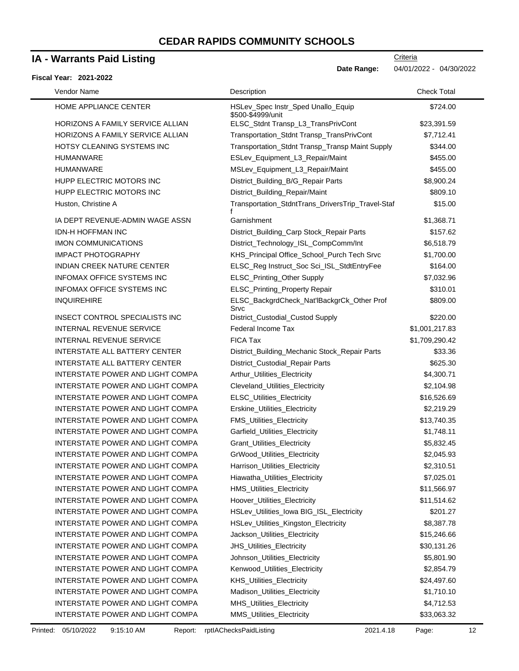### **IA - Warrants Paid Listing**

#### **Fiscal Year: 2021-2022**

-

**Date Range:** 04/01/2022 - 04/30/2022

**Criteria** 

| Vendor Name                           | Description                                             | <b>Check Total</b> |
|---------------------------------------|---------------------------------------------------------|--------------------|
| HOME APPLIANCE CENTER                 | HSLev_Spec Instr_Sped Unallo_Equip<br>\$500-\$4999/unit | \$724.00           |
| HORIZONS A FAMILY SERVICE ALLIAN      | ELSC_Stdnt Transp_L3_TransPrivCont                      | \$23,391.59        |
| HORIZONS A FAMILY SERVICE ALLIAN      | Transportation_Stdnt Transp_TransPrivCont               | \$7,712.41         |
| HOTSY CLEANING SYSTEMS INC            | Transportation_Stdnt Transp_Transp Maint Supply         | \$344.00           |
| <b>HUMANWARE</b>                      | ESLev_Equipment_L3_Repair/Maint                         | \$455.00           |
| <b>HUMANWARE</b>                      | MSLev_Equipment_L3_Repair/Maint                         | \$455.00           |
| HUPP ELECTRIC MOTORS INC              | District_Building_B/G_Repair Parts                      | \$8,900.24         |
| HUPP ELECTRIC MOTORS INC              | District_Building_Repair/Maint                          | \$809.10           |
| Huston, Christine A                   | Transportation_StdntTrans_DriversTrip_Travel-Staf       | \$15.00            |
| IA DEPT REVENUE-ADMIN WAGE ASSN       | Garnishment                                             | \$1,368.71         |
| <b>IDN-H HOFFMAN INC</b>              | District_Building_Carp Stock_Repair Parts               | \$157.62           |
| <b>IMON COMMUNICATIONS</b>            | District_Technology_ISL_CompComm/Int                    | \$6,518.79         |
| <b>IMPACT PHOTOGRAPHY</b>             | KHS_Principal Office_School_Purch Tech Srvc             | \$1,700.00         |
| <b>INDIAN CREEK NATURE CENTER</b>     | ELSC_Reg Instruct_Soc Sci_ISL_StdtEntryFee              | \$164.00           |
| <b>INFOMAX OFFICE SYSTEMS INC</b>     | ELSC_Printing_Other Supply                              | \$7,032.96         |
| <b>INFOMAX OFFICE SYSTEMS INC</b>     | ELSC_Printing_Property Repair                           | \$310.01           |
| <b>INQUIREHIRE</b>                    | ELSC_BackgrdCheck_Nat'lBackgrCk_Other Prof<br>Srvc      | \$809.00           |
| <b>INSECT CONTROL SPECIALISTS INC</b> | District_Custodial_Custod Supply                        | \$220.00           |
| <b>INTERNAL REVENUE SERVICE</b>       | Federal Income Tax                                      | \$1,001,217.83     |
| <b>INTERNAL REVENUE SERVICE</b>       | <b>FICA Tax</b>                                         | \$1,709,290.42     |
| <b>INTERSTATE ALL BATTERY CENTER</b>  | District_Building_Mechanic Stock_Repair Parts           | \$33.36            |
| <b>INTERSTATE ALL BATTERY CENTER</b>  | District_Custodial_Repair Parts                         | \$625.30           |
| INTERSTATE POWER AND LIGHT COMPA      | Arthur_Utilities_Electricity                            | \$4,300.71         |
| INTERSTATE POWER AND LIGHT COMPA      | Cleveland_Utilities_Electricity                         | \$2,104.98         |
| INTERSTATE POWER AND LIGHT COMPA      | ELSC_Utilities_Electricity                              | \$16,526.69        |
| INTERSTATE POWER AND LIGHT COMPA      | Erskine_Utilities_Electricity                           | \$2,219.29         |
| INTERSTATE POWER AND LIGHT COMPA      | FMS_Utilities_Electricity                               | \$13,740.35        |
| INTERSTATE POWER AND LIGHT COMPA      | Garfield_Utilities_Electricity                          | \$1,748.11         |
| INTERSTATE POWER AND LIGHT COMPA      | Grant_Utilities_Electricity                             | \$5,832.45         |
| INTERSTATE POWER AND LIGHT COMPA      | GrWood_Utilities_Electricity                            | \$2,045.93         |
| INTERSTATE POWER AND LIGHT COMPA      | Harrison_Utilities_Electricity                          | \$2,310.51         |
| INTERSTATE POWER AND LIGHT COMPA      | Hiawatha_Utilities_Electricity                          | \$7,025.01         |
| INTERSTATE POWER AND LIGHT COMPA      | HMS_Utilities_Electricity                               | \$11,566.97        |
| INTERSTATE POWER AND LIGHT COMPA      | Hoover_Utilities_Electricity                            | \$11,514.62        |
| INTERSTATE POWER AND LIGHT COMPA      | HSLev_Utilities_lowa BIG_ISL_Electricity                | \$201.27           |
| INTERSTATE POWER AND LIGHT COMPA      | HSLev_Utilities_Kingston_Electricity                    | \$8,387.78         |
| INTERSTATE POWER AND LIGHT COMPA      | Jackson_Utilities_Electricity                           | \$15,246.66        |
| INTERSTATE POWER AND LIGHT COMPA      | JHS_Utilities_Electricity                               | \$30,131.26        |
| INTERSTATE POWER AND LIGHT COMPA      | Johnson_Utilities_Electricity                           | \$5,801.90         |
| INTERSTATE POWER AND LIGHT COMPA      | Kenwood_Utilities_Electricity                           | \$2,854.79         |
| INTERSTATE POWER AND LIGHT COMPA      | KHS_Utilities_Electricity                               | \$24,497.60        |
| INTERSTATE POWER AND LIGHT COMPA      | Madison_Utilities_Electricity                           | \$1,710.10         |
| INTERSTATE POWER AND LIGHT COMPA      | MHS_Utilities_Electricity                               | \$4,712.53         |
| INTERSTATE POWER AND LIGHT COMPA      | MMS_Utilities_Electricity                               | \$33,063.32        |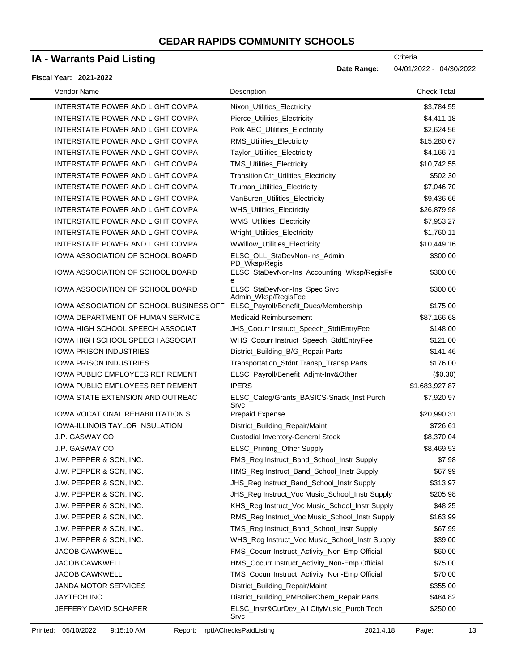### **IA - Warrants Paid Listing**

#### **Fiscal Year: 2021-2022**

| Vendor Name                             | Description                                                      | <b>Check Total</b> |
|-----------------------------------------|------------------------------------------------------------------|--------------------|
| INTERSTATE POWER AND LIGHT COMPA        | Nixon_Utilities_Electricity                                      | \$3,784.55         |
| INTERSTATE POWER AND LIGHT COMPA        | Pierce_Utilities_Electricity                                     | \$4,411.18         |
| INTERSTATE POWER AND LIGHT COMPA        | Polk AEC_Utilities_Electricity                                   | \$2,624.56         |
| INTERSTATE POWER AND LIGHT COMPA        | RMS_Utilities_Electricity                                        | \$15,280.67        |
| INTERSTATE POWER AND LIGHT COMPA        | Taylor_Utilities_Electricity                                     | \$4,166.71         |
| INTERSTATE POWER AND LIGHT COMPA        | TMS_Utilities_Electricity                                        | \$10,742.55        |
| INTERSTATE POWER AND LIGHT COMPA        | Transition Ctr_Utilities_Electricity                             | \$502.30           |
| <b>INTERSTATE POWER AND LIGHT COMPA</b> | Truman_Utilities_Electricity                                     | \$7,046.70         |
| INTERSTATE POWER AND LIGHT COMPA        | VanBuren_Utilities_Electricity                                   | \$9,436.66         |
| INTERSTATE POWER AND LIGHT COMPA        | WHS_Utilities_Electricity                                        | \$26,879.98        |
| INTERSTATE POWER AND LIGHT COMPA        | WMS_Utilities_Electricity                                        | \$7,953.27         |
| INTERSTATE POWER AND LIGHT COMPA        | Wright_Utilities_Electricity                                     | \$1,760.11         |
| INTERSTATE POWER AND LIGHT COMPA        | WWillow_Utilities_Electricity                                    | \$10,449.16        |
| IOWA ASSOCIATION OF SCHOOL BOARD        | ELSC_OLL_StaDevNon-Ins_Admin                                     | \$300.00           |
| IOWA ASSOCIATION OF SCHOOL BOARD        | PD_Wksp/Regis<br>ELSC_StaDevNon-Ins_Accounting_Wksp/RegisFe<br>e | \$300.00           |
| IOWA ASSOCIATION OF SCHOOL BOARD        | ELSC_StaDevNon-Ins_Spec Srvc<br>Admin_Wksp/RegisFee              | \$300.00           |
| IOWA ASSOCIATION OF SCHOOL BUSINESS OFF | ELSC_Payroll/Benefit_Dues/Membership                             | \$175.00           |
| <b>IOWA DEPARTMENT OF HUMAN SERVICE</b> | <b>Medicaid Reimbursement</b>                                    | \$87,166.68        |
| IOWA HIGH SCHOOL SPEECH ASSOCIAT        | JHS_Cocurr Instruct_Speech_StdtEntryFee                          | \$148.00           |
| IOWA HIGH SCHOOL SPEECH ASSOCIAT        | WHS_Cocurr Instruct_Speech_StdtEntryFee                          | \$121.00           |
| <b>IOWA PRISON INDUSTRIES</b>           | District_Building_B/G_Repair Parts                               | \$141.46           |
| <b>IOWA PRISON INDUSTRIES</b>           | Transportation_Stdnt Transp_Transp Parts                         | \$176.00           |
| IOWA PUBLIC EMPLOYEES RETIREMENT        | ELSC_Payroll/Benefit_Adjmt-Inv&Other                             | (\$0.30)           |
| <b>IOWA PUBLIC EMPLOYEES RETIREMENT</b> | <b>IPERS</b>                                                     | \$1,683,927.87     |
| IOWA STATE EXTENSION AND OUTREAC        | ELSC_Categ/Grants_BASICS-Snack_Inst Purch<br>Srvc                | \$7,920.97         |
| IOWA VOCATIONAL REHABILITATION S        | <b>Prepaid Expense</b>                                           | \$20,990.31        |
| <b>IOWA-ILLINOIS TAYLOR INSULATION</b>  | District_Building_Repair/Maint                                   | \$726.61           |
| J.P. GASWAY CO                          | <b>Custodial Inventory-General Stock</b>                         | \$8,370.04         |
| J.P. GASWAY CO                          | ELSC_Printing_Other Supply                                       | \$8,469.53         |
| J.W. PEPPER & SON. INC.                 | FMS_Reg Instruct_Band_School_Instr Supply                        | \$7.98             |
| J.W. PEPPER & SON, INC.                 | HMS_Reg Instruct_Band_School_Instr Supply                        | \$67.99            |
| J.W. PEPPER & SON, INC.                 | JHS_Reg Instruct_Band_School_Instr Supply                        | \$313.97           |
| J.W. PEPPER & SON, INC.                 | JHS_Reg Instruct_Voc Music_School_Instr Supply                   | \$205.98           |
| J.W. PEPPER & SON, INC.                 | KHS_Reg Instruct_Voc Music_School_Instr Supply                   | \$48.25            |
| J.W. PEPPER & SON, INC.                 | RMS_Reg Instruct_Voc Music_School_Instr Supply                   | \$163.99           |
| J.W. PEPPER & SON, INC.                 | TMS_Reg Instruct_Band_School_Instr Supply                        | \$67.99            |
| J.W. PEPPER & SON, INC.                 | WHS_Reg Instruct_Voc Music_School_Instr Supply                   | \$39.00            |
| <b>JACOB CAWKWELL</b>                   | FMS_Cocurr Instruct_Activity_Non-Emp Official                    | \$60.00            |
| <b>JACOB CAWKWELL</b>                   | HMS_Cocurr Instruct_Activity_Non-Emp Official                    | \$75.00            |
| <b>JACOB CAWKWELL</b>                   | TMS_Cocurr Instruct_Activity_Non-Emp Official                    | \$70.00            |
| <b>JANDA MOTOR SERVICES</b>             | District_Building_Repair/Maint                                   | \$355.00           |
| <b>JAYTECH INC</b>                      | District_Building_PMBoilerChem_Repair Parts                      | \$484.82           |
| JEFFERY DAVID SCHAFER                   | ELSC_Instr&CurDev_All CityMusic_Purch Tech<br>Srvc               | \$250.00           |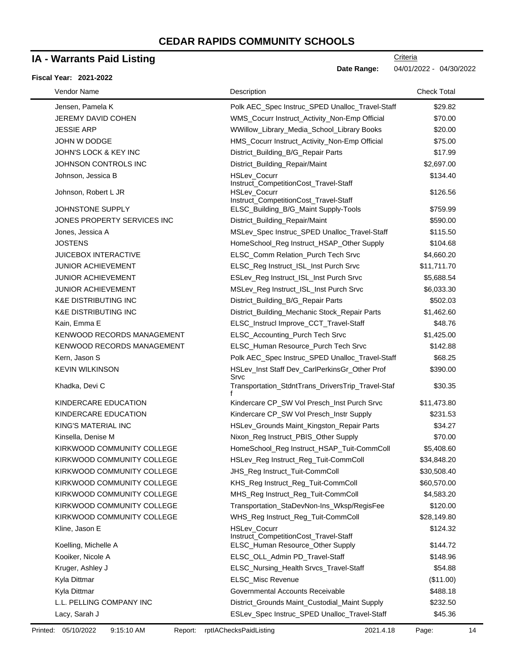## **IA - Warrants Paid Listing**

#### **Fiscal Year: 2021-2022**

**Date Range:** 04/01/2022 - 04/30/2022

**Criteria** 

| Vendor Name                     | Description                                           | <b>Check Total</b> |
|---------------------------------|-------------------------------------------------------|--------------------|
| Jensen, Pamela K                | Polk AEC_Spec Instruc_SPED Unalloc_Travel-Staff       | \$29.82            |
| JEREMY DAVID COHEN              | WMS_Cocurr Instruct_Activity_Non-Emp Official         | \$70.00            |
| <b>JESSIE ARP</b>               | WWillow_Library_Media_School_Library Books            | \$20.00            |
| <b>JOHN W DODGE</b>             | HMS_Cocurr Instruct_Activity_Non-Emp Official         | \$75.00            |
| JOHN'S LOCK & KEY INC           | District_Building_B/G_Repair Parts                    | \$17.99            |
| JOHNSON CONTROLS INC            | District_Building_Repair/Maint                        | \$2,697.00         |
| Johnson, Jessica B              | HSLev_Cocurr<br>Instruct_CompetitionCost_Travel-Staff | \$134.40           |
| Johnson, Robert L JR            | HSLev_Cocurr<br>Instruct_CompetitionCost_Travel-Staff | \$126.56           |
| JOHNSTONE SUPPLY                | ELSC_Building_B/G_Maint Supply-Tools                  | \$759.99           |
| JONES PROPERTY SERVICES INC     | District_Building_Repair/Maint                        | \$590.00           |
| Jones, Jessica A                | MSLev_Spec Instruc_SPED Unalloc_Travel-Staff          | \$115.50           |
| <b>JOSTENS</b>                  | HomeSchool_Reg Instruct_HSAP_Other Supply             | \$104.68           |
| <b>JUICEBOX INTERACTIVE</b>     | ELSC_Comm Relation_Purch Tech Srvc                    | \$4,660.20         |
| <b>JUNIOR ACHIEVEMENT</b>       | ELSC_Reg Instruct_ISL_Inst Purch Srvc                 | \$11,711.70        |
| <b>JUNIOR ACHIEVEMENT</b>       | ESLev_Reg Instruct_ISL_Inst Purch Srvc                | \$5,688.54         |
| <b>JUNIOR ACHIEVEMENT</b>       | MSLev_Reg Instruct_ISL_Inst Purch Srvc                | \$6,033.30         |
| <b>K&amp;E DISTRIBUTING INC</b> | District_Building_B/G_Repair Parts                    | \$502.03           |
| <b>K&amp;E DISTRIBUTING INC</b> | District_Building_Mechanic Stock_Repair Parts         | \$1,462.60         |
| Kain, Emma E                    | ELSC_Instrucl Improve_CCT_Travel-Staff                | \$48.76            |
| KENWOOD RECORDS MANAGEMENT      | ELSC_Accounting_Purch Tech Srvc                       | \$1,425.00         |
| KENWOOD RECORDS MANAGEMENT      | ELSC_Human Resource_Purch Tech Srvc                   | \$142.88           |
| Kern, Jason S                   | Polk AEC_Spec Instruc_SPED Unalloc_Travel-Staff       | \$68.25            |
| <b>KEVIN WILKINSON</b>          | HSLev_Inst Staff Dev_CarlPerkinsGr_Other Prof<br>Srvc | \$390.00           |
| Khadka, Devi C                  | Transportation_StdntTrans_DriversTrip_Travel-Staf     | \$30.35            |
| KINDERCARE EDUCATION            | Kindercare CP_SW Vol Presch_Inst Purch Srvc           | \$11,473.80        |
| KINDERCARE EDUCATION            | Kindercare CP_SW Vol Presch_Instr Supply              | \$231.53           |
| KING'S MATERIAL INC             | HSLev_Grounds Maint_Kingston_Repair Parts             | \$34.27            |
| Kinsella, Denise M              | Nixon_Reg Instruct_PBIS_Other Supply                  | \$70.00            |
| KIRKWOOD COMMUNITY COLLEGE      | HomeSchool_Reg Instruct_HSAP_Tuit-CommColl            | \$5,408.60         |
| KIRKWOOD COMMUNITY COLLEGE      | HSLev_Reg Instruct_Reg_Tuit-CommColl                  | \$34,848.20        |
| KIRKWOOD COMMUNITY COLLEGE      | JHS_Reg Instruct_Tuit-CommColl                        | \$30,508.40        |
| KIRKWOOD COMMUNITY COLLEGE      | KHS_Reg Instruct_Reg_Tuit-CommColl                    | \$60,570.00        |
| KIRKWOOD COMMUNITY COLLEGE      | MHS_Reg Instruct_Reg_Tuit-CommColl                    | \$4,583.20         |
| KIRKWOOD COMMUNITY COLLEGE      | Transportation_StaDevNon-Ins_Wksp/RegisFee            | \$120.00           |
| KIRKWOOD COMMUNITY COLLEGE      | WHS_Reg Instruct_Reg_Tuit-CommColl                    | \$28,149.80        |
| Kline, Jason E                  | HSLev_Cocurr<br>Instruct_CompetitionCost_Travel-Staff | \$124.32           |
| Koelling, Michelle A            | ELSC_Human Resource_Other Supply                      | \$144.72           |
| Kooiker, Nicole A               | ELSC_OLL_Admin PD_Travel-Staff                        | \$148.96           |
| Kruger, Ashley J                | ELSC_Nursing_Health Srvcs_Travel-Staff                | \$54.88            |
| Kyla Dittmar                    | ELSC_Misc Revenue                                     | (\$11.00)          |
| Kyla Dittmar                    | Governmental Accounts Receivable                      | \$488.18           |
| L.L. PELLING COMPANY INC        | District_Grounds Maint_Custodial_Maint Supply         | \$232.50           |
| Lacy, Sarah J                   | ESLev_Spec Instruc_SPED Unalloc_Travel-Staff          | \$45.36            |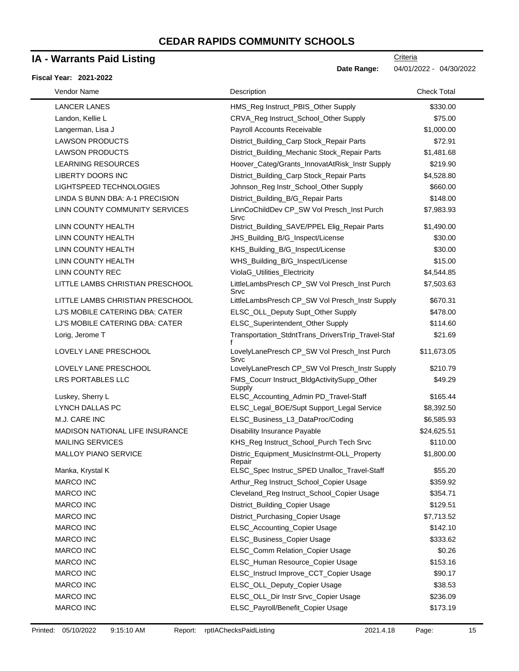## **IA - Warrants Paid Listing**

#### **Fiscal Year: 2021-2022**

**Criteria** 

**Date Range:** 04/01/2022 - 04/30/2022

| Vendor Name                      | Description                                           | <b>Check Total</b> |
|----------------------------------|-------------------------------------------------------|--------------------|
| <b>LANCER LANES</b>              | HMS_Reg Instruct_PBIS_Other Supply                    | \$330.00           |
| Landon, Kellie L                 | CRVA_Reg Instruct_School_Other Supply                 | \$75.00            |
| Langerman, Lisa J                | Payroll Accounts Receivable                           | \$1,000.00         |
| <b>LAWSON PRODUCTS</b>           | District_Building_Carp Stock_Repair Parts             | \$72.91            |
| <b>LAWSON PRODUCTS</b>           | District_Building_Mechanic Stock_Repair Parts         | \$1,481.68         |
| <b>LEARNING RESOURCES</b>        | Hoover_Categ/Grants_InnovatAtRisk_Instr Supply        | \$219.90           |
| LIBERTY DOORS INC                | District_Building_Carp Stock_Repair Parts             | \$4,528.80         |
| LIGHTSPEED TECHNOLOGIES          | Johnson_Reg Instr_School_Other Supply                 | \$660.00           |
| LINDA S BUNN DBA: A-1 PRECISION  | District_Building_B/G_Repair Parts                    | \$148.00           |
| LINN COUNTY COMMUNITY SERVICES   | LinnCoChildDev CP_SW Vol Presch_Inst Purch<br>Srvc    | \$7,983.93         |
| LINN COUNTY HEALTH               | District_Building_SAVE/PPEL Elig_Repair Parts         | \$1,490.00         |
| LINN COUNTY HEALTH               | JHS_Building_B/G_Inspect/License                      | \$30.00            |
| LINN COUNTY HEALTH               | KHS_Building_B/G_Inspect/License                      | \$30.00            |
| LINN COUNTY HEALTH               | WHS_Building_B/G_Inspect/License                      | \$15.00            |
| <b>LINN COUNTY REC</b>           | ViolaG_Utilities_Electricity                          | \$4,544.85         |
| LITTLE LAMBS CHRISTIAN PRESCHOOL | LittleLambsPresch CP_SW Vol Presch_Inst Purch<br>Srvc | \$7,503.63         |
| LITTLE LAMBS CHRISTIAN PRESCHOOL | LittleLambsPresch CP_SW Vol Presch_Instr Supply       | \$670.31           |
| LJ'S MOBILE CATERING DBA: CATER  | ELSC_OLL_Deputy Supt_Other Supply                     | \$478.00           |
| LJ'S MOBILE CATERING DBA: CATER  | ELSC_Superintendent_Other Supply                      | \$114.60           |
| Lorig, Jerome T                  | Transportation_StdntTrans_DriversTrip_Travel-Staf     | \$21.69            |
| LOVELY LANE PRESCHOOL            | LovelyLanePresch CP_SW Vol Presch_Inst Purch<br>Srvc  | \$11,673.05        |
| LOVELY LANE PRESCHOOL            | LovelyLanePresch CP_SW Vol Presch_Instr Supply        | \$210.79           |
| LRS PORTABLES LLC                | FMS_Cocurr Instruct_BldgActivitySupp_Other<br>Supply  | \$49.29            |
| Luskey, Sherry L                 | ELSC_Accounting_Admin PD_Travel-Staff                 | \$165.44           |
| LYNCH DALLAS PC                  | ELSC_Legal_BOE/Supt Support_Legal Service             | \$8,392.50         |
| M.J. CARE INC                    | ELSC_Business_L3_DataProc/Coding                      | \$6,585.93         |
| MADISON NATIONAL LIFE INSURANCE  | Disability Insurance Payable                          | \$24,625.51        |
| <b>MAILING SERVICES</b>          | KHS_Reg Instruct_School_Purch Tech Srvc               | \$110.00           |
| <b>MALLOY PIANO SERVICE</b>      | Distric_Equipment_MusicInstrmt-OLL_Property<br>Repair | \$1,800.00         |
| Manka, Krystal K                 | ELSC_Spec Instruc_SPED Unalloc_Travel-Staff           | \$55.20            |
| <b>MARCO INC</b>                 | Arthur_Reg Instruct_School_Copier Usage               | \$359.92           |
| <b>MARCO INC</b>                 | Cleveland_Reg Instruct_School_Copier Usage            | \$354.71           |
| MARCO INC                        | District_Building_Copier Usage                        | \$129.51           |
| MARCO INC                        | District_Purchasing_Copier Usage                      | \$7,713.52         |
| <b>MARCO INC</b>                 | ELSC_Accounting_Copier Usage                          | \$142.10           |
| <b>MARCO INC</b>                 | ELSC_Business_Copier Usage                            | \$333.62           |
| <b>MARCO INC</b>                 | ELSC_Comm Relation_Copier Usage                       | \$0.26             |
| MARCO INC                        | ELSC_Human Resource_Copier Usage                      | \$153.16           |
| <b>MARCO INC</b>                 | ELSC_Instrucl Improve_CCT_Copier Usage                | \$90.17            |
| <b>MARCO INC</b>                 | ELSC_OLL_Deputy_Copier Usage                          | \$38.53            |
| MARCO INC                        | ELSC_OLL_Dir Instr Srvc_Copier Usage                  | \$236.09           |
| MARCO INC                        | ELSC_Payroll/Benefit_Copier Usage                     | \$173.19           |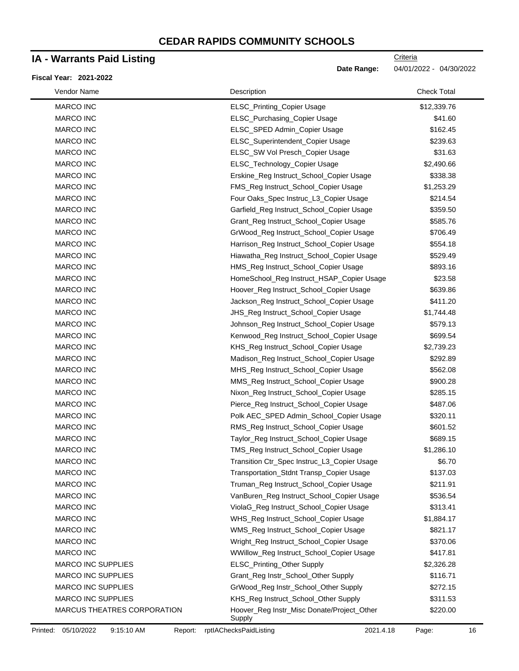### **IA - Warrants Paid Listing**

#### **Fiscal Year: 2021-2022**

| Vendor Name                 | Description                                          | <b>Check Total</b> |
|-----------------------------|------------------------------------------------------|--------------------|
| <b>MARCO INC</b>            | ELSC_Printing_Copier Usage                           | \$12,339.76        |
| MARCO INC                   | ELSC_Purchasing_Copier Usage                         | \$41.60            |
| <b>MARCO INC</b>            | ELSC_SPED Admin_Copier Usage                         | \$162.45           |
| <b>MARCO INC</b>            | ELSC_Superintendent_Copier Usage                     | \$239.63           |
| <b>MARCO INC</b>            | ELSC_SW Vol Presch_Copier Usage                      | \$31.63            |
| <b>MARCO INC</b>            | ELSC_Technology_Copier Usage                         | \$2,490.66         |
| <b>MARCO INC</b>            | Erskine_Reg Instruct_School_Copier Usage             | \$338.38           |
| <b>MARCO INC</b>            | FMS_Reg Instruct_School_Copier Usage                 | \$1,253.29         |
| <b>MARCO INC</b>            | Four Oaks_Spec Instruc_L3_Copier Usage               | \$214.54           |
| <b>MARCO INC</b>            | Garfield_Reg Instruct_School_Copier Usage            | \$359.50           |
| <b>MARCO INC</b>            | Grant_Reg Instruct_School_Copier Usage               | \$585.76           |
| <b>MARCO INC</b>            | GrWood_Reg Instruct_School_Copier Usage              | \$706.49           |
| <b>MARCO INC</b>            | Harrison_Reg Instruct_School_Copier Usage            | \$554.18           |
| <b>MARCO INC</b>            | Hiawatha_Reg Instruct_School_Copier Usage            | \$529.49           |
| <b>MARCO INC</b>            | HMS_Reg Instruct_School_Copier Usage                 | \$893.16           |
| <b>MARCO INC</b>            | HomeSchool_Reg Instruct_HSAP_Copier Usage            | \$23.58            |
| <b>MARCO INC</b>            | Hoover_Reg Instruct_School_Copier Usage              | \$639.86           |
| <b>MARCO INC</b>            | Jackson_Reg Instruct_School_Copier Usage             | \$411.20           |
| <b>MARCO INC</b>            | JHS_Reg Instruct_School_Copier Usage                 | \$1,744.48         |
| <b>MARCO INC</b>            | Johnson_Reg Instruct_School_Copier Usage             | \$579.13           |
| <b>MARCO INC</b>            | Kenwood_Reg Instruct_School_Copier Usage             | \$699.54           |
| <b>MARCO INC</b>            | KHS_Reg Instruct_School_Copier Usage                 | \$2,739.23         |
| <b>MARCO INC</b>            | Madison_Reg Instruct_School_Copier Usage             | \$292.89           |
| <b>MARCO INC</b>            | MHS_Reg Instruct_School_Copier Usage                 | \$562.08           |
| <b>MARCO INC</b>            | MMS_Reg Instruct_School_Copier Usage                 | \$900.28           |
| <b>MARCO INC</b>            | Nixon_Reg Instruct_School_Copier Usage               | \$285.15           |
| <b>MARCO INC</b>            | Pierce_Reg Instruct_School_Copier Usage              | \$487.06           |
| <b>MARCO INC</b>            | Polk AEC_SPED Admin_School_Copier Usage              | \$320.11           |
| <b>MARCO INC</b>            | RMS_Reg Instruct_School_Copier Usage                 | \$601.52           |
| <b>MARCO INC</b>            | Taylor_Reg Instruct_School_Copier Usage              | \$689.15           |
| <b>MARCO INC</b>            | TMS_Reg Instruct_School_Copier Usage                 | \$1,286.10         |
| <b>MARCO INC</b>            | Transition Ctr_Spec Instruc_L3_Copier Usage          | \$6.70             |
| <b>MARCO INC</b>            | Transportation_Stdnt Transp_Copier Usage             | \$137.03           |
| <b>MARCO INC</b>            | Truman_Reg Instruct_School_Copier Usage              | \$211.91           |
| <b>MARCO INC</b>            | VanBuren_Reg Instruct_School_Copier Usage            | \$536.54           |
| <b>MARCO INC</b>            | ViolaG_Reg Instruct_School_Copier Usage              | \$313.41           |
| <b>MARCO INC</b>            | WHS_Reg Instruct_School_Copier Usage                 | \$1,884.17         |
| <b>MARCO INC</b>            | WMS_Reg Instruct_School_Copier Usage                 | \$821.17           |
| <b>MARCO INC</b>            | Wright_Reg Instruct_School_Copier Usage              | \$370.06           |
| MARCO INC                   | WWillow_Reg Instruct_School_Copier Usage             | \$417.81           |
| <b>MARCO INC SUPPLIES</b>   | ELSC_Printing_Other Supply                           | \$2,326.28         |
| <b>MARCO INC SUPPLIES</b>   | Grant_Reg Instr_School_Other Supply                  | \$116.71           |
| <b>MARCO INC SUPPLIES</b>   | GrWood_Reg Instr_School_Other Supply                 | \$272.15           |
| <b>MARCO INC SUPPLIES</b>   | KHS_Reg Instruct_School_Other Supply                 | \$311.53           |
| MARCUS THEATRES CORPORATION | Hoover_Reg Instr_Misc Donate/Project_Other<br>Supply | \$220.00           |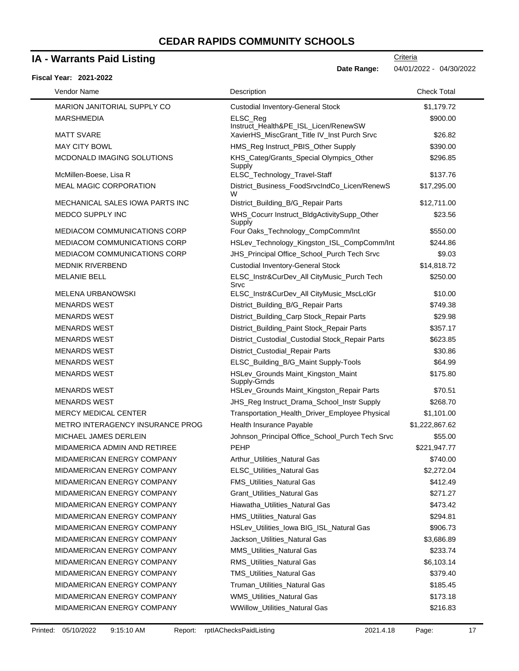### **IA - Warrants Paid Listing**

|  | <b>Fiscal Year: 2021-2022</b> |
|--|-------------------------------|
|  |                               |

| Vendor Name                             | Description                                                                         | <b>Check Total</b> |
|-----------------------------------------|-------------------------------------------------------------------------------------|--------------------|
| <b>MARION JANITORIAL SUPPLY CO</b>      | <b>Custodial Inventory-General Stock</b>                                            | \$1,179.72         |
| <b>MARSHMEDIA</b>                       | ELSC_Reg                                                                            | \$900.00           |
| <b>MATT SVARE</b>                       | Instruct_Health&PE_ISL_Licen/RenewSW<br>XavierHS_MiscGrant_Title IV_Inst Purch Srvc | \$26.82            |
| <b>MAY CITY BOWL</b>                    | HMS_Reg Instruct_PBIS_Other Supply                                                  | \$390.00           |
| MCDONALD IMAGING SOLUTIONS              | KHS_Categ/Grants_Special Olympics_Other<br>Supply                                   | \$296.85           |
| McMillen-Boese, Lisa R                  | ELSC_Technology_Travel-Staff                                                        | \$137.76           |
| <b>MEAL MAGIC CORPORATION</b>           | District_Business_FoodSrvcIndCo_Licen/RenewS<br>W                                   | \$17,295.00        |
| MECHANICAL SALES IOWA PARTS INC         | District_Building_B/G_Repair Parts                                                  | \$12,711.00        |
| MEDCO SUPPLY INC                        | WHS_Cocurr Instruct_BldgActivitySupp_Other<br>Supply                                | \$23.56            |
| MEDIACOM COMMUNICATIONS CORP            | Four Oaks_Technology_CompComm/Int                                                   | \$550.00           |
| <b>MEDIACOM COMMUNICATIONS CORP</b>     | HSLev_Technology_Kingston_ISL_CompComm/Int                                          | \$244.86           |
| <b>MEDIACOM COMMUNICATIONS CORP</b>     | JHS_Principal Office_School_Purch Tech Srvc                                         | \$9.03             |
| <b>MEDNIK RIVERBEND</b>                 | <b>Custodial Inventory-General Stock</b>                                            | \$14,818.72        |
| <b>MELANIE BELL</b>                     | ELSC_Instr&CurDev_All CityMusic_Purch Tech<br>Srvc                                  | \$250.00           |
| MELENA URBANOWSKI                       | ELSC_Instr&CurDev_All CityMusic_MscLclGr                                            | \$10.00            |
| <b>MENARDS WEST</b>                     | District_Building_B/G_Repair Parts                                                  | \$749.38           |
| <b>MENARDS WEST</b>                     | District_Building_Carp Stock_Repair Parts                                           | \$29.98            |
| <b>MENARDS WEST</b>                     | District_Building_Paint Stock_Repair Parts                                          | \$357.17           |
| <b>MENARDS WEST</b>                     | District_Custodial_Custodial Stock_Repair Parts                                     | \$623.85           |
| <b>MENARDS WEST</b>                     | District_Custodial_Repair Parts                                                     | \$30.86            |
| <b>MENARDS WEST</b>                     | ELSC_Building_B/G_Maint Supply-Tools                                                | \$64.99            |
| <b>MENARDS WEST</b>                     | HSLev_Grounds Maint_Kingston_Maint<br>Supply-Grnds                                  | \$175.80           |
| <b>MENARDS WEST</b>                     | HSLev_Grounds Maint_Kingston_Repair Parts                                           | \$70.51            |
| <b>MENARDS WEST</b>                     | JHS_Reg Instruct_Drama_School_Instr Supply                                          | \$268.70           |
| <b>MERCY MEDICAL CENTER</b>             | Transportation_Health_Driver_Employee Physical                                      | \$1,101.00         |
| <b>METRO INTERAGENCY INSURANCE PROG</b> | Health Insurance Payable                                                            | \$1,222,867.62     |
| MICHAEL JAMES DERLEIN                   | Johnson_Principal Office_School_Purch Tech Srvc                                     | \$55.00            |
| MIDAMERICA ADMIN AND RETIREE            | <b>PEHP</b>                                                                         | \$221,947.77       |
| MIDAMERICAN ENERGY COMPANY              | Arthur_Utilities_Natural Gas                                                        | \$740.00           |
| MIDAMERICAN ENERGY COMPANY              | <b>ELSC_Utilities_Natural Gas</b>                                                   | \$2,272.04         |
| MIDAMERICAN ENERGY COMPANY              | <b>FMS_Utilities_Natural Gas</b>                                                    | \$412.49           |
| MIDAMERICAN ENERGY COMPANY              | Grant Utilities Natural Gas                                                         | \$271.27           |
| MIDAMERICAN ENERGY COMPANY              | Hiawatha_Utilities_Natural Gas                                                      | \$473.42           |
| MIDAMERICAN ENERGY COMPANY              | HMS_Utilities_Natural Gas                                                           | \$294.81           |
| MIDAMERICAN ENERGY COMPANY              | HSLev_Utilities_lowa BIG_ISL_Natural Gas                                            | \$906.73           |
| <b>MIDAMERICAN ENERGY COMPANY</b>       | Jackson_Utilities_Natural Gas                                                       | \$3,686.89         |
| <b>MIDAMERICAN ENERGY COMPANY</b>       | <b>MMS_Utilities_Natural Gas</b>                                                    | \$233.74           |
| MIDAMERICAN ENERGY COMPANY              | RMS_Utilities_Natural Gas                                                           | \$6,103.14         |
| MIDAMERICAN ENERGY COMPANY              | <b>TMS_Utilities_Natural Gas</b>                                                    | \$379.40           |
| MIDAMERICAN ENERGY COMPANY              | Truman_Utilities_Natural Gas                                                        | \$185.45           |
| MIDAMERICAN ENERGY COMPANY              | WMS_Utilities_Natural Gas                                                           | \$173.18           |
| MIDAMERICAN ENERGY COMPANY              | WWillow_Utilities_Natural Gas                                                       | \$216.83           |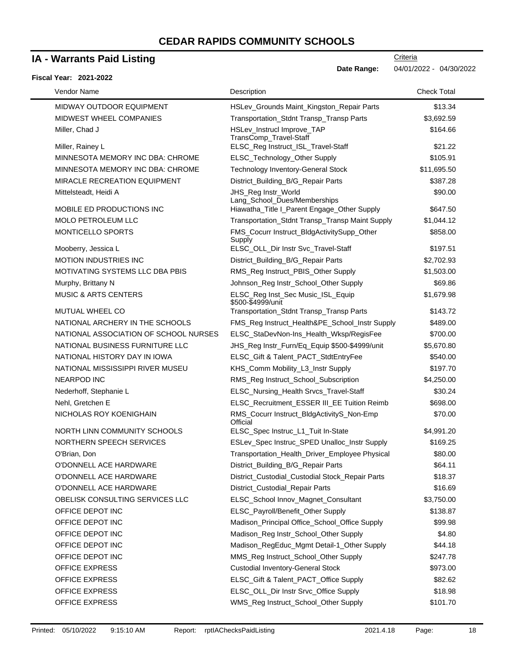## **IA - Warrants Paid Listing**

#### **Fiscal Year: 2021-2022**

| Vendor Name                            | Description                                            | <b>Check Total</b> |
|----------------------------------------|--------------------------------------------------------|--------------------|
| <b>MIDWAY OUTDOOR EQUIPMENT</b>        | HSLev_Grounds Maint_Kingston_Repair Parts              | \$13.34            |
| MIDWEST WHEEL COMPANIES                | Transportation_Stdnt Transp_Transp Parts               | \$3,692.59         |
| Miller, Chad J                         | HSLev_Instrucl Improve_TAP<br>TransComp_Travel-Staff   | \$164.66           |
| Miller, Rainey L                       | ELSC_Reg Instruct_ISL_Travel-Staff                     | \$21.22            |
| MINNESOTA MEMORY INC DBA: CHROME       | ELSC_Technology_Other Supply                           | \$105.91           |
| MINNESOTA MEMORY INC DBA: CHROME       | <b>Technology Inventory-General Stock</b>              | \$11,695.50        |
| MIRACLE RECREATION EQUIPMENT           | District_Building_B/G_Repair Parts                     | \$387.28           |
| Mittelsteadt, Heidi A                  | JHS_Reg Instr_World<br>Lang_School_Dues/Memberships    | \$90.00            |
| MOBILE ED PRODUCTIONS INC              | Hiawatha_Title I_Parent Engage_Other Supply            | \$647.50           |
| <b>MOLO PETROLEUM LLC</b>              | Transportation_Stdnt Transp_Transp Maint Supply        | \$1,044.12         |
| MONTICELLO SPORTS                      | FMS_Cocurr Instruct_BldgActivitySupp_Other<br>Supply   | \$858.00           |
| Mooberry, Jessica L                    | ELSC_OLL_Dir Instr Svc_Travel-Staff                    | \$197.51           |
| <b>MOTION INDUSTRIES INC</b>           | District_Building_B/G_Repair Parts                     | \$2,702.93         |
| <b>MOTIVATING SYSTEMS LLC DBA PBIS</b> | RMS_Reg Instruct_PBIS_Other Supply                     | \$1,503.00         |
| Murphy, Brittany N                     | Johnson_Reg Instr_School_Other Supply                  | \$69.86            |
| <b>MUSIC &amp; ARTS CENTERS</b>        | ELSC_Reg Inst_Sec Music_ISL_Equip<br>\$500-\$4999/unit | \$1,679.98         |
| MUTUAL WHEEL CO                        | Transportation_Stdnt Transp_Transp Parts               | \$143.72           |
| NATIONAL ARCHERY IN THE SCHOOLS        | FMS_Reg Instruct_Health&PE_School_Instr Supply         | \$489.00           |
| NATIONAL ASSOCIATION OF SCHOOL NURSES  | ELSC_StaDevNon-Ins_Health_Wksp/RegisFee                | \$700.00           |
| NATIONAL BUSINESS FURNITURE LLC        | JHS_Reg Instr_Furn/Eq_Equip \$500-\$4999/unit          | \$5,670.80         |
| NATIONAL HISTORY DAY IN IOWA           | ELSC_Gift & Talent_PACT_StdtEntryFee                   | \$540.00           |
| NATIONAL MISSISSIPPI RIVER MUSEU       | KHS_Comm Mobility_L3_Instr Supply                      | \$197.70           |
| <b>NEARPOD INC</b>                     | RMS_Reg Instruct_School_Subscription                   | \$4,250.00         |
| Nederhoff, Stephanie L                 | ELSC_Nursing_Health Srvcs_Travel-Staff                 | \$30.24            |
| Nehl, Gretchen E                       | ELSC_Recruitment_ESSER III_EE Tuition Reimb            | \$698.00           |
| NICHOLAS ROY KOENIGHAIN                | RMS_Cocurr Instruct_BldgActivityS_Non-Emp<br>Official  | \$70.00            |
| NORTH LINN COMMUNITY SCHOOLS           | ELSC_Spec Instruc_L1_Tuit In-State                     | \$4,991.20         |
| NORTHERN SPEECH SERVICES               | ESLev_Spec Instruc_SPED Unalloc_Instr Supply           | \$169.25           |
| O'Brian, Don                           | Transportation_Health_Driver_Employee Physical         | \$80.00            |
| O'DONNELL ACE HARDWARE                 | District_Building_B/G_Repair Parts                     | \$64.11            |
| O'DONNELL ACE HARDWARE                 | District_Custodial_Custodial Stock_Repair Parts        | \$18.37            |
| O'DONNELL ACE HARDWARE                 | District_Custodial_Repair Parts                        | \$16.69            |
| OBELISK CONSULTING SERVICES LLC        | ELSC_School Innov_Magnet_Consultant                    | \$3,750.00         |
| OFFICE DEPOT INC                       | ELSC_Payroll/Benefit_Other Supply                      | \$138.87           |
| OFFICE DEPOT INC                       | Madison_Principal Office_School_Office Supply          | \$99.98            |
| OFFICE DEPOT INC                       | Madison_Reg Instr_School_Other Supply                  | \$4.80             |
| OFFICE DEPOT INC                       | Madison_RegEduc_Mgmt Detail-1_Other Supply             | \$44.18            |
| OFFICE DEPOT INC                       | MMS_Reg Instruct_School_Other Supply                   | \$247.78           |
| <b>OFFICE EXPRESS</b>                  | <b>Custodial Inventory-General Stock</b>               | \$973.00           |
| <b>OFFICE EXPRESS</b>                  | ELSC_Gift & Talent_PACT_Office Supply                  | \$82.62            |
| <b>OFFICE EXPRESS</b>                  | ELSC_OLL_Dir Instr Srvc_Office Supply                  | \$18.98            |
| OFFICE EXPRESS                         | WMS_Reg Instruct_School_Other Supply                   | \$101.70           |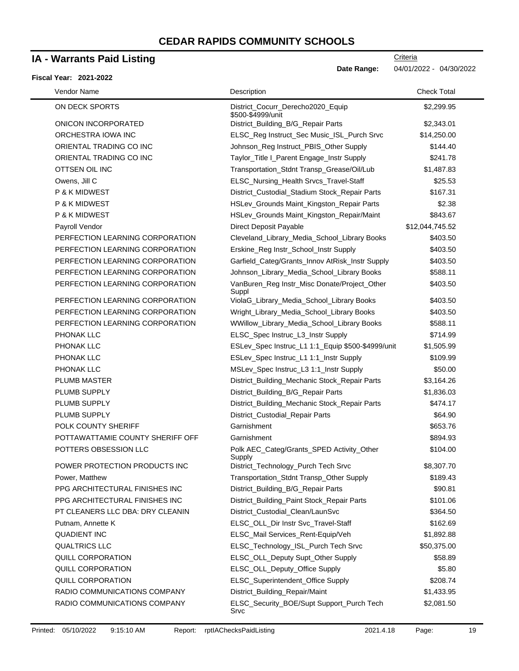\$500-\$4999/unit

PERFECTION LEARNING CORPORATION Johnson\_Library\_Media\_School\_Library Books \$588.11

PERFECTION LEARNING CORPORATION VanBuren\_Reg Instr\_Misc Donate/Project\_Other

### **IA - Warrants Paid Listing**

ON DECK SPORTS District Cocurr\_Derecho2020\_Equip \$2,299.95 ONICON INCORPORATED District\_Building\_B/G\_Repair Parts \$2,343.01 ORCHESTRA IOWA INC ELSC\_Reg Instruct\_Sec Music\_ISL\_Purch Srvc \$14,250.00 ORIENTAL TRADING CO INC GO INC Johnson\_Reg Instruct\_PBIS\_Other Supply \$144.40 ORIENTAL TRADING CO INC Taylor\_Title I\_Parent Engage\_Instr Supply \$241.78 OTTSEN OIL INC Transportation\_Stdnt Transp\_Grease/Oil/Lub \$1,487.83 Owens, Jill C ELSC\_Nursing\_Health Srvcs\_Travel-Staff \$25.53 P & K MIDWEST **District\_Custodial\_Stadium Stock\_Repair Parts** \$167.31 P & K MIDWEST **All Accords Containers A Containers** HSLev\_Grounds Maint\_Kingston\_Repair Parts \$2.38 P & K MIDWEST **https://willenair/Maint/Strounds Maint\_Kingston\_Repair/Maint** \$843.67 Payroll Vendor **Contract Payable 2012**, Direct Deposit Payable **312,044,745.52** PERFECTION LEARNING CORPORATION Cleveland\_Library\_Media\_School\_Library Books \$403.50 PERFECTION LEARNING CORPORATION Erskine\_Reg Instr\_School\_Instr Supply \$403.50 PERFECTION LEARNING CORPORATION Garfield\_Categ/Grants\_Innov AtRisk\_Instr Supply \$403.50 **Criteria Date Range:** 04/01/2022 - 04/30/2022 Vendor Name **Description** Check Total Description Check Total Description Check Total Description Check Total Description

\$403.50

\$2,081.50

|                                  | Suppl                                               |            |
|----------------------------------|-----------------------------------------------------|------------|
| PERFECTION LEARNING CORPORATION  | ViolaG_Library_Media_School_Library Books           | \$403.50   |
| PERFECTION LEARNING CORPORATION  | Wright_Library_Media_School_Library Books           | \$403.50   |
| PERFECTION LEARNING CORPORATION  | WWillow_Library_Media_School_Library Books          | \$588.11   |
| <b>PHONAK LLC</b>                | ELSC_Spec Instruc_L3_Instr Supply                   | \$714.99   |
| <b>PHONAK LLC</b>                | ESLev_Spec Instruc_L1 1:1_Equip \$500-\$4999/unit   | \$1,505.99 |
| <b>PHONAK LLC</b>                | ESLev_Spec Instruc_L1 1:1_Instr Supply              | \$109.99   |
| <b>PHONAK LLC</b>                | MSLev_Spec Instruc_L3 1:1_Instr Supply              | \$50.00    |
| <b>PLUMB MASTER</b>              | District_Building_Mechanic Stock_Repair Parts       | \$3,164.26 |
| PLUMB SUPPLY                     | District_Building_B/G_Repair Parts                  | \$1,836.03 |
| PLUMB SUPPLY                     | District_Building_Mechanic Stock_Repair Parts       | \$474.17   |
| PLUMB SUPPLY                     | District_Custodial_Repair Parts                     | \$64.90    |
| <b>POLK COUNTY SHERIFF</b>       | Garnishment                                         | \$653.76   |
| POTTAWATTAMIE COUNTY SHERIFF OFF | Garnishment                                         | \$894.93   |
| POTTERS OBSESSION LLC            | Polk AEC_Categ/Grants_SPED Activity_Other<br>Supply | \$104.00   |
| POWER PROTECTION PRODUCTS INC    | District_Technology_Purch Tech Srvc                 | \$8,307.70 |

Power, Matthew Transportation\_Stdnt Transp\_Other Supply \$189.43 PPG ARCHITECTURAL FINISHES INC District\_Building\_B/G\_Repair Parts \$90.81 PPG ARCHITECTURAL FINISHES INC District Building Paint Stock Repair Parts \$101.06 PT CLEANERS LLC DBA: DRY CLEANIN District Custodial Clean/LaunSvc \$364.50 Putnam, Annette K **ELSC** OLL Dir Instr Svc Travel-Staff \$162.69 QUADIENT INC ELSC\_Mail Services\_Rent-Equip/Veh \$1,892.88 QUALTRICS LLC ELSC\_Technology\_ISL\_Purch Tech Srvc \$50,375.00 QUILL CORPORATION **ELSC\_OLL\_Deputy Supt\_Other Supply \$58.89** \$58.89 QUILL CORPORATION ELSC\_OLL\_Deputy\_Office Supply \$5.80 QUILL CORPORATION **ELSC** Superintendent Office Supply \$208.74 RADIO COMMUNICATIONS COMPANY District\_Building\_Repair/Maint 61,433.95 RADIO COMMUNICATIONS COMPANY ELSC\_Security\_BOE/Supt Support\_Purch Tech

Srvc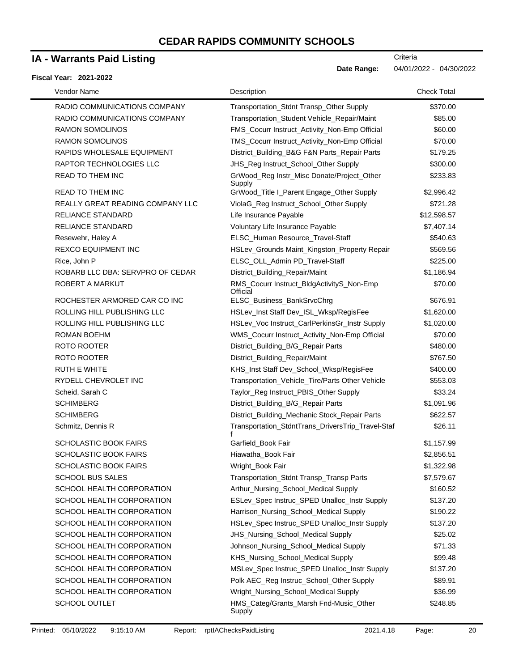## **IA - Warrants Paid Listing**

#### **Fiscal Year: 2021-2022**

| Vendor Name                      | Description                                           | <b>Check Total</b> |
|----------------------------------|-------------------------------------------------------|--------------------|
| RADIO COMMUNICATIONS COMPANY     | Transportation_Stdnt Transp_Other Supply              | \$370.00           |
| RADIO COMMUNICATIONS COMPANY     | Transportation_Student Vehicle_Repair/Maint           | \$85.00            |
| <b>RAMON SOMOLINOS</b>           | FMS_Cocurr Instruct_Activity_Non-Emp Official         | \$60.00            |
| <b>RAMON SOMOLINOS</b>           | TMS_Cocurr Instruct_Activity_Non-Emp Official         | \$70.00            |
| RAPIDS WHOLESALE EQUIPMENT       | District_Building_B&G F&N Parts_Repair Parts          | \$179.25           |
| RAPTOR TECHNOLOGIES LLC          | JHS_Reg Instruct_School_Other Supply                  | \$300.00           |
| <b>READ TO THEM INC</b>          | GrWood_Reg Instr_Misc Donate/Project_Other<br>Supply  | \$233.83           |
| <b>READ TO THEM INC</b>          | GrWood_Title I_Parent Engage_Other Supply             | \$2,996.42         |
| REALLY GREAT READING COMPANY LLC | ViolaG_Reg Instruct_School_Other Supply               | \$721.28           |
| RELIANCE STANDARD                | Life Insurance Payable                                | \$12,598.57        |
| <b>RELIANCE STANDARD</b>         | Voluntary Life Insurance Payable                      | \$7,407.14         |
| Resewehr, Haley A                | ELSC_Human Resource_Travel-Staff                      | \$540.63           |
| REXCO EQUIPMENT INC              | HSLev_Grounds Maint_Kingston_Property Repair          | \$569.56           |
| Rice, John P                     | ELSC_OLL_Admin PD_Travel-Staff                        | \$225.00           |
| ROBARB LLC DBA: SERVPRO OF CEDAR | District_Building_Repair/Maint                        | \$1,186.94         |
| ROBERT A MARKUT                  | RMS_Cocurr Instruct_BldgActivityS_Non-Emp<br>Official | \$70.00            |
| ROCHESTER ARMORED CAR CO INC     | ELSC_Business_BankSrvcChrg                            | \$676.91           |
| ROLLING HILL PUBLISHING LLC      | HSLev_Inst Staff Dev_ISL_Wksp/RegisFee                | \$1,620.00         |
| ROLLING HILL PUBLISHING LLC      | HSLev_Voc Instruct_CarlPerkinsGr_Instr Supply         | \$1,020.00         |
| ROMAN BOEHM                      | WMS_Cocurr Instruct_Activity_Non-Emp Official         | \$70.00            |
| ROTO ROOTER                      | District_Building_B/G_Repair Parts                    | \$480.00           |
| ROTO ROOTER                      | District_Building_Repair/Maint                        | \$767.50           |
| <b>RUTH E WHITE</b>              | KHS_Inst Staff Dev_School_Wksp/RegisFee               | \$400.00           |
| RYDELL CHEVROLET INC             | Transportation_Vehicle_Tire/Parts Other Vehicle       | \$553.03           |
| Scheid, Sarah C                  | Taylor_Reg Instruct_PBIS_Other Supply                 | \$33.24            |
| <b>SCHIMBERG</b>                 | District_Building_B/G_Repair Parts                    | \$1,091.96         |
| <b>SCHIMBERG</b>                 | District_Building_Mechanic Stock_Repair Parts         | \$622.57           |
| Schmitz, Dennis R                | Transportation_StdntTrans_DriversTrip_Travel-Staf     | \$26.11            |
| <b>SCHOLASTIC BOOK FAIRS</b>     | Garfield_Book Fair                                    | \$1,157.99         |
| <b>SCHOLASTIC BOOK FAIRS</b>     | Hiawatha_Book Fair                                    | \$2,856.51         |
| SCHOLASTIC BOOK FAIRS            | Wright_Book Fair                                      | \$1,322.98         |
| <b>SCHOOL BUS SALES</b>          | Transportation Stdnt Transp Transp Parts              | \$7,579.67         |
| SCHOOL HEALTH CORPORATION        | Arthur_Nursing_School_Medical Supply                  | \$160.52           |
| SCHOOL HEALTH CORPORATION        | ESLev_Spec Instruc_SPED Unalloc_Instr Supply          | \$137.20           |
| SCHOOL HEALTH CORPORATION        | Harrison_Nursing_School_Medical Supply                | \$190.22           |
| SCHOOL HEALTH CORPORATION        | HSLev_Spec Instruc_SPED Unalloc_Instr Supply          | \$137.20           |
| SCHOOL HEALTH CORPORATION        | JHS_Nursing_School_Medical Supply                     | \$25.02            |
| SCHOOL HEALTH CORPORATION        | Johnson_Nursing_School_Medical Supply                 | \$71.33            |
| SCHOOL HEALTH CORPORATION        | KHS_Nursing_School_Medical Supply                     | \$99.48            |
| SCHOOL HEALTH CORPORATION        | MSLev_Spec Instruc_SPED Unalloc_Instr Supply          | \$137.20           |
| SCHOOL HEALTH CORPORATION        | Polk AEC_Reg Instruc_School_Other Supply              | \$89.91            |
| SCHOOL HEALTH CORPORATION        | Wright_Nursing_School_Medical Supply                  | \$36.99            |
| <b>SCHOOL OUTLET</b>             | HMS_Categ/Grants_Marsh Fnd-Music_Other<br>Supply      | \$248.85           |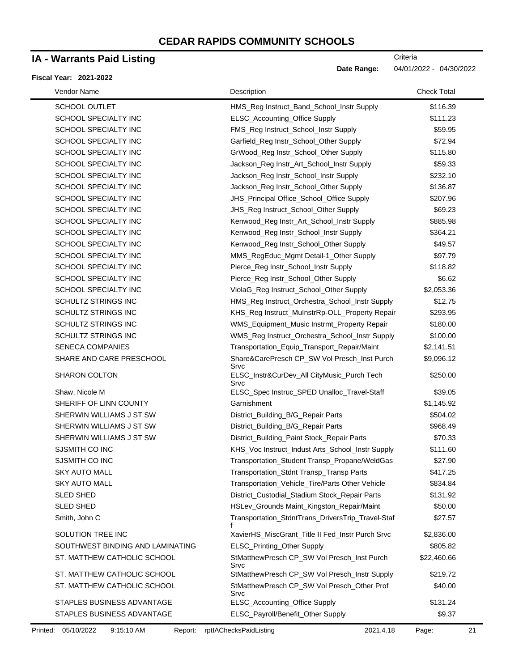### **IA - Warrants Paid Listing**

#### **Fiscal Year: 2021-2022**

**Criteria** 

**Date Range:** 04/01/2022 - 04/30/2022

SCHOOL OUTLET THE HMS Reg Instruct Band School Instr Supply \$116.39 SCHOOL SPECIALTY INC 
SCHOOL SPECIALTY INC

SCHOOL SPECIALTY INC  $E L S C$ Accounting Office Supply  $$111.23$ SCHOOL SPECIALTY INC THE REG INSTRUCT School Instr Supply \$59.95 SCHOOL SPECIALTY INC **STATE ASSESS** Garfield Reg Instr\_School\_Other Supply \$72.94 SCHOOL SPECIALTY INC **GrWood Reg Instr\_School\_Other Supply** \$115.80 SCHOOL SPECIALTY INC THE SUBSERVIAL SCHOOL SPECIALTY INC SCHOOL SPECIALTY INC **SCHOOL SPECIALTY** INC **SACKED ASSESS** Jackson\_Reg Instr\_School\_Instr Supply \$232.10 SCHOOL SPECIALTY INC **SUPPER THE SUPPER SUPPER SUPPER SUPPER SUPPER SUPPER SUPPER SUPPER SUPPER SUPPER SUPPER SUPPER SUPPER SUPPER SUPPER SUPPER SUPPER SUPPER SUPPER SUPPER SUPPER SUPPER SUPPER SUPPER SUPPER SUPPER SUPPER** SCHOOL SPECIALTY INC **SUPPLIES A SUPPLIES A SUPPLIES INCLUST** SECHOOL SPECIALTY INC SCHOOL SPECIALTY INC **SUBPERSE SET A SET ASSESS** JHS\_Reg Instruct\_School\_Other Supply \$69.23 SCHOOL SPECIALTY INC THE REGIST REGISTER CHOOL SPECIALTY INCLUSION CONTROL SASS.98 SCHOOL SPECIALTY INC **Kenwood Reg Instr\_School\_Instr Supply** \$364.21 SCHOOL SPECIALTY INC THE REGISTION CONTROL SERVICE REGISTION CONTROL SERVICE SAGES AND SALL SAGES SUPPLY A SAG SCHOOL SPECIALTY INC THE MMS RegEduc\_Mgmt Detail-1\_Other Supply \$97.79 SCHOOL SPECIALTY INC THE Reg Instrument School Instr Supply \$118.82 SCHOOL SPECIALTY INC **Pierce\_Reg Instr\_School\_Other Supply** \$6.62 SCHOOL SPECIALTY INC THE ViolaG Reg Instruct School Other Supply \$2,053.36 SCHULTZ STRINGS INC THE HMS Reg Instruct Orchestra School Instr Supply \$12.75 SCHULTZ STRINGS INC **KHS\_Reg Instruct\_MuInstrRp-OLL\_Property Repair** \$293.95 SCHULTZ STRINGS INC THE STATE OF STRINGS INCLUSION WIS Equipment Music Instrmt\_Property Repair \$180.00 SCHULTZ STRINGS INC THE STATE ORDER THE WAS Reg Instruct Orchestra School Instr Supply \$100.00 SENECA COMPANIES Transportation\_Equip\_Transport\_Repair/Maint \$2,141.51 SHARE AND CARE PRESCHOOL Share&CarePresch CP\_SW Vol Presch\_Inst Purch Srvc \$9,096.12 SHARON COLTON ELSC\_Instr&CurDev\_All CityMusic\_Purch Tech Srvc \$250.00 Shaw, Nicole M ELSC\_Spec Instruc\_SPED Unalloc\_Travel-Staff \$39.05 SHERIFF OF LINN COUNTY Carnishment County Carnishment 31,145.92 SHERWIN WILLIAMS J ST SW District\_Building\_B/G\_Repair Parts \$504.02 SHERWIN WILLIAMS J ST SW District\_Building\_B/G\_Repair Parts \$968.49 SHERWIN WILLIAMS J ST SW District\_Building\_Paint Stock\_Repair Parts \$70.33 SJSMITH CO INC **KHS\_Voc Instruct\_Indust Arts\_School\_Instr Supply** \$111.60 SJSMITH CO INC **Transportation\_Student Transp\_Propane/WeldGas** \$27.90 SKY AUTO MALL **Transportation\_Stdnt Transp\_Transp** Parts \$417.25 SKY AUTO MALL **Transportation\_Vehicle\_Tire/Parts Other Vehicle** \$834.84 SLED SHED **District\_Custodial\_Stadium Stock\_Repair Parts** \$131.92 SLED SHED **SHED HSLev\_Grounds Maint\_Kingston\_Repair/Maint** \$50.00 Smith, John C **Transportation\_StdntTrans\_DriversTrip\_Travel-Staf** f \$27.57 SOLUTION TREE INC **XavierHS\_MiscGrant\_Title II Fed\_Instr Purch Srvc** \$2,836.00 SOUTHWEST BINDING AND LAMINATING ELSC\_Printing\_Other Supply \$805.82 ST. MATTHEW CATHOLIC SCHOOL StMatthewPresch CP\_SW Vol Presch\_Inst Purch Srvc \$22,460.66 ST. MATTHEW CATHOLIC SCHOOL StMatthewPresch CP\_SW Vol Presch\_Instr Supply \$219.72 ST. MATTHEW CATHOLIC SCHOOL SALL STAMES StMatthewPresch CP\_SW Vol Presch\_Other Prof Srvc \$40.00 STAPLES BUSINESS ADVANTAGE **ELSC\_Accounting\_Office Supply** \$131.24 STAPLES BUSINESS ADVANTAGE ELSC\_Payroll/Benefit\_Other Supply \$9.37 Vendor Name **Description** Check Total Description Check Total Description Check Total Description Check Total Description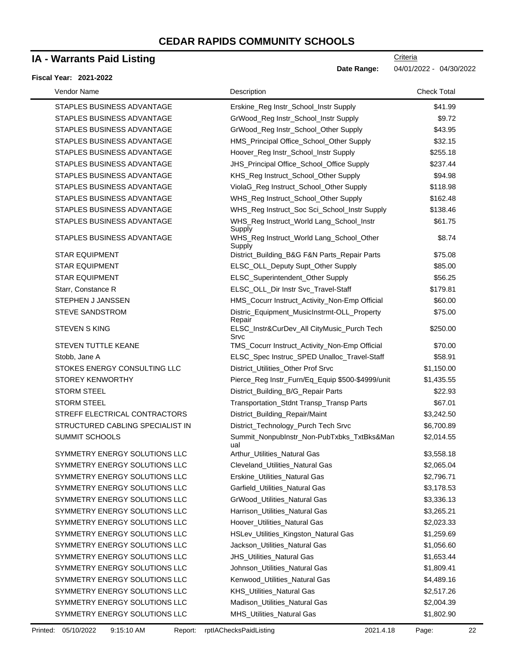## **IA - Warrants Paid Listing**

#### **Fiscal Year: 2021-2022**

**Criteria** 

**Date Range:** 04/01/2022 - 04/30/2022

| Vendor Name                      | Description                                           | <b>Check Total</b> |
|----------------------------------|-------------------------------------------------------|--------------------|
| STAPLES BUSINESS ADVANTAGE       | Erskine_Reg Instr_School_Instr Supply                 | \$41.99            |
| STAPLES BUSINESS ADVANTAGE       | GrWood_Reg Instr_School_Instr Supply                  | \$9.72             |
| STAPLES BUSINESS ADVANTAGE       | GrWood_Reg Instr_School_Other Supply                  | \$43.95            |
| STAPLES BUSINESS ADVANTAGE       | HMS_Principal Office_School_Other Supply              | \$32.15            |
| STAPLES BUSINESS ADVANTAGE       | Hoover_Reg Instr_School_Instr Supply                  | \$255.18           |
| STAPLES BUSINESS ADVANTAGE       | JHS_Principal Office_School_Office Supply             | \$237.44           |
| STAPLES BUSINESS ADVANTAGE       | KHS_Reg Instruct_School_Other Supply                  | \$94.98            |
| STAPLES BUSINESS ADVANTAGE       | ViolaG_Reg Instruct_School_Other Supply               | \$118.98           |
| STAPLES BUSINESS ADVANTAGE       | WHS_Reg Instruct_School_Other Supply                  | \$162.48           |
| STAPLES BUSINESS ADVANTAGE       | WHS_Reg Instruct_Soc Sci_School_Instr Supply          | \$138.46           |
| STAPLES BUSINESS ADVANTAGE       | WHS_Reg Instruct_World Lang_School_Instr<br>Supply    | \$61.75            |
| STAPLES BUSINESS ADVANTAGE       | WHS_Reg Instruct_World Lang_School_Other<br>Supply    | \$8.74             |
| <b>STAR EQUIPMENT</b>            | District_Building_B&G F&N Parts_Repair Parts          | \$75.08            |
| <b>STAR EQUIPMENT</b>            | ELSC_OLL_Deputy Supt_Other Supply                     | \$85.00            |
| <b>STAR EQUIPMENT</b>            | ELSC_Superintendent_Other Supply                      | \$56.25            |
| Starr, Constance R               | ELSC_OLL_Dir Instr Svc_Travel-Staff                   | \$179.81           |
| STEPHEN J JANSSEN                | HMS_Cocurr Instruct_Activity_Non-Emp Official         | \$60.00            |
| <b>STEVE SANDSTROM</b>           | Distric_Equipment_MusicInstrmt-OLL_Property<br>Repair | \$75.00            |
| <b>STEVEN S KING</b>             | ELSC_Instr&CurDev_All CityMusic_Purch Tech<br>Srvc    | \$250.00           |
| STEVEN TUTTLE KEANE              | TMS_Cocurr Instruct_Activity_Non-Emp Official         | \$70.00            |
| Stobb, Jane A                    | ELSC_Spec Instruc_SPED Unalloc_Travel-Staff           | \$58.91            |
| STOKES ENERGY CONSULTING LLC     | District_Utilities_Other Prof Srvc                    | \$1,150.00         |
| <b>STOREY KENWORTHY</b>          | Pierce_Reg Instr_Furn/Eq_Equip \$500-\$4999/unit      | \$1,435.55         |
| <b>STORM STEEL</b>               | District_Building_B/G_Repair Parts                    | \$22.93            |
| <b>STORM STEEL</b>               | Transportation_Stdnt Transp_Transp Parts              | \$67.01            |
| STREFF ELECTRICAL CONTRACTORS    | District_Building_Repair/Maint                        | \$3,242.50         |
| STRUCTURED CABLING SPECIALIST IN | District_Technology_Purch Tech Srvc                   | \$6,700.89         |
| <b>SUMMIT SCHOOLS</b>            | Summit_NonpubInstr_Non-PubTxbks_TxtBks&Man<br>ual     | \$2,014.55         |
| SYMMETRY ENERGY SOLUTIONS LLC    | Arthur_Utilities_Natural Gas                          | \$3,558.18         |
| SYMMETRY ENERGY SOLUTIONS LLC    | Cleveland_Utilities_Natural Gas                       | \$2,065.04         |
| SYMMETRY ENERGY SOLUTIONS LLC    | Erskine_Utilities_Natural Gas                         | \$2,796.71         |
| SYMMETRY ENERGY SOLUTIONS LLC    | Garfield_Utilities_Natural Gas                        | \$3,178.53         |
| SYMMETRY ENERGY SOLUTIONS LLC    | GrWood_Utilities_Natural Gas                          | \$3,336.13         |
| SYMMETRY ENERGY SOLUTIONS LLC    | Harrison_Utilities_Natural Gas                        | \$3,265.21         |
| SYMMETRY ENERGY SOLUTIONS LLC    | Hoover_Utilities_Natural Gas                          | \$2,023.33         |
| SYMMETRY ENERGY SOLUTIONS LLC    | HSLev_Utilities_Kingston_Natural Gas                  | \$1,259.69         |
| SYMMETRY ENERGY SOLUTIONS LLC    | Jackson_Utilities_Natural Gas                         | \$1,056.60         |
| SYMMETRY ENERGY SOLUTIONS LLC    | JHS_Utilities_Natural Gas                             | \$1,653.44         |
| SYMMETRY ENERGY SOLUTIONS LLC    | Johnson_Utilities_Natural Gas                         | \$1,809.41         |
| SYMMETRY ENERGY SOLUTIONS LLC    | Kenwood_Utilities_Natural Gas                         | \$4,489.16         |
| SYMMETRY ENERGY SOLUTIONS LLC    | <b>KHS_Utilities_Natural Gas</b>                      | \$2,517.26         |
| SYMMETRY ENERGY SOLUTIONS LLC    | Madison_Utilities_Natural Gas                         | \$2,004.39         |
| SYMMETRY ENERGY SOLUTIONS LLC    | MHS_Utilities_Natural Gas                             | \$1,802.90         |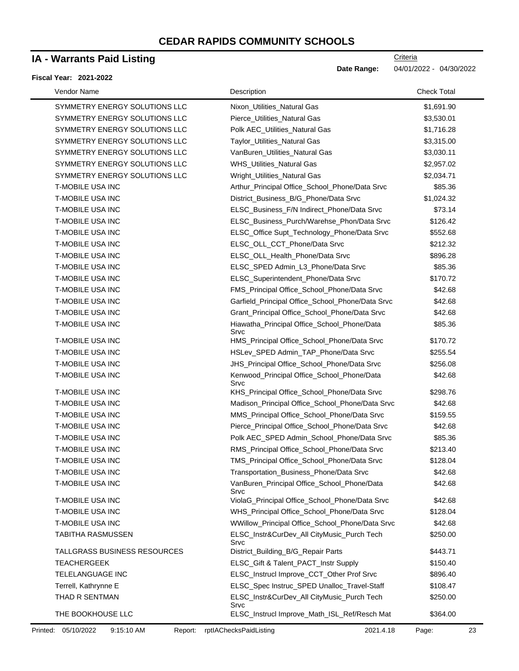## **IA - Warrants Paid Listing**

#### **Fiscal Year: 2021-2022**

**Criteria** 

**Date Range:** 04/01/2022 - 04/30/2022

| Vendor Name                   | Description                                         | <b>Check Total</b> |
|-------------------------------|-----------------------------------------------------|--------------------|
| SYMMETRY ENERGY SOLUTIONS LLC | Nixon Utilities Natural Gas                         | \$1,691.90         |
| SYMMETRY ENERGY SOLUTIONS LLC | Pierce_Utilities_Natural Gas                        | \$3,530.01         |
| SYMMETRY ENERGY SOLUTIONS LLC | Polk AEC_Utilities_Natural Gas                      | \$1,716.28         |
| SYMMETRY ENERGY SOLUTIONS LLC | Taylor_Utilities_Natural Gas                        | \$3,315.00         |
| SYMMETRY ENERGY SOLUTIONS LLC | VanBuren_Utilities_Natural Gas                      | \$3,030.11         |
| SYMMETRY ENERGY SOLUTIONS LLC | WHS_Utilities_Natural Gas                           | \$2,957.02         |
| SYMMETRY ENERGY SOLUTIONS LLC | Wright_Utilities_Natural Gas                        | \$2,034.71         |
| <b>T-MOBILE USA INC</b>       | Arthur_Principal Office_School_Phone/Data Srvc      | \$85.36            |
| <b>T-MOBILE USA INC</b>       | District_Business_B/G_Phone/Data Srvc               | \$1,024.32         |
| T-MOBILE USA INC              | ELSC_Business_F/N Indirect_Phone/Data Srvc          | \$73.14            |
| <b>T-MOBILE USA INC</b>       | ELSC_Business_Purch/Warehse_Phon/Data Srvc          | \$126.42           |
| <b>T-MOBILE USA INC</b>       | ELSC_Office Supt_Technology_Phone/Data Srvc         | \$552.68           |
| T-MOBILE USA INC              | ELSC_OLL_CCT_Phone/Data Srvc                        | \$212.32           |
| T-MOBILE USA INC              | ELSC_OLL_Health_Phone/Data Srvc                     | \$896.28           |
| <b>T-MOBILE USA INC</b>       | ELSC_SPED Admin_L3_Phone/Data Srvc                  | \$85.36            |
| <b>T-MOBILE USA INC</b>       | ELSC_Superintendent_Phone/Data Srvc                 | \$170.72           |
| <b>T-MOBILE USA INC</b>       | FMS_Principal Office_School_Phone/Data Srvc         | \$42.68            |
| <b>T-MOBILE USA INC</b>       | Garfield_Principal Office_School_Phone/Data Srvc    | \$42.68            |
| <b>T-MOBILE USA INC</b>       | Grant_Principal Office_School_Phone/Data Srvc       | \$42.68            |
| T-MOBILE USA INC              | Hiawatha_Principal Office_School_Phone/Data<br>Srvc | \$85.36            |
| T-MOBILE USA INC              | HMS_Principal Office_School_Phone/Data Srvc         | \$170.72           |
| <b>T-MOBILE USA INC</b>       | HSLev_SPED Admin_TAP_Phone/Data Srvc                | \$255.54           |
| <b>T-MOBILE USA INC</b>       | JHS_Principal Office_School_Phone/Data Srvc         | \$256.08           |
| T-MOBILE USA INC              | Kenwood_Principal Office_School_Phone/Data<br>Srvc  | \$42.68            |
| T-MOBILE USA INC              | KHS_Principal Office_School_Phone/Data Srvc         | \$298.76           |
| <b>T-MOBILE USA INC</b>       | Madison_Principal Office_School_Phone/Data Srvc     | \$42.68            |
| T-MOBILE USA INC              | MMS_Principal Office_School_Phone/Data Srvc         | \$159.55           |
| <b>T-MOBILE USA INC</b>       | Pierce_Principal Office_School_Phone/Data Srvc      | \$42.68            |
| T-MOBILE USA INC              | Polk AEC_SPED Admin_School_Phone/Data Srvc          | \$85.36            |
| <b>T-MOBILE USA INC</b>       | RMS_Principal Office_School_Phone/Data Srvc         | \$213.40           |
| <b>T-MOBILE USA INC</b>       | TMS_Principal Office_School_Phone/Data Srvc         | \$128.04           |
| <b>T-MOBILE USA INC</b>       | Transportation_Business_Phone/Data Srvc             | \$42.68            |
| <b>T-MOBILE USA INC</b>       | VanBuren_Principal Office_School_Phone/Data<br>Srvc | \$42.68            |
| <b>T-MOBILE USA INC</b>       | ViolaG_Principal Office_School_Phone/Data Srvc      | \$42.68            |
| T-MOBILE USA INC              | WHS_Principal Office_School_Phone/Data Srvc         | \$128.04           |
| <b>T-MOBILE USA INC</b>       | WWillow_Principal Office_School_Phone/Data Srvc     | \$42.68            |
| <b>TABITHA RASMUSSEN</b>      | ELSC_Instr&CurDev_All CityMusic_Purch Tech<br>Srvc  | \$250.00           |
| TALLGRASS BUSINESS RESOURCES  | District_Building_B/G_Repair Parts                  | \$443.71           |
| <b>TEACHERGEEK</b>            | ELSC_Gift & Talent_PACT_Instr Supply                | \$150.40           |
| TELELANGUAGE INC              | ELSC_Instrucl Improve_CCT_Other Prof Srvc           | \$896.40           |
| Terrell, Kathrynne E          | ELSC_Spec Instruc_SPED Unalloc_Travel-Staff         | \$108.47           |
| THAD R SENTMAN                | ELSC_Instr&CurDev_All CityMusic_Purch Tech<br>Srvc  | \$250.00           |
| THE BOOKHOUSE LLC             | ELSC_Instrucl Improve_Math_ISL_Ref/Resch Mat        | \$364.00           |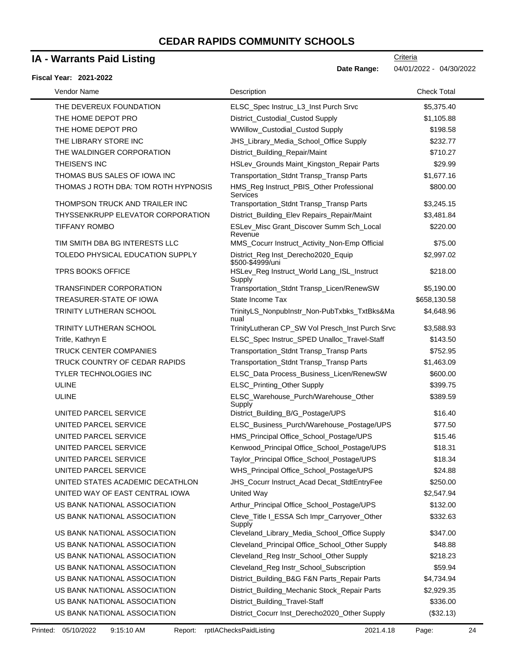# **IA - Warrants Paid Listing**

|  | Fiscal Year: 2021-2022 |
|--|------------------------|
|  |                        |

| Vendor Name       |                                      | Description                                             | <b>Check Total</b> |  |
|-------------------|--------------------------------------|---------------------------------------------------------|--------------------|--|
|                   | THE DEVEREUX FOUNDATION              | ELSC_Spec Instruc_L3_Inst Purch Srvc                    | \$5,375.40         |  |
|                   | THE HOME DEPOT PRO                   | District_Custodial_Custod Supply                        | \$1,105.88         |  |
|                   | THE HOME DEPOT PRO                   | WWillow_Custodial_Custod Supply                         | \$198.58           |  |
|                   | THE LIBRARY STORE INC                | JHS_Library_Media_School_Office Supply                  | \$232.77           |  |
|                   | THE WALDINGER CORPORATION            | District_Building_Repair/Maint                          | \$710.27           |  |
| THEISEN'S INC     |                                      | HSLev_Grounds Maint_Kingston_Repair Parts               | \$29.99            |  |
|                   | THOMAS BUS SALES OF IOWA INC         | Transportation_Stdnt Transp_Transp Parts                | \$1,677.16         |  |
|                   | THOMAS J ROTH DBA: TOM ROTH HYPNOSIS | HMS_Reg Instruct_PBIS_Other Professional<br>Services    | \$800.00           |  |
|                   | THOMPSON TRUCK AND TRAILER INC       | Transportation_Stdnt Transp_Transp Parts                | \$3,245.15         |  |
|                   | THYSSENKRUPP ELEVATOR CORPORATION    | District_Building_Elev Repairs_Repair/Maint             | \$3,481.84         |  |
|                   | <b>TIFFANY ROMBO</b>                 | ESLev_Misc Grant_Discover Summ Sch_Local<br>Revenue     | \$220.00           |  |
|                   | TIM SMITH DBA BG INTERESTS LLC       | MMS_Cocurr Instruct_Activity_Non-Emp Official           | \$75.00            |  |
|                   | TOLEDO PHYSICAL EDUCATION SUPPLY     | District_Reg Inst_Derecho2020_Equip<br>\$500-\$4999/uni | \$2,997.02         |  |
|                   | <b>TPRS BOOKS OFFICE</b>             | HSLev_Reg Instruct_World Lang_ISL_Instruct<br>Supply    | \$218.00           |  |
|                   | <b>TRANSFINDER CORPORATION</b>       | Transportation_Stdnt Transp_Licen/RenewSW               | \$5,190.00         |  |
|                   | TREASURER-STATE OF IOWA              | State Income Tax                                        | \$658,130.58       |  |
|                   | <b>TRINITY LUTHERAN SCHOOL</b>       | TrinityLS_NonpubInstr_Non-PubTxbks_TxtBks&Ma<br>nual    | \$4,648.96         |  |
|                   | TRINITY LUTHERAN SCHOOL              | TrinityLutheran CP_SW Vol Presch_Inst Purch Srvc        | \$3,588.93         |  |
| Tritle, Kathryn E |                                      | ELSC_Spec Instruc_SPED Unalloc_Travel-Staff             | \$143.50           |  |
|                   | <b>TRUCK CENTER COMPANIES</b>        | Transportation_Stdnt Transp_Transp Parts                | \$752.95           |  |
|                   | TRUCK COUNTRY OF CEDAR RAPIDS        | Transportation_Stdnt Transp_Transp Parts                | \$1,463.09         |  |
|                   | <b>TYLER TECHNOLOGIES INC</b>        | ELSC_Data Process_Business_Licen/RenewSW                | \$600.00           |  |
| <b>ULINE</b>      |                                      | ELSC_Printing_Other Supply                              | \$399.75           |  |
| <b>ULINE</b>      |                                      | ELSC_Warehouse_Purch/Warehouse_Other<br>Supply          | \$389.59           |  |
|                   | UNITED PARCEL SERVICE                | District_Building_B/G_Postage/UPS                       | \$16.40            |  |
|                   | UNITED PARCEL SERVICE                | ELSC_Business_Purch/Warehouse_Postage/UPS               | \$77.50            |  |
|                   | UNITED PARCEL SERVICE                | HMS_Principal Office_School_Postage/UPS                 | \$15.46            |  |
|                   | UNITED PARCEL SERVICE                | Kenwood_Principal Office_School_Postage/UPS             | \$18.31            |  |
|                   | UNITED PARCEL SERVICE                | Taylor_Principal Office_School_Postage/UPS              | \$18.34            |  |
|                   | UNITED PARCEL SERVICE                | WHS_Principal Office_School_Postage/UPS                 | \$24.88            |  |
|                   | UNITED STATES ACADEMIC DECATHLON     | JHS_Cocurr Instruct_Acad Decat_StdtEntryFee             | \$250.00           |  |
|                   | UNITED WAY OF EAST CENTRAL IOWA      | United Way                                              | \$2,547.94         |  |
|                   | US BANK NATIONAL ASSOCIATION         | Arthur_Principal Office_School_Postage/UPS              | \$132.00           |  |
|                   | US BANK NATIONAL ASSOCIATION         | Cleve_Title I_ESSA Sch Impr_Carryover_Other<br>Supply   | \$332.63           |  |
|                   | US BANK NATIONAL ASSOCIATION         | Cleveland_Library_Media_School_Office Supply            | \$347.00           |  |
|                   | US BANK NATIONAL ASSOCIATION         | Cleveland_Principal Office_School_Other Supply          | \$48.88            |  |
|                   | US BANK NATIONAL ASSOCIATION         | Cleveland_Reg Instr_School_Other Supply                 | \$218.23           |  |
|                   | US BANK NATIONAL ASSOCIATION         | Cleveland_Reg Instr_School_Subscription                 | \$59.94            |  |
|                   | US BANK NATIONAL ASSOCIATION         | District_Building_B&G F&N Parts_Repair Parts            | \$4,734.94         |  |
|                   | US BANK NATIONAL ASSOCIATION         | District_Building_Mechanic Stock_Repair Parts           | \$2,929.35         |  |
|                   | US BANK NATIONAL ASSOCIATION         | District_Building_Travel-Staff                          | \$336.00           |  |
|                   | US BANK NATIONAL ASSOCIATION         | District_Cocurr Inst_Derecho2020_Other Supply           | (\$32.13)          |  |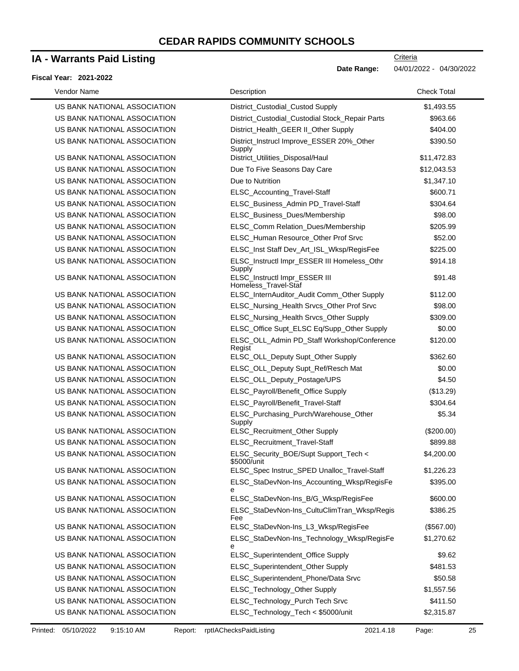### **IA - Warrants Paid Listing**

#### **Fiscal Year: 2021-2022**

**Date Range:** 04/01/2022 - 04/30/2022

**Criteria** 

| Vendor Name                  | Description                                           | <b>Check Total</b> |
|------------------------------|-------------------------------------------------------|--------------------|
| US BANK NATIONAL ASSOCIATION | District_Custodial_Custod Supply                      | \$1,493.55         |
| US BANK NATIONAL ASSOCIATION | District_Custodial_Custodial Stock_Repair Parts       | \$963.66           |
| US BANK NATIONAL ASSOCIATION | District_Health_GEER II_Other Supply                  | \$404.00           |
| US BANK NATIONAL ASSOCIATION | District_Instrucl Improve_ESSER 20%_Other<br>Supply   | \$390.50           |
| US BANK NATIONAL ASSOCIATION | District_Utilities_Disposal/Haul                      | \$11,472.83        |
| US BANK NATIONAL ASSOCIATION | Due To Five Seasons Day Care                          | \$12,043.53        |
| US BANK NATIONAL ASSOCIATION | Due to Nutrition                                      | \$1,347.10         |
| US BANK NATIONAL ASSOCIATION | ELSC_Accounting_Travel-Staff                          | \$600.71           |
| US BANK NATIONAL ASSOCIATION | ELSC_Business_Admin PD_Travel-Staff                   | \$304.64           |
| US BANK NATIONAL ASSOCIATION | ELSC_Business_Dues/Membership                         | \$98.00            |
| US BANK NATIONAL ASSOCIATION | ELSC_Comm Relation_Dues/Membership                    | \$205.99           |
| US BANK NATIONAL ASSOCIATION | ELSC_Human Resource_Other Prof Srvc                   | \$52.00            |
| US BANK NATIONAL ASSOCIATION | ELSC_Inst Staff Dev_Art_ISL_Wksp/RegisFee             | \$225.00           |
| US BANK NATIONAL ASSOCIATION | ELSC_Instructl Impr_ESSER III Homeless_Othr<br>Supply | \$914.18           |
| US BANK NATIONAL ASSOCIATION | ELSC_Instructl Impr_ESSER III<br>Homeless_Travel-Staf | \$91.48            |
| US BANK NATIONAL ASSOCIATION | ELSC_InternAuditor_Audit Comm_Other Supply            | \$112.00           |
| US BANK NATIONAL ASSOCIATION | ELSC_Nursing_Health Srvcs_Other Prof Srvc             | \$98.00            |
| US BANK NATIONAL ASSOCIATION | ELSC_Nursing_Health Srvcs_Other Supply                | \$309.00           |
| US BANK NATIONAL ASSOCIATION | ELSC_Office Supt_ELSC Eq/Supp_Other Supply            | \$0.00             |
| US BANK NATIONAL ASSOCIATION | ELSC_OLL_Admin PD_Staff Workshop/Conference<br>Regist | \$120.00           |
| US BANK NATIONAL ASSOCIATION | ELSC_OLL_Deputy Supt_Other Supply                     | \$362.60           |
| US BANK NATIONAL ASSOCIATION | ELSC_OLL_Deputy Supt_Ref/Resch Mat                    | \$0.00             |
| US BANK NATIONAL ASSOCIATION | ELSC_OLL_Deputy_Postage/UPS                           | \$4.50             |
| US BANK NATIONAL ASSOCIATION | ELSC_Payroll/Benefit_Office Supply                    | (\$13.29)          |
| US BANK NATIONAL ASSOCIATION | ELSC_Payroll/Benefit_Travel-Staff                     | \$304.64           |
| US BANK NATIONAL ASSOCIATION | ELSC_Purchasing_Purch/Warehouse_Other<br>Supply       | \$5.34             |
| US BANK NATIONAL ASSOCIATION | ELSC_Recruitment_Other Supply                         | $(\$200.00)$       |
| US BANK NATIONAL ASSOCIATION | ELSC_Recruitment_Travel-Staff                         | \$899.88           |
| US BANK NATIONAL ASSOCIATION | ELSC_Security_BOE/Supt Support_Tech <<br>\$5000/unit  | \$4,200.00         |
| US BANK NATIONAL ASSOCIATION | ELSC_Spec Instruc_SPED Unalloc_Travel-Staff           | \$1,226.23         |
| US BANK NATIONAL ASSOCIATION | ELSC_StaDevNon-Ins_Accounting_Wksp/RegisFe<br>е       | \$395.00           |
| US BANK NATIONAL ASSOCIATION | ELSC_StaDevNon-Ins_B/G_Wksp/RegisFee                  | \$600.00           |
| US BANK NATIONAL ASSOCIATION | ELSC_StaDevNon-Ins_CultuClimTran_Wksp/Regis<br>Fee    | \$386.25           |
| US BANK NATIONAL ASSOCIATION | ELSC_StaDevNon-Ins_L3_Wksp/RegisFee                   | (\$567.00)         |
| US BANK NATIONAL ASSOCIATION | ELSC_StaDevNon-Ins_Technology_Wksp/RegisFe<br>e       | \$1,270.62         |
| US BANK NATIONAL ASSOCIATION | ELSC_Superintendent_Office Supply                     | \$9.62             |
| US BANK NATIONAL ASSOCIATION | ELSC_Superintendent_Other Supply                      | \$481.53           |
| US BANK NATIONAL ASSOCIATION | ELSC_Superintendent_Phone/Data Srvc                   | \$50.58            |
| US BANK NATIONAL ASSOCIATION | ELSC_Technology_Other Supply                          | \$1,557.56         |
| US BANK NATIONAL ASSOCIATION | ELSC_Technology_Purch Tech Srvc                       | \$411.50           |
| US BANK NATIONAL ASSOCIATION | ELSC_Technology_Tech < \$5000/unit                    | \$2,315.87         |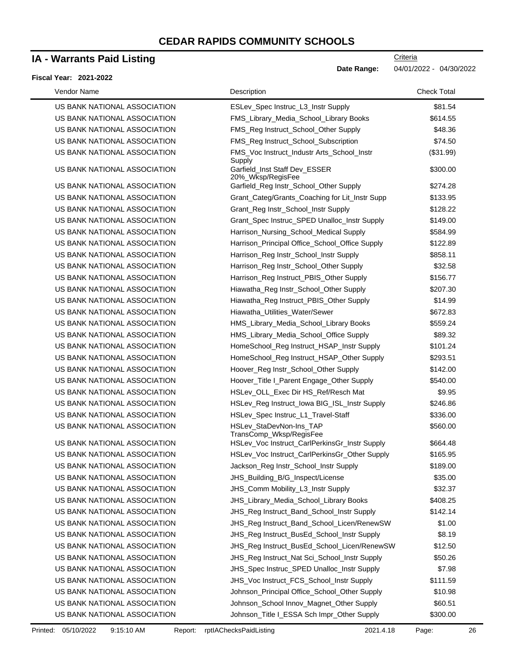### **IA - Warrants Paid Listing**

#### **Fiscal Year: 2021-2022**

| Vendor Name                                                  | Description                                                                                         | <b>Check Total</b>   |
|--------------------------------------------------------------|-----------------------------------------------------------------------------------------------------|----------------------|
| US BANK NATIONAL ASSOCIATION                                 | ESLev_Spec Instruc_L3_Instr Supply                                                                  | \$81.54              |
| US BANK NATIONAL ASSOCIATION                                 | FMS_Library_Media_School_Library Books                                                              | \$614.55             |
| US BANK NATIONAL ASSOCIATION                                 | FMS_Reg Instruct_School_Other Supply                                                                | \$48.36              |
| US BANK NATIONAL ASSOCIATION                                 | FMS_Reg Instruct_School_Subscription                                                                | \$74.50              |
| US BANK NATIONAL ASSOCIATION                                 | FMS_Voc Instruct_Industr Arts_School_Instr                                                          | (\$31.99)            |
| US BANK NATIONAL ASSOCIATION                                 | Supply<br>Garfield Inst Staff Dev ESSER<br>20%_Wksp/RegisFee                                        | \$300.00             |
| US BANK NATIONAL ASSOCIATION                                 | Garfield_Reg Instr_School_Other Supply                                                              | \$274.28             |
| US BANK NATIONAL ASSOCIATION                                 | Grant_Categ/Grants_Coaching for Lit_Instr Supp                                                      | \$133.95             |
| US BANK NATIONAL ASSOCIATION                                 | Grant_Reg Instr_School_Instr Supply                                                                 | \$128.22             |
| US BANK NATIONAL ASSOCIATION                                 | Grant_Spec Instruc_SPED Unalloc_Instr Supply                                                        | \$149.00             |
| US BANK NATIONAL ASSOCIATION                                 | Harrison_Nursing_School_Medical Supply                                                              | \$584.99             |
| US BANK NATIONAL ASSOCIATION                                 | Harrison_Principal Office_School_Office Supply                                                      | \$122.89             |
| US BANK NATIONAL ASSOCIATION                                 | Harrison_Reg Instr_School_Instr Supply                                                              | \$858.11             |
| US BANK NATIONAL ASSOCIATION                                 | Harrison_Reg Instr_School_Other Supply                                                              | \$32.58              |
| US BANK NATIONAL ASSOCIATION                                 | Harrison_Reg Instruct_PBIS_Other Supply                                                             | \$156.77             |
| US BANK NATIONAL ASSOCIATION                                 | Hiawatha_Reg Instr_School_Other Supply                                                              | \$207.30             |
| US BANK NATIONAL ASSOCIATION                                 | Hiawatha_Reg Instruct_PBIS_Other Supply                                                             | \$14.99              |
| US BANK NATIONAL ASSOCIATION                                 | Hiawatha_Utilities_Water/Sewer                                                                      | \$672.83             |
| US BANK NATIONAL ASSOCIATION                                 | HMS_Library_Media_School_Library Books                                                              | \$559.24             |
| US BANK NATIONAL ASSOCIATION                                 | HMS_Library_Media_School_Office Supply                                                              | \$89.32              |
| US BANK NATIONAL ASSOCIATION                                 |                                                                                                     | \$101.24             |
| US BANK NATIONAL ASSOCIATION                                 | HomeSchool_Reg Instruct_HSAP_Instr Supply<br>HomeSchool_Reg Instruct_HSAP_Other Supply              | \$293.51             |
| US BANK NATIONAL ASSOCIATION                                 |                                                                                                     | \$142.00             |
|                                                              | Hoover_Reg Instr_School_Other Supply                                                                |                      |
| US BANK NATIONAL ASSOCIATION                                 | Hoover_Title I_Parent Engage_Other Supply                                                           | \$540.00             |
| US BANK NATIONAL ASSOCIATION                                 | HSLev_OLL_Exec Dir HS_Ref/Resch Mat                                                                 | \$9.95               |
| US BANK NATIONAL ASSOCIATION                                 | HSLev_Reg Instruct_Iowa BIG_ISL_Instr Supply                                                        | \$246.86             |
| US BANK NATIONAL ASSOCIATION                                 | HSLev_Spec Instruc_L1_Travel-Staff                                                                  | \$336.00             |
| US BANK NATIONAL ASSOCIATION<br>US BANK NATIONAL ASSOCIATION | HSLev_StaDevNon-Ins_TAP<br>TransComp_Wksp/RegisFee<br>HSLev_Voc Instruct_CarlPerkinsGr_Instr Supply | \$560.00<br>\$664.48 |
| US BANK NATIONAL ASSOCIATION                                 |                                                                                                     |                      |
|                                                              | HSLev_Voc Instruct_CarlPerkinsGr_Other Supply                                                       | \$165.95             |
| US BANK NATIONAL ASSOCIATION                                 | Jackson_Reg Instr_School_Instr Supply                                                               | \$189.00             |
| US BANK NATIONAL ASSOCIATION                                 | JHS_Building_B/G_Inspect/License                                                                    | \$35.00              |
| US BANK NATIONAL ASSOCIATION                                 | JHS_Comm Mobility_L3_Instr Supply                                                                   | \$32.37              |
| US BANK NATIONAL ASSOCIATION                                 | JHS_Library_Media_School_Library Books                                                              | \$408.25             |
| US BANK NATIONAL ASSOCIATION                                 | JHS_Reg Instruct_Band_School_Instr Supply                                                           | \$142.14             |
| US BANK NATIONAL ASSOCIATION                                 | JHS_Reg Instruct_Band_School_Licen/RenewSW                                                          | \$1.00               |
| US BANK NATIONAL ASSOCIATION                                 | JHS_Reg Instruct_BusEd_School_Instr Supply                                                          | \$8.19               |
| US BANK NATIONAL ASSOCIATION                                 | JHS_Reg Instruct_BusEd_School_Licen/RenewSW                                                         | \$12.50              |
| US BANK NATIONAL ASSOCIATION                                 | JHS_Reg Instruct_Nat Sci_School_Instr Supply                                                        | \$50.26              |
| US BANK NATIONAL ASSOCIATION                                 | JHS_Spec Instruc_SPED Unalloc_Instr Supply                                                          | \$7.98               |
| US BANK NATIONAL ASSOCIATION                                 | JHS_Voc Instruct_FCS_School_Instr Supply                                                            | \$111.59             |
| US BANK NATIONAL ASSOCIATION                                 | Johnson_Principal Office_School_Other Supply                                                        | \$10.98              |
| US BANK NATIONAL ASSOCIATION                                 | Johnson_School Innov_Magnet_Other Supply                                                            | \$60.51              |
| US BANK NATIONAL ASSOCIATION                                 | Johnson_Title I_ESSA Sch Impr_Other Supply                                                          | \$300.00             |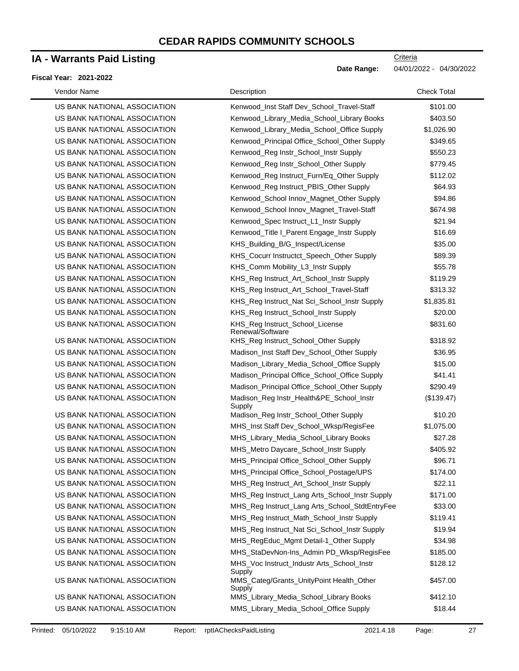## **IA - Warrants Paid Listing**

#### **Fiscal Year: 2021-2022**

| Vendor Name                  | Description                                          | <b>Check Total</b> |
|------------------------------|------------------------------------------------------|--------------------|
| US BANK NATIONAL ASSOCIATION | Kenwood_Inst Staff Dev_School_Travel-Staff           | \$101.00           |
| US BANK NATIONAL ASSOCIATION | Kenwood_Library_Media_School_Library Books           | \$403.50           |
| US BANK NATIONAL ASSOCIATION | Kenwood_Library_Media_School_Office Supply           | \$1,026.90         |
| US BANK NATIONAL ASSOCIATION | Kenwood_Principal Office_School_Other Supply         | \$349.65           |
| US BANK NATIONAL ASSOCIATION | Kenwood_Reg Instr_School_Instr Supply                | \$550.23           |
| US BANK NATIONAL ASSOCIATION | Kenwood_Reg Instr_School_Other Supply                | \$779.45           |
| US BANK NATIONAL ASSOCIATION | Kenwood_Reg Instruct_Furn/Eq_Other Supply            | \$112.02           |
| US BANK NATIONAL ASSOCIATION | Kenwood_Reg Instruct_PBIS_Other Supply               | \$64.93            |
| US BANK NATIONAL ASSOCIATION | Kenwood_School Innov_Magnet_Other Supply             | \$94.86            |
| US BANK NATIONAL ASSOCIATION | Kenwood_School Innov_Magnet_Travel-Staff             | \$674.98           |
| US BANK NATIONAL ASSOCIATION | Kenwood_Spec Instruct_L1_Instr Supply                | \$21.94            |
| US BANK NATIONAL ASSOCIATION | Kenwood_Title I_Parent Engage_Instr Supply           | \$16.69            |
| US BANK NATIONAL ASSOCIATION | KHS_Building_B/G_Inspect/License                     | \$35.00            |
| US BANK NATIONAL ASSOCIATION | KHS_Cocurr Instructct_Speech_Other Supply            | \$89.39            |
| US BANK NATIONAL ASSOCIATION | KHS_Comm Mobility_L3_Instr Supply                    | \$55.78            |
| US BANK NATIONAL ASSOCIATION | KHS_Reg Instruct_Art_School_Instr Supply             | \$119.29           |
| US BANK NATIONAL ASSOCIATION | KHS_Reg Instruct_Art_School_Travel-Staff             | \$313.32           |
| US BANK NATIONAL ASSOCIATION | KHS_Reg Instruct_Nat Sci_School_Instr Supply         | \$1,835.81         |
| US BANK NATIONAL ASSOCIATION | KHS_Reg Instruct_School_Instr Supply                 | \$20.00            |
| US BANK NATIONAL ASSOCIATION | KHS_Reg Instruct_School_License<br>Renewal/Software  | \$831.60           |
| US BANK NATIONAL ASSOCIATION | KHS_Reg Instruct_School_Other Supply                 | \$318.92           |
| US BANK NATIONAL ASSOCIATION | Madison_Inst Staff Dev_School_Other Supply           | \$36.95            |
| US BANK NATIONAL ASSOCIATION | Madison_Library_Media_School_Office Supply           | \$15.00            |
| US BANK NATIONAL ASSOCIATION | Madison_Principal Office_School_Office Supply        | \$41.41            |
| US BANK NATIONAL ASSOCIATION | Madison_Principal Office_School_Other Supply         | \$290.49           |
| US BANK NATIONAL ASSOCIATION | Madison_Reg Instr_Health&PE_School_Instr<br>Supply   | (\$139.47)         |
| US BANK NATIONAL ASSOCIATION | Madison_Reg Instr_School_Other Supply                | \$10.20            |
| US BANK NATIONAL ASSOCIATION | MHS_Inst Staff Dev_School_Wksp/RegisFee              | \$1,075.00         |
| US BANK NATIONAL ASSOCIATION | MHS_Library_Media_School_Library Books               | \$27.28            |
| US BANK NATIONAL ASSOCIATION | MHS_Metro Daycare_School_Instr Supply                | \$405.92           |
| US BANK NATIONAL ASSOCIATION | MHS_Principal Office_School_Other Supply             | \$96.71            |
| US BANK NATIONAL ASSOCIATION | MHS_Principal Office_School_Postage/UPS              | \$174.00           |
| US BANK NATIONAL ASSOCIATION | MHS_Reg Instruct_Art_School_Instr Supply             | \$22.11            |
| US BANK NATIONAL ASSOCIATION | MHS_Reg Instruct_Lang Arts_School_Instr Supply       | \$171.00           |
| US BANK NATIONAL ASSOCIATION | MHS_Reg Instruct_Lang Arts_School_StdtEntryFee       | \$33.00            |
| US BANK NATIONAL ASSOCIATION | MHS_Reg Instruct_Math_School_Instr Supply            | \$119.41           |
| US BANK NATIONAL ASSOCIATION | MHS_Reg Instruct_Nat Sci_School_Instr Supply         | \$19.94            |
| US BANK NATIONAL ASSOCIATION | MHS_RegEduc_Mgmt Detail-1_Other Supply               | \$34.98            |
| US BANK NATIONAL ASSOCIATION | MHS_StaDevNon-Ins_Admin PD_Wksp/RegisFee             | \$185.00           |
| US BANK NATIONAL ASSOCIATION | MHS_Voc Instruct_Industr Arts_School_Instr<br>Supply | \$128.12           |
| US BANK NATIONAL ASSOCIATION | MMS_Categ/Grants_UnityPoint Health_Other<br>Supply   | \$457.00           |
| US BANK NATIONAL ASSOCIATION | MMS_Library_Media_School_Library Books               | \$412.10           |
| US BANK NATIONAL ASSOCIATION | MMS_Library_Media_School_Office Supply               | \$18.44            |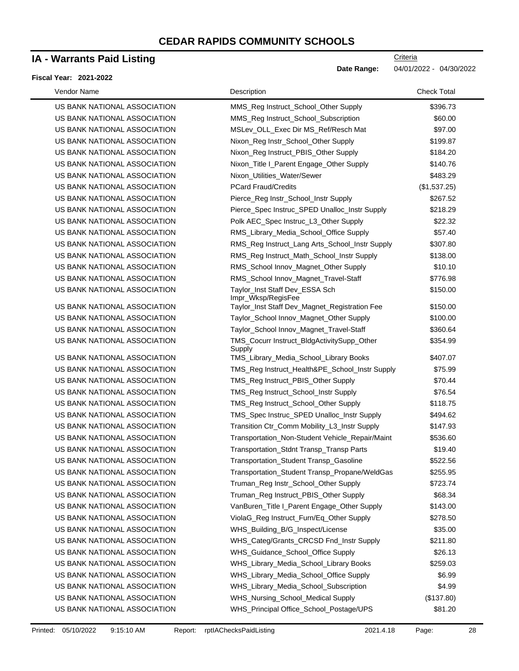## **IA - Warrants Paid Listing**

#### **Fiscal Year: 2021-2022**

**Criteria** 

**Date Range:** 04/01/2022 - 04/30/2022

| Vendor Name                  | Description                                          | <b>Check Total</b> |
|------------------------------|------------------------------------------------------|--------------------|
| US BANK NATIONAL ASSOCIATION | MMS_Reg Instruct_School_Other Supply                 | \$396.73           |
| US BANK NATIONAL ASSOCIATION | MMS_Reg Instruct_School_Subscription                 | \$60.00            |
| US BANK NATIONAL ASSOCIATION | MSLev_OLL_Exec Dir MS_Ref/Resch Mat                  | \$97.00            |
| US BANK NATIONAL ASSOCIATION | Nixon_Reg Instr_School_Other Supply                  | \$199.87           |
| US BANK NATIONAL ASSOCIATION | Nixon_Reg Instruct_PBIS_Other Supply                 | \$184.20           |
| US BANK NATIONAL ASSOCIATION | Nixon_Title I_Parent Engage_Other Supply             | \$140.76           |
| US BANK NATIONAL ASSOCIATION | Nixon_Utilities_Water/Sewer                          | \$483.29           |
| US BANK NATIONAL ASSOCIATION | <b>PCard Fraud/Credits</b>                           | (\$1,537.25)       |
| US BANK NATIONAL ASSOCIATION | Pierce_Reg Instr_School_Instr Supply                 | \$267.52           |
| US BANK NATIONAL ASSOCIATION | Pierce_Spec Instruc_SPED Unalloc_Instr Supply        | \$218.29           |
| US BANK NATIONAL ASSOCIATION | Polk AEC_Spec Instruc_L3_Other Supply                | \$22.32            |
| US BANK NATIONAL ASSOCIATION | RMS_Library_Media_School_Office Supply               | \$57.40            |
| US BANK NATIONAL ASSOCIATION | RMS_Reg Instruct_Lang Arts_School_Instr Supply       | \$307.80           |
| US BANK NATIONAL ASSOCIATION | RMS_Reg Instruct_Math_School_Instr Supply            | \$138.00           |
| US BANK NATIONAL ASSOCIATION | RMS_School Innov_Magnet_Other Supply                 | \$10.10            |
| US BANK NATIONAL ASSOCIATION | RMS_School Innov_Magnet_Travel-Staff                 | \$776.98           |
| US BANK NATIONAL ASSOCIATION | Taylor_Inst Staff Dev_ESSA Sch<br>Impr_Wksp/RegisFee | \$150.00           |
| US BANK NATIONAL ASSOCIATION | Taylor_Inst Staff Dev_Magnet_Registration Fee        | \$150.00           |
| US BANK NATIONAL ASSOCIATION | Taylor_School Innov_Magnet_Other Supply              | \$100.00           |
| US BANK NATIONAL ASSOCIATION | Taylor_School Innov_Magnet_Travel-Staff              | \$360.64           |
| US BANK NATIONAL ASSOCIATION | TMS_Cocurr Instruct_BldgActivitySupp_Other<br>Supply | \$354.99           |
| US BANK NATIONAL ASSOCIATION | TMS_Library_Media_School_Library Books               | \$407.07           |
| US BANK NATIONAL ASSOCIATION | TMS_Reg Instruct_Health&PE_School_Instr Supply       | \$75.99            |
| US BANK NATIONAL ASSOCIATION | TMS_Reg Instruct_PBIS_Other Supply                   | \$70.44            |
| US BANK NATIONAL ASSOCIATION | TMS_Reg Instruct_School_Instr Supply                 | \$76.54            |
| US BANK NATIONAL ASSOCIATION | TMS_Reg Instruct_School_Other Supply                 | \$118.75           |
| US BANK NATIONAL ASSOCIATION | TMS_Spec Instruc_SPED Unalloc_Instr Supply           | \$494.62           |
| US BANK NATIONAL ASSOCIATION | Transition Ctr_Comm Mobility_L3_Instr Supply         | \$147.93           |
| US BANK NATIONAL ASSOCIATION | Transportation_Non-Student Vehicle_Repair/Maint      | \$536.60           |
| US BANK NATIONAL ASSOCIATION | Transportation_Stdnt Transp_Transp Parts             | \$19.40            |
| US BANK NATIONAL ASSOCIATION | Transportation_Student Transp_Gasoline               | \$522.56           |
| US BANK NATIONAL ASSOCIATION | Transportation_Student Transp_Propane/WeldGas        | \$255.95           |
| US BANK NATIONAL ASSOCIATION | Truman_Reg Instr_School_Other Supply                 | \$723.74           |
| US BANK NATIONAL ASSOCIATION | Truman_Reg Instruct_PBIS_Other Supply                | \$68.34            |
| US BANK NATIONAL ASSOCIATION | VanBuren_Title I_Parent Engage_Other Supply          | \$143.00           |
| US BANK NATIONAL ASSOCIATION | ViolaG_Reg Instruct_Furn/Eq_Other Supply             | \$278.50           |
| US BANK NATIONAL ASSOCIATION | WHS_Building_B/G_Inspect/License                     | \$35.00            |
| US BANK NATIONAL ASSOCIATION | WHS_Categ/Grants_CRCSD Fnd_Instr Supply              | \$211.80           |
| US BANK NATIONAL ASSOCIATION | WHS_Guidance_School_Office Supply                    | \$26.13            |
| US BANK NATIONAL ASSOCIATION | WHS_Library_Media_School_Library Books               | \$259.03           |
| US BANK NATIONAL ASSOCIATION | WHS_Library_Media_School_Office Supply               | \$6.99             |
| US BANK NATIONAL ASSOCIATION | WHS_Library_Media_School_Subscription                | \$4.99             |
| US BANK NATIONAL ASSOCIATION | WHS_Nursing_School_Medical Supply                    | (\$137.80)         |
| US BANK NATIONAL ASSOCIATION | WHS_Principal Office_School_Postage/UPS              | \$81.20            |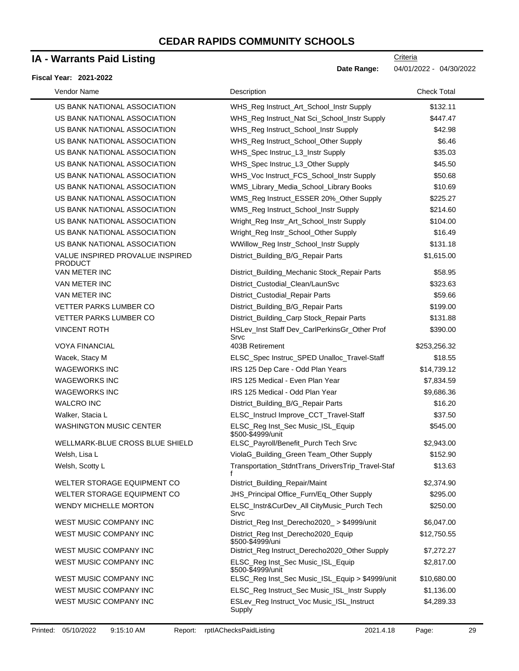## **IA - Warrants Paid Listing**

#### **Fiscal Year: 2021-2022**

| Vendor Name                                        | Description                                             | <b>Check Total</b> |
|----------------------------------------------------|---------------------------------------------------------|--------------------|
| US BANK NATIONAL ASSOCIATION                       | WHS_Reg Instruct_Art_School_Instr Supply                | \$132.11           |
| US BANK NATIONAL ASSOCIATION                       | WHS_Reg Instruct_Nat Sci_School_Instr Supply            | \$447.47           |
| US BANK NATIONAL ASSOCIATION                       | WHS_Reg Instruct_School_Instr Supply                    | \$42.98            |
| US BANK NATIONAL ASSOCIATION                       | WHS_Reg Instruct_School_Other Supply                    | \$6.46             |
| US BANK NATIONAL ASSOCIATION                       | WHS_Spec Instruc_L3_Instr Supply                        | \$35.03            |
| US BANK NATIONAL ASSOCIATION                       | WHS_Spec Instruc_L3_Other Supply                        | \$45.50            |
| US BANK NATIONAL ASSOCIATION                       | WHS_Voc Instruct_FCS_School_Instr Supply                | \$50.68            |
| US BANK NATIONAL ASSOCIATION                       | WMS_Library_Media_School_Library Books                  | \$10.69            |
| US BANK NATIONAL ASSOCIATION                       | WMS_Reg Instruct_ESSER 20%_Other Supply                 | \$225.27           |
| US BANK NATIONAL ASSOCIATION                       | WMS_Reg Instruct_School_Instr Supply                    | \$214.60           |
| US BANK NATIONAL ASSOCIATION                       | Wright_Reg Instr_Art_School_Instr Supply                | \$104.00           |
| US BANK NATIONAL ASSOCIATION                       | Wright_Reg Instr_School_Other Supply                    | \$16.49            |
| US BANK NATIONAL ASSOCIATION                       | WWillow_Reg Instr_School_Instr Supply                   | \$131.18           |
| VALUE INSPIRED PROVALUE INSPIRED<br><b>PRODUCT</b> | District_Building_B/G_Repair Parts                      | \$1,615.00         |
| VAN METER INC                                      | District_Building_Mechanic Stock_Repair Parts           | \$58.95            |
| VAN METER INC                                      | District_Custodial_Clean/LaunSvc                        | \$323.63           |
| VAN METER INC                                      | District_Custodial_Repair Parts                         | \$59.66            |
| <b>VETTER PARKS LUMBER CO</b>                      | District_Building_B/G_Repair Parts                      | \$199.00           |
| <b>VETTER PARKS LUMBER CO</b>                      | District_Building_Carp Stock_Repair Parts               | \$131.88           |
| <b>VINCENT ROTH</b>                                | HSLev_Inst Staff Dev_CarlPerkinsGr_Other Prof<br>Srvc   | \$390.00           |
| <b>VOYA FINANCIAL</b>                              | 403B Retirement                                         | \$253,256.32       |
| Wacek, Stacy M                                     | ELSC_Spec Instruc_SPED Unalloc_Travel-Staff             | \$18.55            |
| <b>WAGEWORKS INC</b>                               | IRS 125 Dep Care - Odd Plan Years                       | \$14,739.12        |
| <b>WAGEWORKS INC</b>                               | IRS 125 Medical - Even Plan Year                        | \$7,834.59         |
| <b>WAGEWORKS INC</b>                               | IRS 125 Medical - Odd Plan Year                         | \$9,686.36         |
| <b>WALCRO INC</b>                                  | District_Building_B/G_Repair Parts                      | \$16.20            |
| Walker, Stacia L                                   | ELSC_Instrucl Improve_CCT_Travel-Staff                  | \$37.50            |
| <b>WASHINGTON MUSIC CENTER</b>                     | ELSC_Reg Inst_Sec Music_ISL_Equip<br>\$500-\$4999/unit  | \$545.00           |
| WELLMARK-BLUE CROSS BLUE SHIELD                    | ELSC_Payroll/Benefit_Purch Tech Srvc                    | \$2,943.00         |
| Welsh, Lisa L                                      | ViolaG_Building_Green Team_Other Supply                 | \$152.90           |
| Welsh, Scotty L                                    | Transportation_StdntTrans_DriversTrip_Travel-Staf       | \$13.63            |
| WELTER STORAGE EQUIPMENT CO                        | District_Building_Repair/Maint                          | \$2,374.90         |
| WELTER STORAGE EQUIPMENT CO                        | JHS_Principal Office_Furn/Eq_Other Supply               | \$295.00           |
| <b>WENDY MICHELLE MORTON</b>                       | ELSC_Instr&CurDev_All CityMusic_Purch Tech<br>Srvc      | \$250.00           |
| WEST MUSIC COMPANY INC                             | District_Reg Inst_Derecho2020_ > \$4999/unit            | \$6,047.00         |
| WEST MUSIC COMPANY INC                             | District_Reg Inst_Derecho2020_Equip<br>\$500-\$4999/uni | \$12,750.55        |
| <b>WEST MUSIC COMPANY INC</b>                      | District_Reg Instruct_Derecho2020_Other Supply          | \$7,272.27         |
| WEST MUSIC COMPANY INC                             | ELSC_Reg Inst_Sec Music_ISL_Equip<br>\$500-\$4999/unit  | \$2,817.00         |
| WEST MUSIC COMPANY INC                             | ELSC_Reg Inst_Sec Music_ISL_Equip > \$4999/unit         | \$10,680.00        |
| WEST MUSIC COMPANY INC                             | ELSC_Reg Instruct_Sec Music_ISL_Instr Supply            | \$1,136.00         |
| WEST MUSIC COMPANY INC                             | ESLev_Reg Instruct_Voc Music_ISL_Instruct<br>Supply     | \$4,289.33         |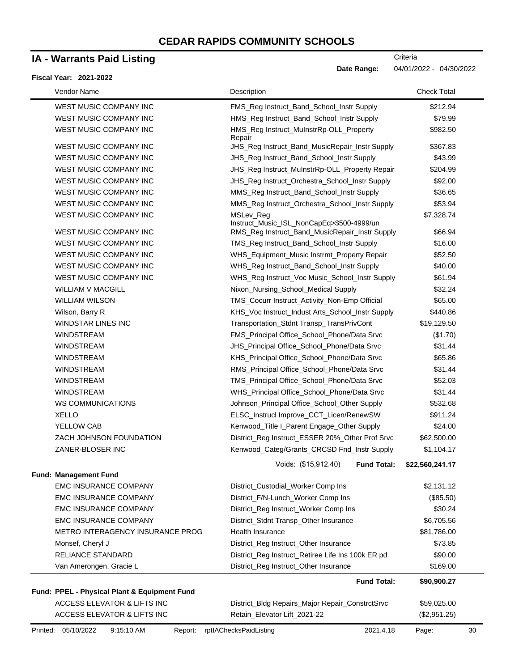# **IA - Warrants Paid Listing**

#### **Fiscal Year: 2021-2022**

| Vendor Name                                  | Description                                            | <b>Check Total</b> |
|----------------------------------------------|--------------------------------------------------------|--------------------|
| WEST MUSIC COMPANY INC                       | FMS_Reg Instruct_Band_School_Instr Supply              | \$212.94           |
| WEST MUSIC COMPANY INC                       | HMS_Reg Instruct_Band_School_Instr Supply              | \$79.99            |
| <b>WEST MUSIC COMPANY INC</b>                | HMS_Reg Instruct_MuInstrRp-OLL_Property<br>Repair      | \$982.50           |
| WEST MUSIC COMPANY INC                       | JHS_Reg Instruct_Band_MusicRepair_Instr Supply         | \$367.83           |
| WEST MUSIC COMPANY INC                       | JHS_Reg Instruct_Band_School_Instr Supply              | \$43.99            |
| WEST MUSIC COMPANY INC                       | JHS_Reg Instruct_MuInstrRp-OLL_Property Repair         | \$204.99           |
| WEST MUSIC COMPANY INC                       | JHS_Reg Instruct_Orchestra_School_Instr Supply         | \$92.00            |
| WEST MUSIC COMPANY INC                       | MMS_Reg Instruct_Band_School_Instr Supply              | \$36.65            |
| WEST MUSIC COMPANY INC                       | MMS_Reg Instruct_Orchestra_School_Instr Supply         | \$53.94            |
| WEST MUSIC COMPANY INC                       | MSLev_Reg<br>Instruct_Music_ISL_NonCapEq>\$500-4999/un | \$7,328.74         |
| WEST MUSIC COMPANY INC                       | RMS_Reg Instruct_Band_MusicRepair_Instr Supply         | \$66.94            |
| WEST MUSIC COMPANY INC                       | TMS_Reg Instruct_Band_School_Instr Supply              | \$16.00            |
| <b>WEST MUSIC COMPANY INC</b>                | WHS_Equipment_Music Instrmt_Property Repair            | \$52.50            |
| WEST MUSIC COMPANY INC                       | WHS_Reg Instruct_Band_School_Instr Supply              | \$40.00            |
| WEST MUSIC COMPANY INC                       | WHS_Reg Instruct_Voc Music_School_Instr Supply         | \$61.94            |
| <b>WILLIAM V MACGILL</b>                     | Nixon_Nursing_School_Medical Supply                    | \$32.24            |
| <b>WILLIAM WILSON</b>                        | TMS_Cocurr Instruct_Activity_Non-Emp Official          | \$65.00            |
| Wilson, Barry R                              | KHS_Voc Instruct_Indust Arts_School_Instr Supply       | \$440.86           |
| <b>WINDSTAR LINES INC</b>                    | Transportation_Stdnt Transp_TransPrivCont              | \$19,129.50        |
| <b>WINDSTREAM</b>                            | FMS_Principal Office_School_Phone/Data Srvc            | (\$1.70)           |
| <b>WINDSTREAM</b>                            | JHS_Principal Office_School_Phone/Data Srvc            | \$31.44            |
| <b>WINDSTREAM</b>                            | KHS_Principal Office_School_Phone/Data Srvc            | \$65.86            |
| <b>WINDSTREAM</b>                            | RMS_Principal Office_School_Phone/Data Srvc            | \$31.44            |
| <b>WINDSTREAM</b>                            | TMS_Principal Office_School_Phone/Data Srvc            | \$52.03            |
| <b>WINDSTREAM</b>                            | WHS_Principal Office_School_Phone/Data Srvc            | \$31.44            |
| <b>WS COMMUNICATIONS</b>                     | Johnson_Principal Office_School_Other Supply           | \$532.68           |
| <b>XELLO</b>                                 | ELSC_Instrucl Improve_CCT_Licen/RenewSW                | \$911.24           |
| YELLOW CAB                                   | Kenwood_Title I_Parent Engage_Other Supply             | \$24.00            |
| ZACH JOHNSON FOUNDATION                      | District_Reg Instruct_ESSER 20%_Other Prof Srvc        | \$62,500.00        |
| ZANER-BLOSER INC                             | Kenwood_Categ/Grants_CRCSD Fnd_Instr Supply            | \$1,104.17         |
| Fund: Management Fund                        | Voids: (\$15,912.40)<br><b>Fund Total:</b>             | \$22,560,241.17    |
| <b>EMC INSURANCE COMPANY</b>                 | District_Custodial_Worker Comp Ins                     | \$2,131.12         |
| <b>EMC INSURANCE COMPANY</b>                 | District_F/N-Lunch_Worker Comp Ins                     | (\$85.50)          |
| <b>EMC INSURANCE COMPANY</b>                 | District_Reg Instruct_Worker Comp Ins                  | \$30.24            |
| <b>EMC INSURANCE COMPANY</b>                 | District_Stdnt Transp_Other Insurance                  | \$6,705.56         |
| METRO INTERAGENCY INSURANCE PROG             | Health Insurance                                       | \$81,786.00        |
| Monsef, Cheryl J                             | District_Reg Instruct_Other Insurance                  | \$73.85            |
| RELIANCE STANDARD                            | District_Reg Instruct_Retiree Life Ins 100k ER pd      | \$90.00            |
| Van Amerongen, Gracie L                      | District_Reg Instruct_Other Insurance                  | \$169.00           |
|                                              | <b>Fund Total:</b>                                     | \$90,900.27        |
| Fund: PPEL - Physical Plant & Equipment Fund |                                                        |                    |
| ACCESS ELEVATOR & LIFTS INC                  | District_Bldg Repairs_Major Repair_ConstrctSrvc        | \$59,025.00        |
| ACCESS ELEVATOR & LIFTS INC                  | Retain_Elevator Lift_2021-22                           | (\$2,951.25)       |
|                                              |                                                        |                    |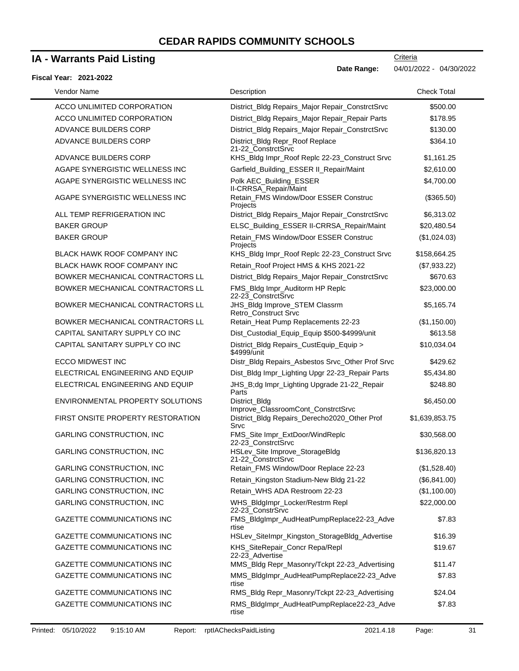### **IA - Warrants Paid Listing**

#### **Fiscal Year: 2021-2022**

**Date Range:** 04/01/2022 - 04/30/2022

**Criteria** 

| Vendor Name                        | Description                                            | <b>Check Total</b> |
|------------------------------------|--------------------------------------------------------|--------------------|
| ACCO UNLIMITED CORPORATION         | District_Bldg Repairs_Major Repair_ConstrctSrvc        | \$500.00           |
| ACCO UNLIMITED CORPORATION         | District_Bldg Repairs_Major Repair_Repair Parts        | \$178.95           |
| ADVANCE BUILDERS CORP              | District_Bldg Repairs_Major Repair_ConstrctSrvc        | \$130.00           |
| ADVANCE BUILDERS CORP              | District_Bldg Repr_Roof Replace<br>21-22 ConstrctSrvc  | \$364.10           |
| ADVANCE BUILDERS CORP              | KHS_Bldg Impr_Roof Replc 22-23_Construct Srvc          | \$1,161.25         |
| AGAPE SYNERGISTIC WELLNESS INC     | Garfield_Building_ESSER II_Repair/Maint                | \$2,610.00         |
| AGAPE SYNERGISTIC WELLNESS INC     | Polk AEC_Building_ESSER<br>II-CRRSA_Repair/Maint       | \$4,700.00         |
| AGAPE SYNERGISTIC WELLNESS INC     | Retain_FMS Window/Door ESSER Construc<br>Projects      | (\$365.50)         |
| ALL TEMP REFRIGERATION INC         | District_Bldg Repairs_Major Repair_ConstrctSrvc        | \$6,313.02         |
| <b>BAKER GROUP</b>                 | ELSC_Building_ESSER II-CRRSA_Repair/Maint              | \$20,480.54        |
| <b>BAKER GROUP</b>                 | Retain FMS Window/Door ESSER Construc<br>Projects      | (\$1,024.03)       |
| <b>BLACK HAWK ROOF COMPANY INC</b> | KHS_Bldg Impr_Roof Replc 22-23_Construct Srvc          | \$158,664.25       |
| BLACK HAWK ROOF COMPANY INC        | Retain_Roof Project HMS & KHS 2021-22                  | (\$7,933.22)       |
| BOWKER MECHANICAL CONTRACTORS LL   | District_Bldg Repairs_Major Repair_ConstrctSrvc        | \$670.63           |
| BOWKER MECHANICAL CONTRACTORS LL   | FMS_Bldg Impr_Auditorm HP Replc<br>22-23 ConstrctSrvc  | \$23,000.00        |
| BOWKER MECHANICAL CONTRACTORS LL   | JHS_Bldg Improve_STEM Classrm<br>Retro Construct Srvc  | \$5,165.74         |
| BOWKER MECHANICAL CONTRACTORS LL   | Retain_Heat Pump Replacements 22-23                    | (\$1,150.00)       |
| CAPITAL SANITARY SUPPLY CO INC     | Dist_Custodial_Equip_Equip \$500-\$4999/unit           | \$613.58           |
| CAPITAL SANITARY SUPPLY CO INC     | District_Bldg Repairs_CustEquip_Equip ><br>\$4999/unit | \$10,034.04        |
| ECCO MIDWEST INC                   | Distr_Bldg Repairs_Asbestos Srvc_Other Prof Srvc       | \$429.62           |
| ELECTRICAL ENGINEERING AND EQUIP   | Dist_Bldg Impr_Lighting Upgr 22-23_Repair Parts        | \$5,434.80         |
| ELECTRICAL ENGINEERING AND EQUIP   | JHS_B;dg Impr_Lighting Upgrade 21-22_Repair<br>Parts   | \$248.80           |
| ENVIRONMENTAL PROPERTY SOLUTIONS   | District Bldg<br>Improve_ClassroomCont_ConstrctSrvc    | \$6,450.00         |
| FIRST ONSITE PROPERTY RESTORATION  | District_Bldg Repairs_Derecho2020_Other Prof<br>Srvc   | \$1,639,853.75     |
| <b>GARLING CONSTRUCTION, INC</b>   | FMS_Site Impr_ExtDoor/WindReplc<br>22-23_ConstrctSrvc  | \$30,568.00        |
| <b>GARLING CONSTRUCTION, INC</b>   | HSLev_Site Improve_StorageBldg<br>21-22_ConstrctSrvc   | \$136,820.13       |
| <b>GARLING CONSTRUCTION, INC</b>   | Retain_FMS Window/Door Replace 22-23                   | (\$1,528.40)       |
| <b>GARLING CONSTRUCTION, INC</b>   | Retain_Kingston Stadium-New Bldg 21-22                 | (\$6,841.00)       |
| <b>GARLING CONSTRUCTION, INC</b>   | Retain_WHS ADA Restroom 22-23                          | (\$1,100.00)       |
| <b>GARLING CONSTRUCTION, INC</b>   | WHS_BldgImpr_Locker/Restrm Repl<br>22-23_ConstrSrvc    | \$22,000.00        |
| GAZETTE COMMUNICATIONS INC         | FMS_BldgImpr_AudHeatPumpReplace22-23_Adve<br>rtise     | \$7.83             |
| GAZETTE COMMUNICATIONS INC         | HSLev_SiteImpr_Kingston_StorageBldg_Advertise          | \$16.39            |
| GAZETTE COMMUNICATIONS INC         | KHS_SiteRepair_Concr Repa/Repl<br>22-23_Advertise      | \$19.67            |
| <b>GAZETTE COMMUNICATIONS INC</b>  | MMS_Bldg Repr_Masonry/Tckpt 22-23_Advertising          | \$11.47            |
| GAZETTE COMMUNICATIONS INC         | MMS_BldgImpr_AudHeatPumpReplace22-23_Adve<br>rtise     | \$7.83             |
| GAZETTE COMMUNICATIONS INC         | RMS_Bldg Repr_Masonry/Tckpt 22-23_Advertising          | \$24.04            |
| <b>GAZETTE COMMUNICATIONS INC</b>  | RMS_BldgImpr_AudHeatPumpReplace22-23_Adve<br>rtise     | \$7.83             |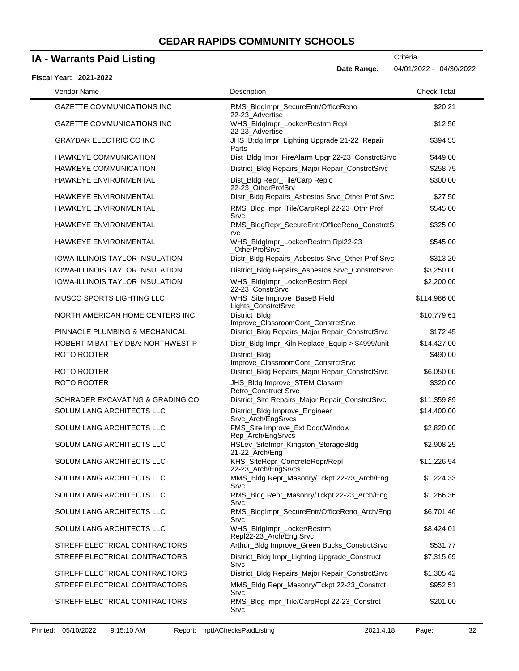# **IA - Warrants Paid Listing**

#### **Fiscal Year: 2021-2022**

| Vendor Name                            | Description                                                 | <b>Check Total</b> |
|----------------------------------------|-------------------------------------------------------------|--------------------|
| <b>GAZETTE COMMUNICATIONS INC</b>      | RMS_BldgImpr_SecureEntr/OfficeReno<br>22-23_Advertise       | \$20.21            |
| <b>GAZETTE COMMUNICATIONS INC</b>      | WHS_BldgImpr_Locker/Restrm Repl<br>22-23_Advertise          | \$12.56            |
| <b>GRAYBAR ELECTRIC CO INC</b>         | JHS_B;dg Impr_Lighting Upgrade 21-22_Repair<br>Parts        | \$394.55           |
| HAWKEYE COMMUNICATION                  | Dist_Bldg Impr_FireAlarm Upgr 22-23_ConstrctSrvc            | \$449.00           |
| HAWKEYE COMMUNICATION                  | District_Bldg Repairs_Major Repair_ConstrctSrvc             | \$258.75           |
| HAWKEYE ENVIRONMENTAL                  | Dist_Bldg Repr_Tile/Carp Replc<br>22-23 OtherProfSrv        | \$300.00           |
| HAWKEYE ENVIRONMENTAL                  | Distr_Bldg Repairs_Asbestos Srvc_Other Prof Srvc            | \$27.50            |
| HAWKEYE ENVIRONMENTAL                  | RMS_Bldg Impr_Tile/CarpRepl 22-23_Othr Prof<br>Srvc         | \$545.00           |
| HAWKEYE ENVIRONMENTAL                  | RMS_BldgRepr_SecureEntr/OfficeReno_ConstrctS<br><b>TVC</b>  | \$325.00           |
| <b>HAWKEYE ENVIRONMENTAL</b>           | WHS_BldgImpr_Locker/Restrm Rpl22-23<br><b>OtherProfSrvc</b> | \$545.00           |
| IOWA-ILLINOIS TAYLOR INSULATION        | Distr_Bldg Repairs_Asbestos Srvc_Other Prof Srvc            | \$313.20           |
| <b>IOWA-ILLINOIS TAYLOR INSULATION</b> | District_Bldg Repairs_Asbestos Srvc_ConstrctSrvc            | \$3,250.00         |
| <b>IOWA-ILLINOIS TAYLOR INSULATION</b> | WHS_BldgImpr_Locker/Restrm Repl<br>22-23 ConstrSrvc         | \$2,200.00         |
| MUSCO SPORTS LIGHTING LLC              | WHS_Site Improve_BaseB Field<br>Lights_ConstrctSrvc         | \$114,986.00       |
| NORTH AMERICAN HOME CENTERS INC        | District_Bldg<br>Improve_ClassroomCont_ConstrctSrvc         | \$10,779.61        |
| PINNACLE PLUMBING & MECHANICAL         | District_Bldg Repairs_Major Repair_ConstrctSrvc             | \$172.45           |
| ROBERT M BATTEY DBA: NORTHWEST P       | Distr_Bldg Impr_Kiln Replace_Equip > \$4999/unit            | \$14,427.00        |
| ROTO ROOTER                            | District_Bldg<br>Improve_ClassroomCont_ConstrctSrvc         | \$490.00           |
| ROTO ROOTER                            | District_Bldg Repairs_Major Repair_ConstrctSrvc             | \$6,050.00         |
| <b>ROTO ROOTER</b>                     | JHS_Bldg Improve_STEM Classrm<br>Retro_Construct Srvc       | \$320.00           |
| SCHRADER EXCAVATING & GRADING CO       | District_Site Repairs_Major Repair_ConstrctSrvc             | \$11,359.89        |
| SOLUM LANG ARCHITECTS LLC              | District_Bldg Improve_Engineer<br>Srvc_Arch/EngSrvcs        | \$14,400.00        |
| SOLUM LANG ARCHITECTS LLC              | FMS_Site Improve_Ext Door/Window<br>Rep_Arch/EngSrvcs       | \$2,820.00         |
| SOLUM LANG ARCHITECTS LLC              | HSLev_SiteImpr_Kingston_StorageBldg<br>21-22_Arch/Eng       | \$2,908.25         |
| SOLUM LANG ARCHITECTS LLC              | KHS_SiteRepr_ConcreteRepr/Repl<br>22-23_Arch/EngSrvcs       | \$11,226.94        |
| SOLUM LANG ARCHITECTS LLC              | MMS_Bldg Repr_Masonry/Tckpt 22-23_Arch/Eng<br>Srvc          | \$1,224.33         |
| SOLUM LANG ARCHITECTS LLC              | RMS_Bldg Repr_Masonry/Tckpt 22-23_Arch/Eng<br>Srvc          | \$1,266.36         |
| SOLUM LANG ARCHITECTS LLC              | RMS_BldgImpr_SecureEntr/OfficeReno_Arch/Eng<br>Srvc         | \$6,701.46         |
| SOLUM LANG ARCHITECTS LLC              | WHS_BldgImpr_Locker/Restrm<br>Repl22-23_Arch/Eng Srvc       | \$8,424.01         |
| STREFF ELECTRICAL CONTRACTORS          | Arthur_Bldg Improve_Green Bucks_ConstrctSrvc                | \$531.77           |
| STREFF ELECTRICAL CONTRACTORS          | District_Bldg Impr_Lighting Upgrade_Construct<br>Srvc       | \$7,315.69         |
| STREFF ELECTRICAL CONTRACTORS          | District_Bldg Repairs_Major Repair_ConstrctSrvc             | \$1,305.42         |
| STREFF ELECTRICAL CONTRACTORS          | MMS_Bldg Repr_Masonry/Tckpt 22-23_Constrct<br>Srvc          | \$952.51           |
| STREFF ELECTRICAL CONTRACTORS          | RMS_Bldg Impr_Tile/CarpRepl 22-23_Constrct<br>Srvc          | \$201.00           |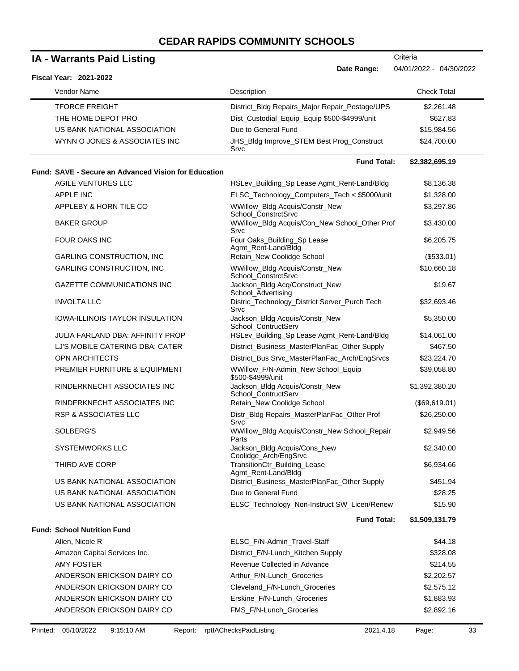| <b>IA - Warrants Paid Listing</b> |                                                             |                                                         | Criteria                |
|-----------------------------------|-------------------------------------------------------------|---------------------------------------------------------|-------------------------|
|                                   | Fiscal Year: 2021-2022                                      | Date Range:                                             | 04/01/2022 - 04/30/2022 |
|                                   | Vendor Name                                                 | Description                                             | <b>Check Total</b>      |
|                                   | <b>TFORCE FREIGHT</b>                                       | District_Bldg Repairs_Major Repair_Postage/UPS          | \$2,261.48              |
|                                   | THE HOME DEPOT PRO                                          | Dist_Custodial_Equip_Equip \$500-\$4999/unit            | \$627.83                |
|                                   | US BANK NATIONAL ASSOCIATION                                | Due to General Fund                                     | \$15,984.56             |
|                                   | WYNN O JONES & ASSOCIATES INC                               | JHS_Bldg Improve_STEM Best Prog_Construct<br>Srvc       | \$24,700.00             |
|                                   |                                                             | <b>Fund Total:</b>                                      | \$2,382,695.19          |
|                                   | <b>Fund: SAVE - Secure an Advanced Vision for Education</b> |                                                         |                         |
|                                   | <b>AGILE VENTURES LLC</b>                                   | HSLev_Building_Sp Lease Agmt_Rent-Land/Bldg             | \$8,136.38              |
|                                   | <b>APPLE INC</b>                                            | ELSC_Technology_Computers_Tech < \$5000/unit            | \$1,328.00              |
|                                   | APPLEBY & HORN TILE CO                                      | WWillow_Bldg Acquis/Constr_New<br>School ConstrctSrvc   | \$3,297.86              |
|                                   | <b>BAKER GROUP</b>                                          | WWillow_Bldg Acquis/Con_New School_Other Prof<br>Srvc   | \$3,430.00              |
|                                   | <b>FOUR OAKS INC</b>                                        | Four Oaks_Building_Sp Lease<br>Agmt_Rent-Land/Bldg      | \$6,205.75              |
|                                   | <b>GARLING CONSTRUCTION, INC</b>                            | Retain_New Coolidge School                              | (\$533.01)              |
|                                   | <b>GARLING CONSTRUCTION, INC</b>                            | WWillow_Bldg Acquis/Constr_New<br>School_ConstrctSrvc   | \$10,660.18             |
|                                   | <b>GAZETTE COMMUNICATIONS INC</b>                           | Jackson_Bldg Acq/Construct_New<br>School_Advertising    | \$19.67                 |
|                                   | <b>INVOLTA LLC</b>                                          | Distric_Technology_District Server_Purch Tech<br>Srvc   | \$32,693.46             |
|                                   | IOWA-ILLINOIS TAYLOR INSULATION                             | Jackson_Bldg Acquis/Constr_New<br>School ContructServ   | \$5,350.00              |
|                                   | JULIA FARLAND DBA: AFFINITY PROP                            | HSLev_Building_Sp Lease Agmt_Rent-Land/Bldg             | \$14,061.00             |
|                                   | LJ'S MOBILE CATERING DBA: CATER                             | District_Business_MasterPlanFac_Other Supply            | \$467.50                |
|                                   | <b>OPN ARCHITECTS</b>                                       | District_Bus Srvc_MasterPlanFac_Arch/EngSrvcs           | \$23,224.70             |
|                                   | PREMIER FURNITURE & EQUIPMENT                               | WWillow_F/N-Admin_New School_Equip<br>\$500-\$4999/unit | \$39,058.80             |
|                                   | RINDERKNECHT ASSOCIATES INC                                 | Jackson_Bldg Acquis/Constr_New<br>School_ContructServ   | \$1,392,380.20          |
|                                   | RINDERKNECHT ASSOCIATES INC                                 | Retain_New Coolidge School                              | (\$69,619.01)           |
|                                   | <b>RSP &amp; ASSOCIATES LLC</b>                             | Distr_Bldg Repairs_MasterPlanFac_Other Prof<br>Srvc     | \$26,250.00             |
|                                   | SOLBERG'S                                                   | WWillow_Bldg Acquis/Constr_New School_Repair<br>Parts   | \$2,949.56              |
|                                   | <b>SYSTEMWORKS LLC</b>                                      | Jackson_Bldg Acquis/Cons_New<br>Coolidge_Arch/EngSrvc   | \$2,340.00              |
|                                   | THIRD AVE CORP                                              | TransitionCtr_Building_Lease<br>Agmt_Rent-Land/Bldg     | \$6,934.66              |
|                                   | US BANK NATIONAL ASSOCIATION                                | District_Business_MasterPlanFac_Other Supply            | \$451.94                |
|                                   | US BANK NATIONAL ASSOCIATION                                | Due to General Fund                                     | \$28.25                 |
|                                   | US BANK NATIONAL ASSOCIATION                                | ELSC_Technology_Non-Instruct SW_Licen/Renew             | \$15.90                 |
|                                   |                                                             | <b>Fund Total:</b>                                      | \$1,509,131.79          |
|                                   | <b>Fund: School Nutrition Fund</b>                          |                                                         |                         |
|                                   | Allen, Nicole R                                             | ELSC_F/N-Admin_Travel-Staff                             | \$44.18                 |
|                                   | Amazon Capital Services Inc.                                | District_F/N-Lunch_Kitchen Supply                       | \$328.08                |
|                                   | <b>AMY FOSTER</b>                                           | Revenue Collected in Advance                            | \$214.55                |
|                                   | ANDERSON ERICKSON DAIRY CO                                  | Arthur_F/N-Lunch_Groceries                              | \$2,202.57              |
|                                   | ANDERSON ERICKSON DAIRY CO                                  | Cleveland_F/N-Lunch_Groceries                           | \$2,575.12              |
|                                   | ANDERSON ERICKSON DAIRY CO                                  | Erskine_F/N-Lunch_Groceries                             | \$1,883.93              |
|                                   | ANDERSON ERICKSON DAIRY CO                                  | FMS_F/N-Lunch_Groceries                                 | \$2,892.16              |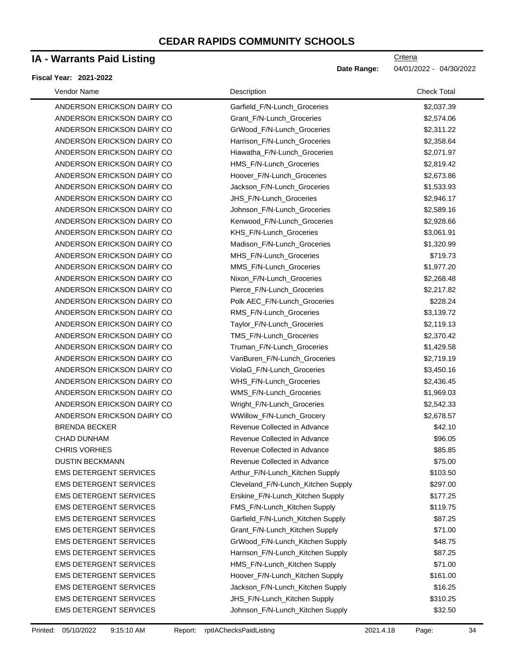# **IA - Warrants Paid Listing**

#### **Fiscal Year: 2021-2022**

| Vendor Name                   | Description                        | <b>Check Total</b> |
|-------------------------------|------------------------------------|--------------------|
| ANDERSON ERICKSON DAIRY CO    | Garfield_F/N-Lunch_Groceries       | \$2,037.39         |
| ANDERSON ERICKSON DAIRY CO    | Grant_F/N-Lunch_Groceries          | \$2,574.06         |
| ANDERSON ERICKSON DAIRY CO    | GrWood_F/N-Lunch_Groceries         | \$2,311.22         |
| ANDERSON ERICKSON DAIRY CO    | Harrison_F/N-Lunch_Groceries       | \$2,358.64         |
| ANDERSON ERICKSON DAIRY CO    | Hiawatha_F/N-Lunch_Groceries       | \$2,071.97         |
| ANDERSON ERICKSON DAIRY CO    | HMS_F/N-Lunch_Groceries            | \$2,819.42         |
| ANDERSON ERICKSON DAIRY CO    | Hoover_F/N-Lunch_Groceries         | \$2,673.86         |
| ANDERSON ERICKSON DAIRY CO    | Jackson_F/N-Lunch_Groceries        | \$1,533.93         |
| ANDERSON ERICKSON DAIRY CO    | JHS_F/N-Lunch_Groceries            | \$2,946.17         |
| ANDERSON ERICKSON DAIRY CO    | Johnson_F/N-Lunch_Groceries        | \$2,589.16         |
| ANDERSON ERICKSON DAIRY CO    | Kenwood_F/N-Lunch_Groceries        | \$2,928.66         |
| ANDERSON ERICKSON DAIRY CO    | KHS_F/N-Lunch_Groceries            | \$3,061.91         |
| ANDERSON ERICKSON DAIRY CO    | Madison_F/N-Lunch_Groceries        | \$1,320.99         |
| ANDERSON ERICKSON DAIRY CO    | MHS_F/N-Lunch_Groceries            | \$719.73           |
| ANDERSON ERICKSON DAIRY CO    | MMS_F/N-Lunch_Groceries            | \$1,977.20         |
| ANDERSON ERICKSON DAIRY CO    | Nixon_F/N-Lunch_Groceries          | \$2,268.48         |
| ANDERSON ERICKSON DAIRY CO    | Pierce_F/N-Lunch_Groceries         | \$2,217.82         |
| ANDERSON ERICKSON DAIRY CO    | Polk AEC_F/N-Lunch_Groceries       | \$228.24           |
| ANDERSON ERICKSON DAIRY CO    | RMS_F/N-Lunch_Groceries            | \$3,139.72         |
| ANDERSON ERICKSON DAIRY CO    | Taylor_F/N-Lunch_Groceries         | \$2,119.13         |
| ANDERSON ERICKSON DAIRY CO    | TMS_F/N-Lunch_Groceries            | \$2,370.42         |
| ANDERSON ERICKSON DAIRY CO    | Truman_F/N-Lunch_Groceries         | \$1,429.58         |
| ANDERSON ERICKSON DAIRY CO    | VanBuren_F/N-Lunch_Groceries       | \$2,719.19         |
| ANDERSON ERICKSON DAIRY CO    | ViolaG_F/N-Lunch_Groceries         | \$3,450.16         |
| ANDERSON ERICKSON DAIRY CO    | WHS_F/N-Lunch_Groceries            | \$2,436.45         |
| ANDERSON ERICKSON DAIRY CO    | WMS_F/N-Lunch_Groceries            | \$1,969.03         |
| ANDERSON ERICKSON DAIRY CO    | Wright_F/N-Lunch_Groceries         | \$2,542.33         |
| ANDERSON ERICKSON DAIRY CO    | WWillow_F/N-Lunch_Grocery          | \$2,678.57         |
| <b>BRENDA BECKER</b>          | Revenue Collected in Advance       | \$42.10            |
| <b>CHAD DUNHAM</b>            | Revenue Collected in Advance       | \$96.05            |
| <b>CHRIS VORHIES</b>          | Revenue Collected in Advance       | \$85.85            |
| <b>DUSTIN BECKMANN</b>        | Revenue Collected in Advance       | \$75.00            |
| <b>EMS DETERGENT SERVICES</b> | Arthur_F/N-Lunch_Kitchen Supply    | \$103.50           |
| <b>EMS DETERGENT SERVICES</b> | Cleveland_F/N-Lunch_Kitchen Supply | \$297.00           |
| <b>EMS DETERGENT SERVICES</b> | Erskine_F/N-Lunch_Kitchen Supply   | \$177.25           |
| <b>EMS DETERGENT SERVICES</b> | FMS_F/N-Lunch_Kitchen Supply       | \$119.75           |
| <b>EMS DETERGENT SERVICES</b> | Garfield_F/N-Lunch_Kitchen Supply  | \$87.25            |
| <b>EMS DETERGENT SERVICES</b> | Grant_F/N-Lunch_Kitchen Supply     | \$71.00            |
| <b>EMS DETERGENT SERVICES</b> | GrWood_F/N-Lunch_Kitchen Supply    | \$48.75            |
| <b>EMS DETERGENT SERVICES</b> | Harrison_F/N-Lunch_Kitchen Supply  | \$87.25            |
| <b>EMS DETERGENT SERVICES</b> | HMS_F/N-Lunch_Kitchen Supply       | \$71.00            |
| <b>EMS DETERGENT SERVICES</b> | Hoover_F/N-Lunch_Kitchen Supply    | \$161.00           |
| <b>EMS DETERGENT SERVICES</b> | Jackson_F/N-Lunch_Kitchen Supply   | \$16.25            |
| <b>EMS DETERGENT SERVICES</b> | JHS_F/N-Lunch_Kitchen Supply       | \$310.25           |
| EMS DETERGENT SERVICES        | Johnson_F/N-Lunch_Kitchen Supply   | \$32.50            |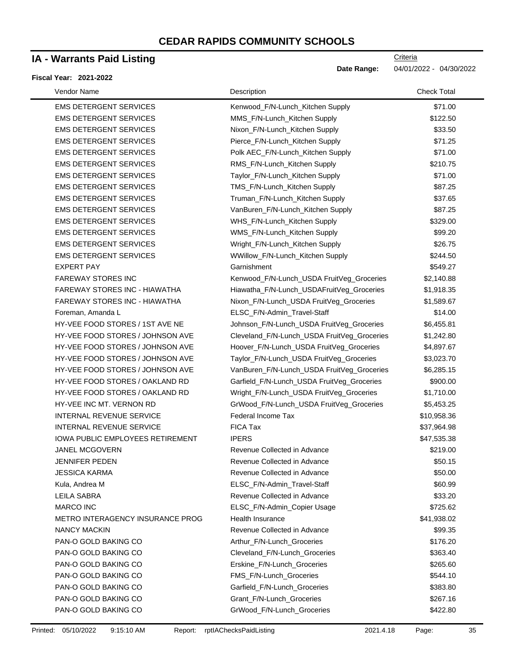### **IA - Warrants Paid Listing**

#### **Fiscal Year: 2021-2022**

**Criteria** 

**Date Range:** 04/01/2022 - 04/30/2022

| Vendor Name                             | Description                                 | <b>Check Total</b> |
|-----------------------------------------|---------------------------------------------|--------------------|
| <b>EMS DETERGENT SERVICES</b>           | Kenwood_F/N-Lunch_Kitchen Supply            | \$71.00            |
| <b>EMS DETERGENT SERVICES</b>           | MMS_F/N-Lunch_Kitchen Supply                | \$122.50           |
| <b>EMS DETERGENT SERVICES</b>           | Nixon_F/N-Lunch_Kitchen Supply              | \$33.50            |
| <b>EMS DETERGENT SERVICES</b>           | Pierce_F/N-Lunch_Kitchen Supply             | \$71.25            |
| <b>EMS DETERGENT SERVICES</b>           | Polk AEC_F/N-Lunch_Kitchen Supply           | \$71.00            |
| <b>EMS DETERGENT SERVICES</b>           | RMS_F/N-Lunch_Kitchen Supply                | \$210.75           |
| <b>EMS DETERGENT SERVICES</b>           | Taylor_F/N-Lunch_Kitchen Supply             | \$71.00            |
| <b>EMS DETERGENT SERVICES</b>           | TMS_F/N-Lunch_Kitchen Supply                | \$87.25            |
| <b>EMS DETERGENT SERVICES</b>           | Truman_F/N-Lunch_Kitchen Supply             | \$37.65            |
| <b>EMS DETERGENT SERVICES</b>           | VanBuren_F/N-Lunch_Kitchen Supply           | \$87.25            |
| <b>EMS DETERGENT SERVICES</b>           | WHS_F/N-Lunch_Kitchen Supply                | \$329.00           |
| <b>EMS DETERGENT SERVICES</b>           | WMS_F/N-Lunch_Kitchen Supply                | \$99.20            |
| <b>EMS DETERGENT SERVICES</b>           | Wright_F/N-Lunch_Kitchen Supply             | \$26.75            |
| <b>EMS DETERGENT SERVICES</b>           | WWillow_F/N-Lunch_Kitchen Supply            | \$244.50           |
| <b>EXPERT PAY</b>                       | Garnishment                                 | \$549.27           |
| <b>FAREWAY STORES INC</b>               | Kenwood_F/N-Lunch_USDA FruitVeg_Groceries   | \$2,140.88         |
| FAREWAY STORES INC - HIAWATHA           | Hiawatha_F/N-Lunch_USDAFruitVeg_Groceries   | \$1,918.35         |
| <b>FAREWAY STORES INC - HIAWATHA</b>    | Nixon_F/N-Lunch_USDA FruitVeg_Groceries     | \$1,589.67         |
| Foreman, Amanda L                       | ELSC_F/N-Admin_Travel-Staff                 | \$14.00            |
| HY-VEE FOOD STORES / 1ST AVE NE         | Johnson_F/N-Lunch_USDA FruitVeg_Groceries   | \$6,455.81         |
| HY-VEE FOOD STORES / JOHNSON AVE        | Cleveland_F/N-Lunch_USDA FruitVeg_Groceries | \$1,242.80         |
| HY-VEE FOOD STORES / JOHNSON AVE        | Hoover_F/N-Lunch_USDA FruitVeg_Groceries    | \$4,897.67         |
| HY-VEE FOOD STORES / JOHNSON AVE        | Taylor_F/N-Lunch_USDA FruitVeg_Groceries    | \$3,023.70         |
| HY-VEE FOOD STORES / JOHNSON AVE        | VanBuren_F/N-Lunch_USDA FruitVeg_Groceries  | \$6,285.15         |
| HY-VEE FOOD STORES / OAKLAND RD         | Garfield_F/N-Lunch_USDA FruitVeg_Groceries  | \$900.00           |
| HY-VEE FOOD STORES / OAKLAND RD         | Wright_F/N-Lunch_USDA FruitVeg_Groceries    | \$1,710.00         |
| HY-VEE INC MT. VERNON RD                | GrWood_F/N-Lunch_USDA FruitVeg_Groceries    | \$5,453.25         |
| INTERNAL REVENUE SERVICE                | Federal Income Tax                          | \$10,958.36        |
| INTERNAL REVENUE SERVICE                | FICA Tax                                    | \$37,964.98        |
| <b>IOWA PUBLIC EMPLOYEES RETIREMENT</b> | <b>IPERS</b>                                | \$47,535.38        |
| <b>JANEL MCGOVERN</b>                   | Revenue Collected in Advance                | \$219.00           |
| JENNIFFR PEDEN                          | Revenue Collected in Advance                | \$50.15            |
| JESSICA KARMA                           | Revenue Collected in Advance                | \$50.00            |
| Kula, Andrea M                          | ELSC_F/N-Admin_Travel-Staff                 | \$60.99            |
| <b>LEILA SABRA</b>                      | Revenue Collected in Advance                | \$33.20            |
| <b>MARCO INC</b>                        | ELSC_F/N-Admin_Copier Usage                 | \$725.62           |
| <b>METRO INTERAGENCY INSURANCE PROG</b> | Health Insurance                            | \$41,938.02        |
| <b>NANCY MACKIN</b>                     | Revenue Collected in Advance                | \$99.35            |
| PAN-O GOLD BAKING CO                    | Arthur F/N-Lunch Groceries                  | \$176.20           |
| PAN-O GOLD BAKING CO                    | Cleveland F/N-Lunch Groceries               | \$363.40           |
| PAN-O GOLD BAKING CO                    | Erskine_F/N-Lunch_Groceries                 | \$265.60           |
| PAN-O GOLD BAKING CO                    | FMS_F/N-Lunch_Groceries                     | \$544.10           |
| PAN-O GOLD BAKING CO                    | Garfield_F/N-Lunch_Groceries                | \$383.80           |
| PAN-O GOLD BAKING CO                    | Grant_F/N-Lunch_Groceries                   | \$267.16           |
| PAN-O GOLD BAKING CO                    | GrWood_F/N-Lunch_Groceries                  | \$422.80           |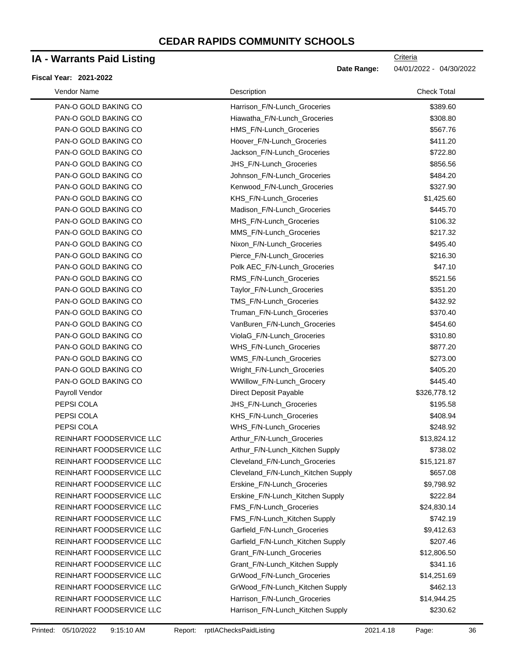### **IA - Warrants Paid Listing**

#### **Fiscal Year: 2021-2022**

| Vendor Name              | Description                        | <b>Check Total</b> |
|--------------------------|------------------------------------|--------------------|
| PAN-O GOLD BAKING CO     | Harrison_F/N-Lunch_Groceries       | \$389.60           |
| PAN-O GOLD BAKING CO     | Hiawatha_F/N-Lunch_Groceries       | \$308.80           |
| PAN-O GOLD BAKING CO     | HMS_F/N-Lunch_Groceries            | \$567.76           |
| PAN-O GOLD BAKING CO     | Hoover_F/N-Lunch_Groceries         | \$411.20           |
| PAN-O GOLD BAKING CO     | Jackson_F/N-Lunch_Groceries        | \$722.80           |
| PAN-O GOLD BAKING CO     | JHS_F/N-Lunch_Groceries            | \$856.56           |
| PAN-O GOLD BAKING CO     | Johnson_F/N-Lunch_Groceries        | \$484.20           |
| PAN-O GOLD BAKING CO     | Kenwood_F/N-Lunch_Groceries        | \$327.90           |
| PAN-O GOLD BAKING CO     | KHS_F/N-Lunch_Groceries            | \$1,425.60         |
| PAN-O GOLD BAKING CO     | Madison_F/N-Lunch_Groceries        | \$445.70           |
| PAN-O GOLD BAKING CO     | MHS_F/N-Lunch_Groceries            | \$106.32           |
| PAN-O GOLD BAKING CO     | MMS_F/N-Lunch_Groceries            | \$217.32           |
| PAN-O GOLD BAKING CO     | Nixon_F/N-Lunch_Groceries          | \$495.40           |
| PAN-O GOLD BAKING CO     | Pierce_F/N-Lunch_Groceries         | \$216.30           |
| PAN-O GOLD BAKING CO     | Polk AEC_F/N-Lunch_Groceries       | \$47.10            |
| PAN-O GOLD BAKING CO     | RMS_F/N-Lunch_Groceries            | \$521.56           |
| PAN-O GOLD BAKING CO     | Taylor_F/N-Lunch_Groceries         | \$351.20           |
| PAN-O GOLD BAKING CO     | TMS_F/N-Lunch_Groceries            | \$432.92           |
| PAN-O GOLD BAKING CO     | Truman_F/N-Lunch_Groceries         | \$370.40           |
| PAN-O GOLD BAKING CO     | VanBuren_F/N-Lunch_Groceries       | \$454.60           |
| PAN-O GOLD BAKING CO     | ViolaG_F/N-Lunch_Groceries         | \$310.80           |
| PAN-O GOLD BAKING CO     | WHS_F/N-Lunch_Groceries            | \$877.20           |
| PAN-O GOLD BAKING CO     | WMS_F/N-Lunch_Groceries            | \$273.00           |
| PAN-O GOLD BAKING CO     | Wright_F/N-Lunch_Groceries         | \$405.20           |
| PAN-O GOLD BAKING CO     | WWillow_F/N-Lunch_Grocery          | \$445.40           |
| Payroll Vendor           | Direct Deposit Payable             | \$326,778.12       |
| PEPSI COLA               | JHS_F/N-Lunch_Groceries            | \$195.58           |
| PEPSI COLA               | KHS_F/N-Lunch_Groceries            | \$408.94           |
| PEPSI COLA               | WHS_F/N-Lunch_Groceries            | \$248.92           |
| REINHART FOODSERVICE LLC | Arthur_F/N-Lunch_Groceries         | \$13,824.12        |
| REINHART FOODSERVICE LLC | Arthur_F/N-Lunch_Kitchen Supply    | \$738.02           |
| REINHART FOODSERVICE LLC | Cleveland F/N-Lunch Groceries      | \$15,121.87        |
| REINHART FOODSERVICE LLC | Cleveland_F/N-Lunch_Kitchen Supply | \$657.08           |
| REINHART FOODSERVICE LLC | Erskine_F/N-Lunch_Groceries        | \$9,798.92         |
| REINHART FOODSERVICE LLC | Erskine_F/N-Lunch_Kitchen Supply   | \$222.84           |
| REINHART FOODSERVICE LLC | FMS_F/N-Lunch_Groceries            | \$24,830.14        |
| REINHART FOODSERVICE LLC | FMS_F/N-Lunch_Kitchen Supply       | \$742.19           |
| REINHART FOODSERVICE LLC | Garfield_F/N-Lunch_Groceries       | \$9,412.63         |
| REINHART FOODSERVICE LLC | Garfield_F/N-Lunch_Kitchen Supply  | \$207.46           |
| REINHART FOODSERVICE LLC | Grant_F/N-Lunch_Groceries          | \$12,806.50        |
| REINHART FOODSERVICE LLC | Grant_F/N-Lunch_Kitchen Supply     | \$341.16           |
| REINHART FOODSERVICE LLC | GrWood_F/N-Lunch_Groceries         | \$14,251.69        |
| REINHART FOODSERVICE LLC | GrWood_F/N-Lunch_Kitchen Supply    | \$462.13           |
| REINHART FOODSERVICE LLC | Harrison_F/N-Lunch_Groceries       | \$14,944.25        |
| REINHART FOODSERVICE LLC | Harrison_F/N-Lunch_Kitchen Supply  | \$230.62           |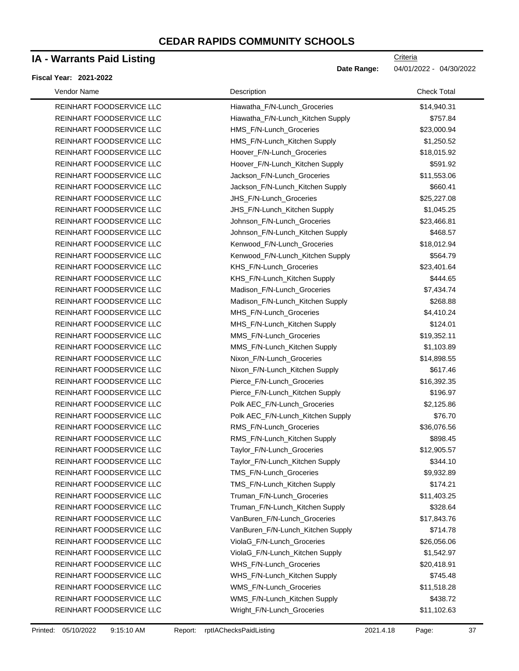## **IA - Warrants Paid Listing**

#### **Fiscal Year: 2021-2022**

| Vendor Name |                          | Description                       | <b>Check Total</b> |  |
|-------------|--------------------------|-----------------------------------|--------------------|--|
|             | REINHART FOODSERVICE LLC | Hiawatha_F/N-Lunch_Groceries      | \$14,940.31        |  |
|             | REINHART FOODSERVICE LLC | Hiawatha_F/N-Lunch_Kitchen Supply | \$757.84           |  |
|             | REINHART FOODSERVICE LLC | HMS_F/N-Lunch_Groceries           | \$23,000.94        |  |
|             | REINHART FOODSERVICE LLC | HMS_F/N-Lunch_Kitchen Supply      | \$1,250.52         |  |
|             | REINHART FOODSERVICE LLC | Hoover_F/N-Lunch_Groceries        | \$18,015.92        |  |
|             | REINHART FOODSERVICE LLC | Hoover_F/N-Lunch_Kitchen Supply   | \$591.92           |  |
|             | REINHART FOODSERVICE LLC | Jackson_F/N-Lunch_Groceries       | \$11,553.06        |  |
|             | REINHART FOODSERVICE LLC | Jackson_F/N-Lunch_Kitchen Supply  | \$660.41           |  |
|             | REINHART FOODSERVICE LLC | JHS_F/N-Lunch_Groceries           | \$25,227.08        |  |
|             | REINHART FOODSERVICE LLC | JHS_F/N-Lunch_Kitchen Supply      | \$1,045.25         |  |
|             | REINHART FOODSERVICE LLC | Johnson_F/N-Lunch_Groceries       | \$23,466.81        |  |
|             | REINHART FOODSERVICE LLC | Johnson_F/N-Lunch_Kitchen Supply  | \$468.57           |  |
|             | REINHART FOODSERVICE LLC | Kenwood_F/N-Lunch_Groceries       | \$18,012.94        |  |
|             | REINHART FOODSERVICE LLC | Kenwood_F/N-Lunch_Kitchen Supply  | \$564.79           |  |
|             | REINHART FOODSERVICE LLC | KHS_F/N-Lunch_Groceries           | \$23,401.64        |  |
|             | REINHART FOODSERVICE LLC | KHS_F/N-Lunch_Kitchen Supply      | \$444.65           |  |
|             | REINHART FOODSERVICE LLC | Madison_F/N-Lunch_Groceries       | \$7,434.74         |  |
|             | REINHART FOODSERVICE LLC | Madison_F/N-Lunch_Kitchen Supply  | \$268.88           |  |
|             | REINHART FOODSERVICE LLC | MHS_F/N-Lunch_Groceries           | \$4,410.24         |  |
|             | REINHART FOODSERVICE LLC | MHS_F/N-Lunch_Kitchen Supply      | \$124.01           |  |
|             | REINHART FOODSERVICE LLC | MMS_F/N-Lunch_Groceries           | \$19,352.11        |  |
|             | REINHART FOODSERVICE LLC | MMS_F/N-Lunch_Kitchen Supply      | \$1,103.89         |  |
|             | REINHART FOODSERVICE LLC | Nixon_F/N-Lunch_Groceries         | \$14,898.55        |  |
|             | REINHART FOODSERVICE LLC | Nixon_F/N-Lunch_Kitchen Supply    | \$617.46           |  |
|             | REINHART FOODSERVICE LLC | Pierce_F/N-Lunch_Groceries        | \$16,392.35        |  |
|             | REINHART FOODSERVICE LLC | Pierce_F/N-Lunch_Kitchen Supply   | \$196.97           |  |
|             | REINHART FOODSERVICE LLC | Polk AEC_F/N-Lunch_Groceries      | \$2,125.86         |  |
|             | REINHART FOODSERVICE LLC | Polk AEC_F/N-Lunch_Kitchen Supply | \$76.70            |  |
|             | REINHART FOODSERVICE LLC | RMS_F/N-Lunch_Groceries           | \$36,076.56        |  |
|             | REINHART FOODSERVICE LLC | RMS_F/N-Lunch_Kitchen Supply      | \$898.45           |  |
|             | REINHART FOODSERVICE LLC | Taylor_F/N-Lunch_Groceries        | \$12,905.57        |  |
|             | REINHART FOODSERVICE LLC | Taylor_F/N-Lunch_Kitchen Supply   | \$344.10           |  |
|             | REINHART FOODSERVICE LLC | TMS_F/N-Lunch_Groceries           | \$9,932.89         |  |
|             | REINHART FOODSERVICE LLC | TMS_F/N-Lunch_Kitchen Supply      | \$174.21           |  |
|             | REINHART FOODSERVICE LLC | Truman_F/N-Lunch_Groceries        | \$11,403.25        |  |
|             | REINHART FOODSERVICE LLC | Truman_F/N-Lunch_Kitchen Supply   | \$328.64           |  |
|             | REINHART FOODSERVICE LLC | VanBuren_F/N-Lunch_Groceries      | \$17,843.76        |  |
|             | REINHART FOODSERVICE LLC | VanBuren_F/N-Lunch_Kitchen Supply | \$714.78           |  |
|             | REINHART FOODSERVICE LLC | ViolaG_F/N-Lunch_Groceries        | \$26,056.06        |  |
|             | REINHART FOODSERVICE LLC | ViolaG_F/N-Lunch_Kitchen Supply   | \$1,542.97         |  |
|             | REINHART FOODSERVICE LLC | WHS_F/N-Lunch_Groceries           | \$20,418.91        |  |
|             | REINHART FOODSERVICE LLC | WHS_F/N-Lunch_Kitchen Supply      | \$745.48           |  |
|             | REINHART FOODSERVICE LLC | WMS_F/N-Lunch_Groceries           | \$11,518.28        |  |
|             | REINHART FOODSERVICE LLC | WMS_F/N-Lunch_Kitchen Supply      | \$438.72           |  |
|             | REINHART FOODSERVICE LLC | Wright_F/N-Lunch_Groceries        | \$11,102.63        |  |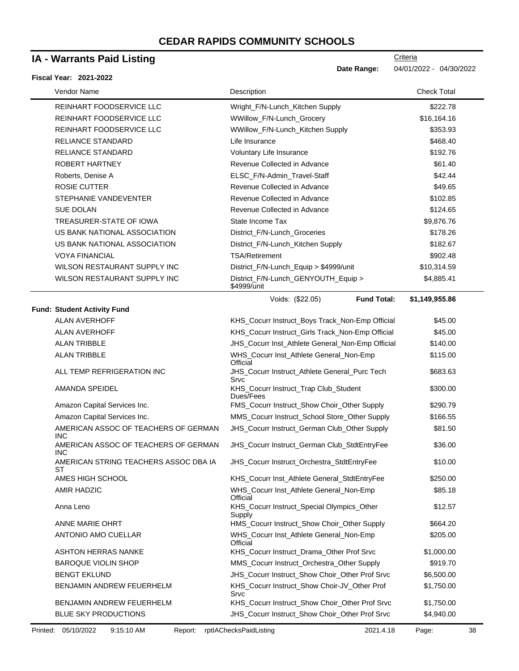### **IA - Warrants Paid Listing**

#### **Fiscal Year: 2021-2022**

| Vendor Name                                        | Description                                           | <b>Check Total</b> |  |
|----------------------------------------------------|-------------------------------------------------------|--------------------|--|
| REINHART FOODSERVICE LLC                           | Wright_F/N-Lunch_Kitchen Supply                       | \$222.78           |  |
| REINHART FOODSERVICE LLC                           | WWillow_F/N-Lunch_Grocery                             | \$16,164.16        |  |
| REINHART FOODSERVICE LLC                           | WWillow_F/N-Lunch_Kitchen Supply                      | \$353.93           |  |
| <b>RELIANCE STANDARD</b>                           | Life Insurance                                        | \$468.40           |  |
| <b>RELIANCE STANDARD</b>                           | Voluntary Life Insurance                              | \$192.76           |  |
| ROBERT HARTNEY                                     | Revenue Collected in Advance                          | \$61.40            |  |
| Roberts, Denise A                                  | ELSC_F/N-Admin_Travel-Staff                           | \$42.44            |  |
| <b>ROSIE CUTTER</b>                                | Revenue Collected in Advance                          | \$49.65            |  |
| STEPHANIE VANDEVENTER                              | Revenue Collected in Advance                          | \$102.85           |  |
| <b>SUE DOLAN</b>                                   | Revenue Collected in Advance                          | \$124.65           |  |
| TREASURER-STATE OF IOWA                            | State Income Tax                                      | \$9,876.76         |  |
| US BANK NATIONAL ASSOCIATION                       | District_F/N-Lunch_Groceries                          | \$178.26           |  |
| US BANK NATIONAL ASSOCIATION                       | District_F/N-Lunch_Kitchen Supply                     | \$182.67           |  |
| <b>VOYA FINANCIAL</b>                              | <b>TSA/Retirement</b>                                 | \$902.48           |  |
| WILSON RESTAURANT SUPPLY INC                       | District_F/N-Lunch_Equip > \$4999/unit                | \$10,314.59        |  |
| WILSON RESTAURANT SUPPLY INC                       | District_F/N-Lunch_GENYOUTH_Equip ><br>\$4999/unit    | \$4,885.41         |  |
|                                                    | <b>Fund Total:</b><br>Voids: (\$22.05)                | \$1,149,955.86     |  |
| <b>Fund: Student Activity Fund</b>                 |                                                       |                    |  |
| <b>ALAN AVERHOFF</b>                               | KHS_Cocurr Instruct_Boys Track_Non-Emp Official       | \$45.00            |  |
| <b>ALAN AVERHOFF</b>                               | KHS_Cocurr Instruct_Girls Track_Non-Emp Official      | \$45.00            |  |
| <b>ALAN TRIBBLE</b>                                | JHS_Cocurr Inst_Athlete General_Non-Emp Official      | \$140.00           |  |
| <b>ALAN TRIBBLE</b>                                | WHS_Cocurr Inst_Athlete General_Non-Emp<br>Official   | \$115.00           |  |
| ALL TEMP REFRIGERATION INC                         | JHS_Cocurr Instruct_Athlete General_Purc Tech<br>Srvc | \$683.63           |  |
| AMANDA SPEIDEL                                     | KHS_Cocurr Instruct_Trap Club_Student<br>Dues/Fees    | \$300.00           |  |
| Amazon Capital Services Inc.                       | FMS_Cocurr Instruct_Show Choir_Other Supply           | \$290.79           |  |
| Amazon Capital Services Inc.                       | MMS_Cocurr Instruct_School Store_Other Supply         | \$166.55           |  |
| AMERICAN ASSOC OF TEACHERS OF GERMAN<br><b>INC</b> | JHS_Cocurr Instruct_German Club_Other Supply          | \$81.50            |  |
| AMERICAN ASSOC OF TEACHERS OF GERMAN<br>INC.       | JHS_Cocurr Instruct_German Club_StdtEntryFee          | \$36.00            |  |
| AMERICAN STRING TEACHERS ASSOC DBA IA<br>ST        | JHS_Cocurr Instruct_Orchestra_StdtEntryFee            | \$10.00            |  |
| AMES HIGH SCHOOL                                   | KHS_Cocurr Inst_Athlete General_StdtEntryFee          | \$250.00           |  |
| AMIR HADZIC                                        | WHS_Cocurr Inst_Athlete General_Non-Emp<br>Official   | \$85.18            |  |
| Anna Leno                                          | KHS_Cocurr Instruct_Special Olympics_Other<br>Supply  | \$12.57            |  |
| ANNE MARIE OHRT                                    | HMS_Cocurr Instruct_Show Choir_Other Supply           | \$664.20           |  |
| ANTONIO AMO CUELLAR                                | WHS_Cocurr Inst_Athlete General_Non-Emp<br>Official   | \$205.00           |  |
| <b>ASHTON HERRAS NANKE</b>                         | KHS_Cocurr Instruct_Drama_Other Prof Srvc             | \$1,000.00         |  |
| <b>BAROQUE VIOLIN SHOP</b>                         | MMS_Cocurr Instruct_Orchestra_Other Supply            | \$919.70           |  |
| <b>BENGT EKLUND</b>                                | JHS_Cocurr Instruct_Show Choir_Other Prof Srvc        | \$6,500.00         |  |
| BENJAMIN ANDREW FEUERHELM                          | KHS_Cocurr Instruct_Show Choir-JV_Other Prof<br>Srvc  | \$1,750.00         |  |
| BENJAMIN ANDREW FEUERHELM                          | KHS_Cocurr Instruct_Show Choir_Other Prof Srvc        | \$1,750.00         |  |
| BLUE SKY PRODUCTIONS                               | JHS_Cocurr Instruct_Show Choir_Other Prof Srvc        | \$4,940.00         |  |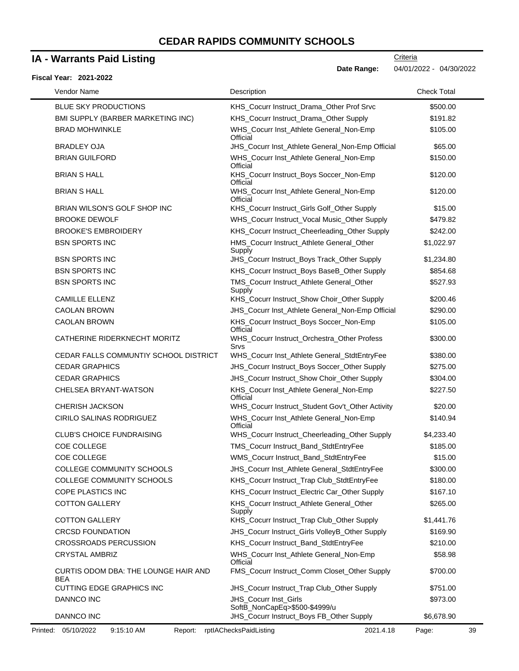### **IA - Warrants Paid Listing**

#### **Fiscal Year: 2021-2022**

**Date Range:** 04/01/2022 - 04/30/2022

**Criteria** 

| Vendor Name                                 | Description                                            | <b>Check Total</b> |
|---------------------------------------------|--------------------------------------------------------|--------------------|
| <b>BLUE SKY PRODUCTIONS</b>                 | KHS_Cocurr Instruct_Drama_Other Prof Srvc              | \$500.00           |
| BMI SUPPLY (BARBER MARKETING INC)           | KHS_Cocurr Instruct_Drama_Other Supply                 | \$191.82           |
| <b>BRAD MOHWINKLE</b>                       | WHS_Cocurr Inst_Athlete General_Non-Emp<br>Official    | \$105.00           |
| BRADLEY OJA                                 | JHS_Cocurr Inst_Athlete General_Non-Emp Official       | \$65.00            |
| <b>BRIAN GUILFORD</b>                       | WHS_Cocurr Inst_Athlete General_Non-Emp<br>Official    | \$150.00           |
| <b>BRIAN S HALL</b>                         | KHS_Cocurr Instruct_Boys Soccer_Non-Emp<br>Official    | \$120.00           |
| <b>BRIAN S HALL</b>                         | WHS_Cocurr Inst_Athlete General_Non-Emp<br>Official    | \$120.00           |
| BRIAN WILSON'S GOLF SHOP INC                | KHS_Cocurr Instruct_Girls Golf_Other Supply            | \$15.00            |
| <b>BROOKE DEWOLF</b>                        | WHS_Cocurr Instruct_Vocal Music_Other Supply           | \$479.82           |
| <b>BROOKE'S EMBROIDERY</b>                  | KHS_Cocurr Instruct_Cheerleading_Other Supply          | \$242.00           |
| <b>BSN SPORTS INC</b>                       | HMS_Cocurr Instruct_Athlete General_Other<br>Supply    | \$1,022.97         |
| <b>BSN SPORTS INC</b>                       | JHS_Cocurr Instruct_Boys Track_Other Supply            | \$1,234.80         |
| <b>BSN SPORTS INC</b>                       | KHS_Cocurr Instruct_Boys BaseB_Other Supply            | \$854.68           |
| <b>BSN SPORTS INC</b>                       | TMS_Cocurr Instruct_Athlete General_Other<br>Supply    | \$527.93           |
| <b>CAMILLE ELLENZ</b>                       | KHS_Cocurr Instruct_Show Choir_Other Supply            | \$200.46           |
| <b>CAOLAN BROWN</b>                         | JHS_Cocurr Inst_Athlete General_Non-Emp Official       | \$290.00           |
| <b>CAOLAN BROWN</b>                         | KHS_Cocurr Instruct_Boys Soccer_Non-Emp<br>Official    | \$105.00           |
| CATHERINE RIDERKNECHT MORITZ                | WHS_Cocurr Instruct_Orchestra_Other Profess<br>Srvs    | \$300.00           |
| CEDAR FALLS COMMUNTIY SCHOOL DISTRICT       | WHS_Cocurr Inst_Athlete General_StdtEntryFee           | \$380.00           |
| <b>CEDAR GRAPHICS</b>                       | JHS_Cocurr Instruct_Boys Soccer_Other Supply           | \$275.00           |
| <b>CEDAR GRAPHICS</b>                       | JHS_Cocurr Instruct_Show Choir_Other Supply            | \$304.00           |
| CHELSEA BRYANT-WATSON                       | KHS_Cocurr Inst_Athlete General_Non-Emp<br>Official    | \$227.50           |
| <b>CHERISH JACKSON</b>                      | WHS_Cocurr Instruct_Student Gov't_Other Activity       | \$20.00            |
| CIRILO SALINAS RODRIGUEZ                    | WHS_Cocurr Inst_Athlete General_Non-Emp<br>Official    | \$140.94           |
| <b>CLUB'S CHOICE FUNDRAISING</b>            | WHS_Cocurr Instruct_Cheerleading_Other Supply          | \$4,233.40         |
| COE COLLEGE                                 | TMS_Cocurr Instruct_Band_StdtEntryFee                  | \$185.00           |
| COE COLLEGE                                 | WMS_Cocurr Instruct_Band_StdtEntryFee                  | \$15.00            |
| COLLEGE COMMUNITY SCHOOLS                   | JHS_Cocurr Inst_Athlete General_StdtEntryFee           | \$300.00           |
| <b>COLLEGE COMMUNITY SCHOOLS</b>            | KHS_Cocurr Instruct_Trap Club_StdtEntryFee             | \$180.00           |
| COPE PLASTICS INC                           | KHS_Cocurr Instruct_Electric Car_Other Supply          | \$167.10           |
| <b>COTTON GALLERY</b>                       | KHS_Cocurr Instruct_Athlete General_Other<br>Supply    | \$265.00           |
| <b>COTTON GALLERY</b>                       | KHS_Cocurr Instruct_Trap Club_Other Supply             | \$1,441.76         |
| <b>CRCSD FOUNDATION</b>                     | JHS_Cocurr Instruct_Girls VolleyB_Other Supply         | \$169.90           |
| <b>CROSSROADS PERCUSSION</b>                | KHS_Cocurr Instruct_Band_StdtEntryFee                  | \$210.00           |
| <b>CRYSTAL AMBRIZ</b>                       | WHS_Cocurr Inst_Athlete General_Non-Emp<br>Official    | \$58.98            |
| CURTIS ODOM DBA: THE LOUNGE HAIR AND<br>BEA | FMS_Cocurr Instruct_Comm Closet_Other Supply           | \$700.00           |
| CUTTING EDGE GRAPHICS INC                   | JHS_Cocurr Instruct_Trap Club_Other Supply             | \$751.00           |
| DANNCO INC                                  | JHS_Cocurr Inst_Girls<br>SoftB_NonCapEq>\$500-\$4999/u | \$973.00           |
| DANNCO INC                                  | JHS_Cocurr Instruct_Boys FB_Other Supply               | \$6,678.90         |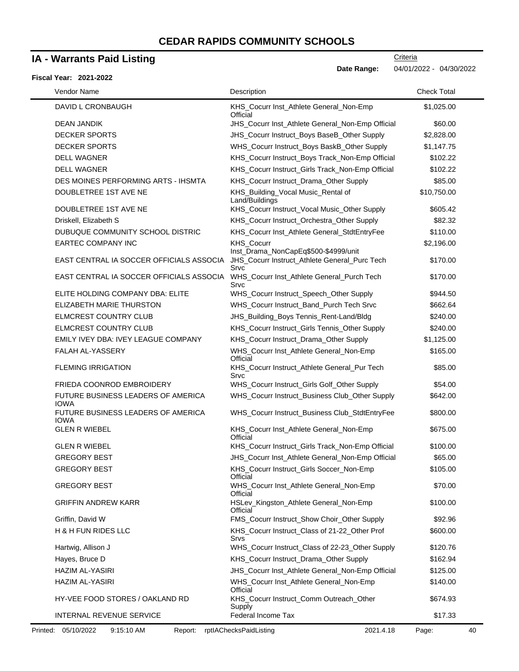# **IA - Warrants Paid Listing**

|                                                   | Date Range:                                                                                   | 04/01/2022 - 04/30/2022 |
|---------------------------------------------------|-----------------------------------------------------------------------------------------------|-------------------------|
| Fiscal Year: 2021-2022                            |                                                                                               |                         |
| Vendor Name                                       | Description                                                                                   | <b>Check Total</b>      |
| DAVID L CRONBAUGH                                 | KHS_Cocurr Inst_Athlete General_Non-Emp<br>Official                                           | \$1,025.00              |
| DEAN JANDIK                                       | JHS_Cocurr Inst_Athlete General_Non-Emp Official                                              | \$60.00                 |
| <b>DECKER SPORTS</b>                              | JHS_Cocurr Instruct_Boys BaseB_Other Supply                                                   | \$2,828.00              |
| <b>DECKER SPORTS</b>                              | WHS_Cocurr Instruct_Boys BaskB_Other Supply                                                   | \$1,147.75              |
| <b>DELL WAGNER</b>                                | KHS_Cocurr Instruct_Boys Track_Non-Emp Official                                               | \$102.22                |
| <b>DELL WAGNER</b>                                | KHS_Cocurr Instruct_Girls Track_Non-Emp Official                                              | \$102.22                |
| DES MOINES PERFORMING ARTS - IHSMTA               | KHS_Cocurr Instruct_Drama_Other Supply                                                        | \$85.00                 |
| DOUBLETREE 1ST AVE NE                             | KHS_Building_Vocal Music_Rental of<br>Land/Buildings                                          | \$10,750.00             |
| DOUBLETREE 1ST AVE NE                             | KHS_Cocurr Instruct_Vocal Music_Other Supply                                                  | \$605.42                |
| Driskell, Elizabeth S                             | KHS_Cocurr Instruct_Orchestra_Other Supply                                                    | \$82.32                 |
| DUBUQUE COMMUNITY SCHOOL DISTRIC                  | KHS_Cocurr Inst_Athlete General_StdtEntryFee                                                  | \$110.00                |
| <b>EARTEC COMPANY INC</b>                         | <b>KHS Cocurr</b>                                                                             | \$2,196.00              |
| EAST CENTRAL IA SOCCER OFFICIALS ASSOCIA          | Inst_Drama_NonCapEq\$500-\$4999/unit<br>JHS_Cocurr Instruct_Athlete General_Purc Tech<br>Srvc | \$170.00                |
| EAST CENTRAL IA SOCCER OFFICIALS ASSOCIA          | WHS_Cocurr Inst_Athlete General_Purch Tech<br>Srvc                                            | \$170.00                |
| ELITE HOLDING COMPANY DBA: ELITE                  | WHS_Cocurr Instruct_Speech_Other Supply                                                       | \$944.50                |
| ELIZABETH MARIE THURSTON                          | WHS_Cocurr Instruct_Band_Purch Tech Srvc                                                      | \$662.64                |
| ELMCREST COUNTRY CLUB                             | JHS_Building_Boys Tennis_Rent-Land/Bldg                                                       | \$240.00                |
| ELMCREST COUNTRY CLUB                             | KHS_Cocurr Instruct_Girls Tennis_Other Supply                                                 | \$240.00                |
| EMILY IVEY DBA: IVEY LEAGUE COMPANY               | KHS_Cocurr Instruct_Drama_Other Supply                                                        | \$1,125.00              |
| FALAH AL-YASSERY                                  | WHS_Cocurr Inst_Athlete General_Non-Emp<br>Official                                           | \$165.00                |
| <b>FLEMING IRRIGATION</b>                         | KHS_Cocurr Instruct_Athlete General_Pur Tech<br>Srvc                                          | \$85.00                 |
| FRIEDA COONROD EMBROIDERY                         | WHS_Cocurr Instruct_Girls Golf_Other Supply                                                   | \$54.00                 |
| FUTURE BUSINESS LEADERS OF AMERICA<br><b>IOWA</b> | WHS_Cocurr Instruct_Business Club_Other Supply                                                | \$642.00                |
| FUTURE BUSINESS LEADERS OF AMERICA<br><b>IOWA</b> | WHS_Cocurr Instruct_Business Club_StdtEntryFee                                                | \$800.00                |
| <b>GLEN R WIEBEL</b>                              | KHS_Cocurr Inst_Athlete General_Non-Emp<br>Official                                           | \$675.00                |
| <b>GLEN R WIEBEL</b>                              | KHS_Cocurr Instruct_Girls Track_Non-Emp Official                                              | \$100.00                |
| <b>GREGORY BEST</b>                               | JHS_Cocurr Inst_Athlete General_Non-Emp Official                                              | \$65.00                 |
| <b>GREGORY BEST</b>                               | KHS_Cocurr Instruct_Girls Soccer_Non-Emp<br>Official                                          | \$105.00                |
| <b>GREGORY BEST</b>                               | WHS_Cocurr Inst_Athlete General_Non-Emp<br>Official                                           | \$70.00                 |
| <b>GRIFFIN ANDREW KARR</b>                        | HSLev_Kingston_Athlete General_Non-Emp<br>Official                                            | \$100.00                |
| Griffin, David W                                  | FMS_Cocurr Instruct_Show Choir_Other Supply                                                   | \$92.96                 |
| H & H FUN RIDES LLC                               | KHS_Cocurr Instruct_Class of 21-22_Other Prof<br>Srvs                                         | \$600.00                |
| Hartwig, Allison J                                | WHS_Cocurr Instruct_Class of 22-23_Other Supply                                               | \$120.76                |
| Hayes, Bruce D                                    | KHS_Cocurr Instruct_Drama_Other Supply                                                        | \$162.94                |
| <b>HAZIM AL-YASIRI</b>                            | JHS_Cocurr Inst_Athlete General_Non-Emp Official                                              | \$125.00                |
| <b>HAZIM AL-YASIRI</b>                            | WHS_Cocurr Inst_Athlete General_Non-Emp<br>Official                                           | \$140.00                |
| HY-VEE FOOD STORES / OAKLAND RD                   | KHS_Cocurr Instruct_Comm Outreach_Other<br>Supply                                             | \$674.93                |
| INTERNAL REVENUE SERVICE                          | Federal Income Tax                                                                            | \$17.33                 |

**Criteria**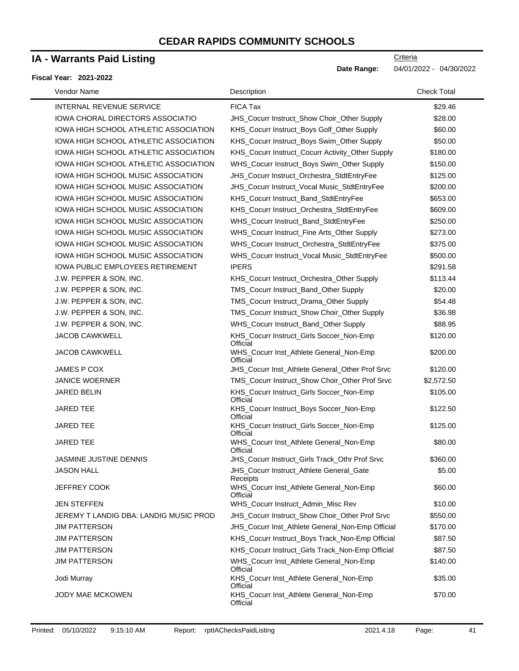### **IA - Warrants Paid Listing**

#### **Fiscal Year: 2021-2022**

 $\blacksquare$ 

| Vendor Name                               | Description                                          | <b>Check Total</b> |
|-------------------------------------------|------------------------------------------------------|--------------------|
| <b>INTERNAL REVENUE SERVICE</b>           | <b>FICA Tax</b>                                      | \$29.46            |
| IOWA CHORAL DIRECTORS ASSOCIATIO          | JHS_Cocurr Instruct_Show Choir_Other Supply          | \$28.00            |
| IOWA HIGH SCHOOL ATHLETIC ASSOCIATION     | KHS_Cocurr Instruct_Boys Golf_Other Supply           | \$60.00            |
| IOWA HIGH SCHOOL ATHLETIC ASSOCIATION     | KHS_Cocurr Instruct_Boys Swim_Other Supply           | \$50.00            |
| IOWA HIGH SCHOOL ATHLETIC ASSOCIATION     | KHS_Cocurr Instruct_Cocurr Activity_Other Supply     | \$180.00           |
| IOWA HIGH SCHOOL ATHLETIC ASSOCIATION     | WHS_Cocurr Instruct_Boys Swim_Other Supply           | \$150.00           |
| IOWA HIGH SCHOOL MUSIC ASSOCIATION        | JHS_Cocurr Instruct_Orchestra_StdtEntryFee           | \$125.00           |
| IOWA HIGH SCHOOL MUSIC ASSOCIATION        | JHS_Cocurr Instruct_Vocal Music_StdtEntryFee         | \$200.00           |
| <b>IOWA HIGH SCHOOL MUSIC ASSOCIATION</b> | KHS_Cocurr Instruct_Band_StdtEntryFee                | \$653.00           |
| IOWA HIGH SCHOOL MUSIC ASSOCIATION        | KHS_Cocurr Instruct_Orchestra_StdtEntryFee           | \$609.00           |
| IOWA HIGH SCHOOL MUSIC ASSOCIATION        | WHS_Cocurr Instruct_Band_StdtEntryFee                | \$250.00           |
| IOWA HIGH SCHOOL MUSIC ASSOCIATION        | WHS_Cocurr Instruct_Fine Arts_Other Supply           | \$273.00           |
| IOWA HIGH SCHOOL MUSIC ASSOCIATION        | WHS_Cocurr Instruct_Orchestra_StdtEntryFee           | \$375.00           |
| IOWA HIGH SCHOOL MUSIC ASSOCIATION        | WHS_Cocurr Instruct_Vocal Music_StdtEntryFee         | \$500.00           |
| <b>IOWA PUBLIC EMPLOYEES RETIREMENT</b>   | <b>IPERS</b>                                         | \$291.58           |
| J.W. PEPPER & SON, INC.                   | KHS_Cocurr Instruct_Orchestra_Other Supply           | \$113.44           |
| J.W. PEPPER & SON, INC.                   | TMS_Cocurr Instruct_Band_Other Supply                | \$20.00            |
| J.W. PEPPER & SON, INC.                   | TMS_Cocurr Instruct_Drama_Other Supply               | \$54.48            |
| J.W. PEPPER & SON, INC.                   | TMS_Cocurr Instruct_Show Choir_Other Supply          | \$36.98            |
| J.W. PEPPER & SON, INC.                   | WHS_Cocurr Instruct_Band_Other Supply                | \$88.95            |
| <b>JACOB CAWKWELL</b>                     | KHS_Cocurr Instruct_Girls Soccer_Non-Emp<br>Official | \$120.00           |
| JACOB CAWKWELL                            | WHS_Cocurr Inst_Athlete General_Non-Emp<br>Official  | \$200.00           |
| JAMES P COX                               | JHS_Cocurr Inst_Athlete General_Other Prof Srvc      | \$120.00           |
| <b>JANICE WOERNER</b>                     | TMS_Cocurr Instruct_Show Choir_Other Prof Srvc       | \$2,572.50         |
| <b>JARED BELIN</b>                        | KHS_Cocurr Instruct_Girls Soccer_Non-Emp<br>Official | \$105.00           |
| <b>JARED TEE</b>                          | KHS Cocurr Instruct Boys Soccer Non-Emp<br>Official  | \$122.50           |
| JARED TEE                                 | KHS_Cocurr Instruct_Girls Soccer_Non-Emp<br>Official | \$125.00           |
| JARED TEE                                 | WHS_Cocurr Inst_Athlete General_Non-Emp<br>Official  | \$80.00            |
| JASMINE JUSTINE DENNIS                    | JHS_Cocurr Instruct_Girls Track_Othr Prof Srvc       | \$360.00           |
| JASON HALL                                | JHS_Cocurr Instruct_Athlete General_Gate<br>Receipts | \$5.00             |
| <b>JEFFREY COOK</b>                       | WHS_Cocurr Inst_Athlete General_Non-Emp<br>Official  | \$60.00            |
| JEN STEFFEN                               | WHS_Cocurr Instruct_Admin_Misc Rev                   | \$10.00            |
| JEREMY T LANDIG DBA: LANDIG MUSIC PROD    | JHS_Cocurr Instruct_Show Choir_Other Prof Srvc       | \$550.00           |
| <b>JIM PATTERSON</b>                      | JHS_Cocurr Inst_Athlete General_Non-Emp Official     | \$170.00           |
| <b>JIM PATTERSON</b>                      | KHS_Cocurr Instruct_Boys Track_Non-Emp Official      | \$87.50            |
| JIM PATTERSON                             | KHS_Cocurr Instruct_Girls Track_Non-Emp Official     | \$87.50            |
| <b>JIM PATTERSON</b>                      | WHS_Cocurr Inst_Athlete General_Non-Emp<br>Official  | \$140.00           |
| Jodi Murray                               | KHS_Cocurr Inst_Athlete General_Non-Emp<br>Official  | \$35.00            |
| <b>JODY MAE MCKOWEN</b>                   | KHS_Cocurr Inst_Athlete General_Non-Emp<br>Official  | \$70.00            |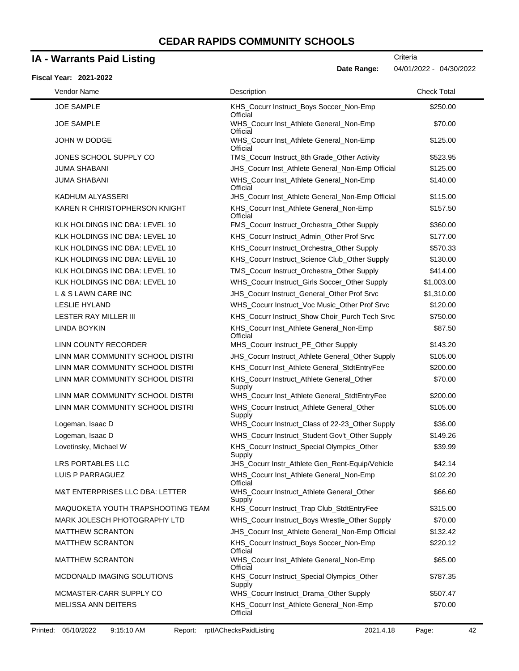### **IA - Warrants Paid Listing**

#### JOE SAMPLE KHS\_Cocurr Instruct\_Boys Soccer\_Non-Emp **Official** \$250.00 JOE SAMPLE WHS\_Cocurr Inst\_Athlete General\_Non-Emp **Official** \$70.00 JOHN W DODGE WHS\_Cocurr Inst\_Athlete General\_Non-Emp **Official** \$125.00 JONES SCHOOL SUPPLY CO TMS Cocurr Instruct 8th Grade Other Activity \$523.95 JUMA SHABANI JHS\_Cocurr Inst\_Athlete General\_Non-Emp Official \$125.00 JUMA SHABANI **WHS** Cocurr Inst Athlete General Non-Emp **Official** \$140.00 KADHUM ALYASSERI **Matu and Accord TEST Continues Institute Athlete General\_Non-Emp Official \$115.00** KAREN R CHRISTOPHERSON KNIGHT KHS\_Cocurr Inst\_Athlete General\_Non-Emp **Official** \$157.50 KLK HOLDINGS INC DBA: LEVEL 10 FMS\_Cocurr Instruct\_Orchestra\_Other Supply \$360.00 KLK HOLDINGS INC DBA: LEVEL 10 KHS\_Cocurr Instruct\_Admin\_Other Prof Srvc \$177.00 KLK HOLDINGS INC DBA: LEVEL 10 KHS\_Cocurr Instruct\_Orchestra\_Other Supply \$570.33 KLK HOLDINGS INC DBA: LEVEL 10 KHS Cocurr Instruct Science Club Other Supply \$130.00 KLK HOLDINGS INC DBA: LEVEL 10 TMS\_Cocurr Instruct\_Orchestra\_Other Supply \$414.00 KLK HOLDINGS INC DBA: LEVEL 10 WHS Cocurr Instruct Girls Soccer Other Supply \$1,003.00 L & S LAWN CARE INC JHS\_Cocurr Instruct\_General\_Other Prof Srvc \$1,310.00 LESLIE HYLAND **EXAMPLE STATES WHS** Cocurr Instruct\_Voc Music\_Other Prof Srvc \$120.00 LESTER RAY MILLER III **KHS\_Cocurr Instruct\_Show Choir\_Purch Tech Srvc** \$750.00 LINDA BOYKIN **KHS** Cocurr Inst Athlete General Non-Emp **Official** \$87.50 LINN COUNTY RECORDER MHS\_Cocurr Instruct\_PE\_Other Supply \$143.20 LINN MAR COMMUNITY SCHOOL DISTRI JHS\_Cocurr Instruct\_Athlete General\_Other Supply \$105.00 LINN MAR COMMUNITY SCHOOL DISTRI KHS\_Cocurr Inst\_Athlete General\_StdtEntryFee \$200.00 LINN MAR COMMUNITY SCHOOL DISTRI KHS\_Cocurr Instruct\_Athlete General\_Other **Supply** \$70.00 LINN MAR COMMUNITY SCHOOL DISTRI WHS\_Cocurr Inst\_Athlete General\_StdtEntryFee \$200.00 LINN MAR COMMUNITY SCHOOL DISTRI WHS\_Cocurr Instruct\_Athlete General\_Other Supply \$105.00 Logeman, Isaac D **Example 20 Strategier Securr Instruct\_Class of 22-23\_Other Supply \$36.00** Logeman, Isaac D **WHS** Cocurr Instruct Student Gov't Other Supply \$149.26 Lovetinsky, Michael W KHS\_Cocurr Instruct\_Special Olympics\_Other Supply \$39.99 LRS PORTABLES LLC **All and Accord Containstive Containstive Containstive Centricate Centricate Containstive Conta** LUIS P PARRAGUEZ WHS\_Cocurr Inst\_Athlete General\_Non-Emp **Official** \$102.20 M&T ENTERPRISES LLC DBA: LETTER WHS\_Cocurr Instruct\_Athlete General\_Other Supply \$66.60 MAQUOKETA YOUTH TRAPSHOOTING TEAM KHS\_Cocurr Instruct\_Trap Club\_StdtEntryFee \$315.00 MARK JOLESCH PHOTOGRAPHY LTD WHS\_Cocurr Instruct\_Boys Wrestle\_Other Supply \$70.00 MATTHEW SCRANTON **MATTHEW SCRANTON** JHS\_Cocurr Inst\_Athlete General\_Non-Emp Official \$132.42 MATTHEW SCRANTON KHS\_Cocurr Instruct\_Boys Soccer\_Non-Emp **Official** \$220.12 MATTHEW SCRANTON WHS\_Cocurr Inst\_Athlete General\_Non-Emp **Official** \$65.00 MCDONALD IMAGING SOLUTIONS KHS\_Cocurr Instruct\_Special Olympics\_Other Supply \$787.35 **Fiscal Year: 2021-2022 Date Range:** 04/01/2022 - 04/30/2022 Vendor Name **Description** Check Total Description Check Total Description Check Total Description Check Total Description

MCMASTER-CARR SUPPLY CO WHS\_Cocurr Instruct\_Drama\_Other Supply \$507.47 MELISSA ANN DEITERS **KHS\_Cocurr Inst\_Athlete General\_Non-Emp** 

**Official** 

**Criteria** 

\$70.00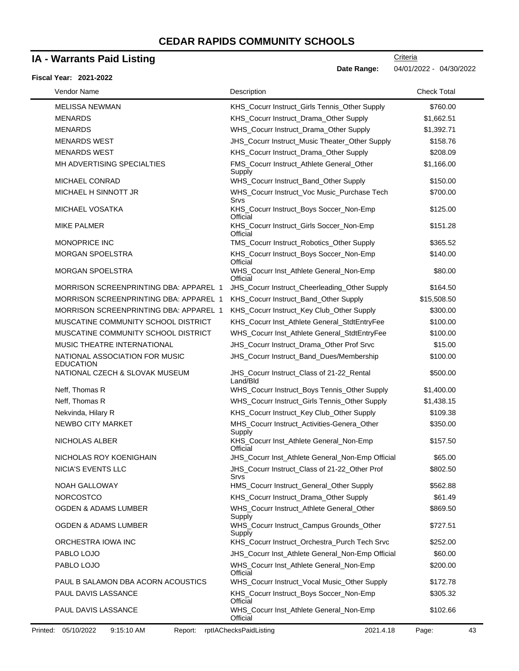# **IA - Warrants Paid Listing**

#### **Fiscal Year: 2021-2022**

**Criteria** 

**Date Range:** 04/01/2022 - 04/30/2022

| Vendor Name                                        | Description                                           | <b>Check Total</b> |
|----------------------------------------------------|-------------------------------------------------------|--------------------|
| <b>MELISSA NEWMAN</b>                              | KHS_Cocurr Instruct_Girls Tennis_Other Supply         | \$760.00           |
| <b>MENARDS</b>                                     | KHS_Cocurr Instruct_Drama_Other Supply                | \$1,662.51         |
| <b>MENARDS</b>                                     | WHS_Cocurr Instruct_Drama_Other Supply                | \$1,392.71         |
| <b>MENARDS WEST</b>                                | JHS_Cocurr Instruct_Music Theater_Other Supply        | \$158.76           |
| <b>MENARDS WEST</b>                                | KHS_Cocurr Instruct_Drama_Other Supply                | \$208.09           |
| MH ADVERTISING SPECIALTIES                         | FMS_Cocurr Instruct_Athlete General_Other<br>Supply   | \$1,166.00         |
| <b>MICHAEL CONRAD</b>                              | WHS_Cocurr Instruct_Band_Other Supply                 | \$150.00           |
| MICHAEL H SINNOTT JR                               | WHS_Cocurr Instruct_Voc Music_Purchase Tech<br>Srvs   | \$700.00           |
| MICHAEL VOSATKA                                    | KHS_Cocurr Instruct_Boys Soccer_Non-Emp<br>Official   | \$125.00           |
| <b>MIKE PALMER</b>                                 | KHS_Cocurr Instruct_Girls Soccer_Non-Emp<br>Official  | \$151.28           |
| <b>MONOPRICE INC</b>                               | TMS_Cocurr Instruct_Robotics_Other Supply             | \$365.52           |
| <b>MORGAN SPOELSTRA</b>                            | KHS_Cocurr Instruct_Boys Soccer_Non-Emp<br>Official   | \$140.00           |
| <b>MORGAN SPOELSTRA</b>                            | WHS_Cocurr Inst_Athlete General_Non-Emp<br>Official   | \$80.00            |
| MORRISON SCREENPRINTING DBA: APPAREL 1             | JHS_Cocurr Instruct_Cheerleading_Other Supply         | \$164.50           |
| <b>MORRISON SCREENPRINTING DBA: APPAREL 1</b>      | KHS_Cocurr Instruct_Band_Other Supply                 | \$15,508.50        |
| <b>MORRISON SCREENPRINTING DBA: APPAREL 1</b>      | KHS_Cocurr Instruct_Key Club_Other Supply             | \$300.00           |
| MUSCATINE COMMUNITY SCHOOL DISTRICT                | KHS_Cocurr Inst_Athlete General_StdtEntryFee          | \$100.00           |
| MUSCATINE COMMUNITY SCHOOL DISTRICT                | WHS_Cocurr Inst_Athlete General_StdtEntryFee          | \$100.00           |
| MUSIC THEATRE INTERNATIONAL                        | JHS_Cocurr Instruct_Drama_Other Prof Srvc             | \$15.00            |
| NATIONAL ASSOCIATION FOR MUSIC<br><b>EDUCATION</b> | JHS_Cocurr Instruct_Band_Dues/Membership              | \$100.00           |
| NATIONAL CZECH & SLOVAK MUSEUM                     | JHS_Cocurr Instruct_Class of 21-22_Rental<br>Land/Bld | \$500.00           |
| Neff, Thomas R                                     | WHS_Cocurr Instruct_Boys Tennis_Other Supply          | \$1,400.00         |
| Neff, Thomas R                                     | WHS_Cocurr Instruct_Girls Tennis_Other Supply         | \$1,438.15         |
| Nekvinda, Hilary R                                 | KHS_Cocurr Instruct_Key Club_Other Supply             | \$109.38           |
| NEWBO CITY MARKET                                  | MHS_Cocurr Instruct_Activities-Genera_Other<br>Supply | \$350.00           |
| NICHOLAS ALBER                                     | KHS_Cocurr Inst_Athlete General_Non-Emp<br>Official   | \$157.50           |
| NICHOLAS ROY KOENIGHAIN                            | JHS_Cocurr Inst_Athlete General_Non-Emp Official      | \$65.00            |
| NICIA'S EVENTS LLC                                 | JHS_Cocurr Instruct_Class of 21-22_Other Prof<br>Srvs | \$802.50           |
| NOAH GALLOWAY                                      | HMS_Cocurr Instruct_General_Other Supply              | \$562.88           |
| <b>NORCOSTCO</b>                                   | KHS_Cocurr Instruct_Drama_Other Supply                | \$61.49            |
| <b>OGDEN &amp; ADAMS LUMBER</b>                    | WHS_Cocurr Instruct_Athlete General_Other<br>Supply   | \$869.50           |
| OGDEN & ADAMS LUMBER                               | WHS_Cocurr Instruct_Campus Grounds_Other<br>Supply    | \$727.51           |
| ORCHESTRA IOWA INC                                 | KHS_Cocurr Instruct_Orchestra_Purch Tech Srvc         | \$252.00           |
| PABLO LOJO                                         | JHS_Cocurr Inst_Athlete General_Non-Emp Official      | \$60.00            |
| PABLO LOJO                                         | WHS_Cocurr Inst_Athlete General_Non-Emp<br>Official   | \$200.00           |
| PAUL B SALAMON DBA ACORN ACOUSTICS                 | WHS_Cocurr Instruct_Vocal Music_Other Supply          | \$172.78           |
| PAUL DAVIS LASSANCE                                | KHS_Cocurr Instruct_Boys Soccer_Non-Emp<br>Official   | \$305.32           |
| PAUL DAVIS LASSANCE                                | WHS_Cocurr Inst_Athlete General_Non-Emp<br>Official   | \$102.66           |
| 05/10/2022<br>9:15:10 AM<br>Printed:<br>Report:    | rptlAChecksPaidListing<br>2021.4.18                   | Page:              |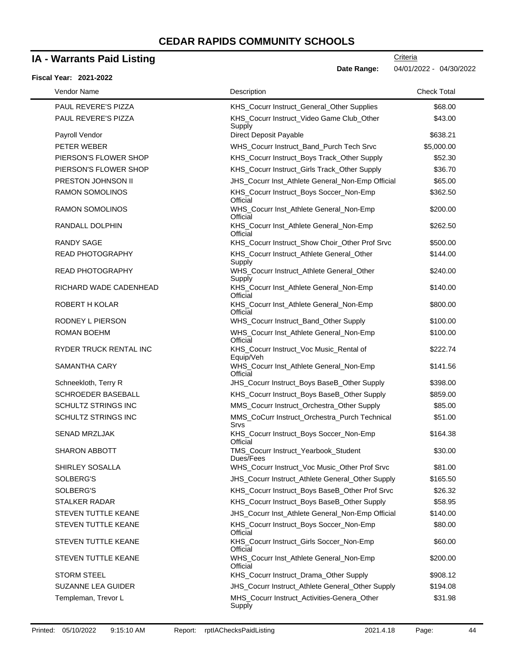### **IA - Warrants Paid Listing**

#### **Fiscal Year: 2021-2022**

| Vendor Name                                      | Description                                                                                     | <b>Check Total</b>   |
|--------------------------------------------------|-------------------------------------------------------------------------------------------------|----------------------|
| <b>PAUL REVERE'S PIZZA</b>                       | KHS_Cocurr Instruct_General_Other Supplies                                                      | \$68.00              |
| PAUL REVERE'S PIZZA                              | KHS_Cocurr Instruct_Video Game Club_Other<br>Supply                                             | \$43.00              |
| Payroll Vendor                                   | Direct Deposit Payable                                                                          | \$638.21             |
| PETER WEBER                                      | WHS_Cocurr Instruct_Band_Purch Tech Srvc                                                        | \$5,000.00           |
| PIERSON'S FLOWER SHOP                            | KHS_Cocurr Instruct_Boys Track_Other Supply                                                     | \$52.30              |
| PIERSON'S FLOWER SHOP                            | KHS_Cocurr Instruct_Girls Track_Other Supply                                                    | \$36.70              |
| PRESTON JOHNSON II                               | JHS_Cocurr Inst_Athlete General_Non-Emp Official                                                | \$65.00              |
| <b>RAMON SOMOLINOS</b>                           | KHS_Cocurr Instruct_Boys Soccer_Non-Emp<br>Official                                             | \$362.50             |
| RAMON SOMOLINOS                                  | WHS_Cocurr Inst_Athlete General_Non-Emp<br>Official                                             | \$200.00             |
| RANDALL DOLPHIN                                  | KHS_Cocurr Inst_Athlete General_Non-Emp<br>Official                                             | \$262.50             |
| <b>RANDY SAGE</b>                                | KHS_Cocurr Instruct_Show Choir_Other Prof Srvc                                                  | \$500.00             |
| <b>READ PHOTOGRAPHY</b>                          | KHS_Cocurr Instruct_Athlete General_Other<br>Supply                                             | \$144.00             |
| <b>READ PHOTOGRAPHY</b>                          | WHS_Cocurr Instruct_Athlete General_Other<br>Supply                                             | \$240.00             |
| RICHARD WADE CADENHEAD                           | KHS_Cocurr Inst_Athlete General_Non-Emp<br>Official                                             | \$140.00             |
| ROBERT H KOLAR                                   | KHS_Cocurr Inst_Athlete General_Non-Emp<br>Official                                             | \$800.00             |
| RODNEY L PIERSON                                 | WHS_Cocurr Instruct_Band_Other Supply                                                           | \$100.00             |
| <b>ROMAN BOEHM</b>                               | WHS_Cocurr Inst_Athlete General_Non-Emp<br>Official                                             | \$100.00             |
| RYDER TRUCK RENTAL INC<br>SAMANTHA CARY          | KHS_Cocurr Instruct_Voc Music_Rental of<br>Equip/Veh<br>WHS_Cocurr Inst_Athlete General_Non-Emp | \$222.74<br>\$141.56 |
|                                                  | Official                                                                                        |                      |
| Schneekloth, Terry R                             | JHS_Cocurr Instruct_Boys BaseB_Other Supply                                                     | \$398.00             |
| <b>SCHROEDER BASEBALL</b>                        | KHS_Cocurr Instruct_Boys BaseB_Other Supply                                                     | \$859.00             |
| <b>SCHULTZ STRINGS INC</b>                       | MMS_Cocurr Instruct_Orchestra_Other Supply                                                      | \$85.00              |
| SCHULTZ STRINGS INC                              | MMS_CoCurr Instruct_Orchestra_Purch Technical<br>Srvs                                           | \$51.00              |
| <b>SENAD MRZLJAK</b>                             | KHS_Cocurr Instruct_Boys Soccer_Non-Emp<br>Official                                             | \$164.38             |
| <b>SHARON ABBOTT</b>                             | TMS_Cocurr Instruct_Yearbook_Student<br>Dues/Fees                                               | \$30.00              |
| SHIRLEY SOSALLA                                  | WHS_Cocurr Instruct_Voc Music_Other Prof Srvc                                                   | \$81.00              |
| SOLBERG'S                                        | JHS_Cocurr Instruct_Athlete General_Other Supply                                                | \$165.50             |
| SOLBERG'S                                        | KHS_Cocurr Instruct_Boys BaseB_Other Prof Srvc                                                  | \$26.32              |
| <b>STALKER RADAR</b>                             | KHS_Cocurr Instruct_Boys BaseB_Other Supply                                                     | \$58.95              |
| <b>STEVEN TUTTLE KEANE</b>                       | JHS_Cocurr Inst_Athlete General_Non-Emp Official                                                | \$140.00             |
| <b>STEVEN TUTTLE KEANE</b>                       | KHS_Cocurr Instruct_Boys Soccer_Non-Emp<br>Official                                             | \$80.00              |
| <b>STEVEN TUTTLE KEANE</b>                       | KHS_Cocurr Instruct_Girls Soccer_Non-Emp<br>Official                                            | \$60.00              |
| STEVEN TUTTLE KEANE                              | WHS_Cocurr Inst_Athlete General_Non-Emp<br>Official                                             | \$200.00             |
| <b>STORM STEEL</b>                               | KHS_Cocurr Instruct_Drama_Other Supply                                                          | \$908.12             |
| <b>SUZANNE LEA GUIDER</b><br>Templeman, Trevor L | JHS_Cocurr Instruct_Athlete General_Other Supply<br>MHS_Cocurr Instruct_Activities-Genera_Other | \$194.08<br>\$31.98  |
|                                                  | Supply                                                                                          |                      |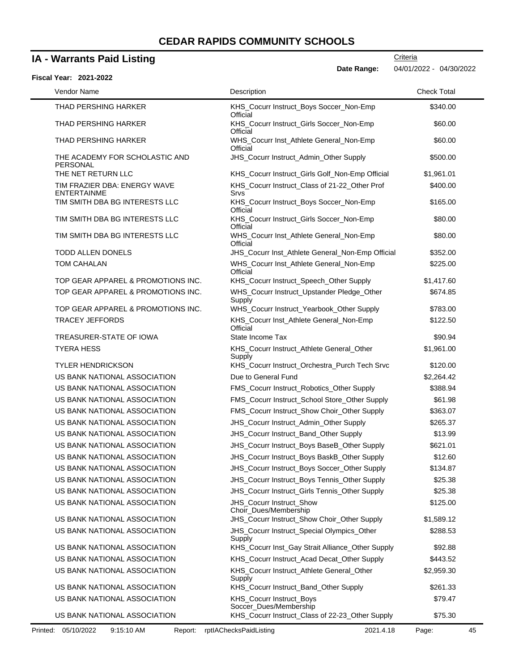# **IA - Warrants Paid Listing**

| <b>Fiscal Year: 2021-2022</b> |  |  |  |
|-------------------------------|--|--|--|
|-------------------------------|--|--|--|

| Vendor Name                                        | Description                                           | <b>Check Total</b> |
|----------------------------------------------------|-------------------------------------------------------|--------------------|
| THAD PERSHING HARKER                               | KHS_Cocurr Instruct_Boys Soccer_Non-Emp<br>Official   | \$340.00           |
| THAD PERSHING HARKER                               | KHS_Cocurr Instruct_Girls Soccer_Non-Emp<br>Official  | \$60.00            |
| THAD PERSHING HARKER                               | WHS_Cocurr Inst_Athlete General_Non-Emp<br>Official   | \$60.00            |
| THE ACADEMY FOR SCHOLASTIC AND<br>PERSONAL         | JHS_Cocurr Instruct_Admin_Other Supply                | \$500.00           |
| THE NET RETURN LLC                                 | KHS_Cocurr Instruct_Girls Golf_Non-Emp Official       | \$1,961.01         |
| TIM FRAZIER DBA: ENERGY WAVE<br><b>ENTERTAINME</b> | KHS_Cocurr Instruct_Class of 21-22_Other Prof<br>Srvs | \$400.00           |
| TIM SMITH DBA BG INTERESTS LLC                     | KHS_Cocurr Instruct_Boys Soccer_Non-Emp<br>Official   | \$165.00           |
| TIM SMITH DBA BG INTERESTS LLC                     | KHS_Cocurr Instruct_Girls Soccer_Non-Emp<br>Official  | \$80.00            |
| TIM SMITH DBA BG INTERESTS LLC                     | WHS_Cocurr Inst_Athlete General_Non-Emp<br>Official   | \$80.00            |
| <b>TODD ALLEN DONELS</b>                           | JHS_Cocurr Inst_Athlete General_Non-Emp Official      | \$352.00           |
| <b>TOM CAHALAN</b>                                 | WHS_Cocurr Inst_Athlete General_Non-Emp<br>Official   | \$225.00           |
| TOP GEAR APPAREL & PROMOTIONS INC.                 | KHS_Cocurr Instruct_Speech_Other Supply               | \$1,417.60         |
| TOP GEAR APPAREL & PROMOTIONS INC.                 | WHS_Cocurr Instruct_Upstander Pledge_Other<br>Supply  | \$674.85           |
| TOP GEAR APPAREL & PROMOTIONS INC.                 | WHS_Cocurr Instruct_Yearbook_Other Supply             | \$783.00           |
| <b>TRACEY JEFFORDS</b>                             | KHS_Cocurr Inst_Athlete General_Non-Emp<br>Official   | \$122.50           |
| TREASURER-STATE OF IOWA                            | State Income Tax                                      | \$90.94            |
| <b>TYERA HESS</b>                                  | KHS_Cocurr Instruct_Athlete General_Other<br>Supply   | \$1,961.00         |
| <b>TYLER HENDRICKSON</b>                           | KHS_Cocurr Instruct_Orchestra_Purch Tech Srvc         | \$120.00           |
| US BANK NATIONAL ASSOCIATION                       | Due to General Fund                                   | \$2,264.42         |
| US BANK NATIONAL ASSOCIATION                       | FMS_Cocurr Instruct_Robotics_Other Supply             | \$388.94           |
| US BANK NATIONAL ASSOCIATION                       | FMS_Cocurr Instruct_School Store_Other Supply         | \$61.98            |
| US BANK NATIONAL ASSOCIATION                       | FMS_Cocurr Instruct_Show Choir_Other Supply           | \$363.07           |
| US BANK NATIONAL ASSOCIATION                       | JHS_Cocurr Instruct_Admin_Other Supply                | \$265.37           |
| US BANK NATIONAL ASSOCIATION                       | JHS_Cocurr Instruct_Band_Other Supply                 | \$13.99            |
| US BANK NATIONAL ASSOCIATION                       | JHS_Cocurr Instruct_Boys BaseB_Other Supply           | \$621.01           |
| US BANK NATIONAL ASSOCIATION                       | JHS_Cocurr Instruct_Boys BaskB_Other Supply           | \$12.60            |
| US BANK NATIONAL ASSOCIATION                       | <b>JHS_Cocurr Instruct_Boys Soccer_Other Supply</b>   | \$134.87           |
| US BANK NATIONAL ASSOCIATION                       | JHS_Cocurr Instruct_Boys Tennis_Other Supply          | \$25.38            |
| US BANK NATIONAL ASSOCIATION                       | JHS_Cocurr Instruct_Girls Tennis_Other Supply         | \$25.38            |
| US BANK NATIONAL ASSOCIATION                       | JHS_Cocurr Instruct_Show<br>Choir_Dues/Membership     | \$125.00           |
| US BANK NATIONAL ASSOCIATION                       | JHS_Cocurr Instruct_Show Choir_Other Supply           | \$1,589.12         |
| US BANK NATIONAL ASSOCIATION                       | JHS_Cocurr Instruct_Special Olympics_Other<br>Supply  | \$288.53           |
| US BANK NATIONAL ASSOCIATION                       | KHS_Cocurr Inst_Gay Strait Alliance_Other Supply      | \$92.88            |
| US BANK NATIONAL ASSOCIATION                       | KHS_Cocurr Instruct_Acad Decat_Other Supply           | \$443.52           |
| US BANK NATIONAL ASSOCIATION                       | KHS_Cocurr Instruct_Athlete General_Other<br>Supply   | \$2,959.30         |
| US BANK NATIONAL ASSOCIATION                       | KHS_Cocurr Instruct_Band_Other Supply                 | \$261.33           |
| US BANK NATIONAL ASSOCIATION                       | KHS_Cocurr Instruct_Boys<br>Soccer_Dues/Membership    | \$79.47            |
| US BANK NATIONAL ASSOCIATION                       | KHS_Cocurr Instruct_Class of 22-23_Other Supply       | \$75.30            |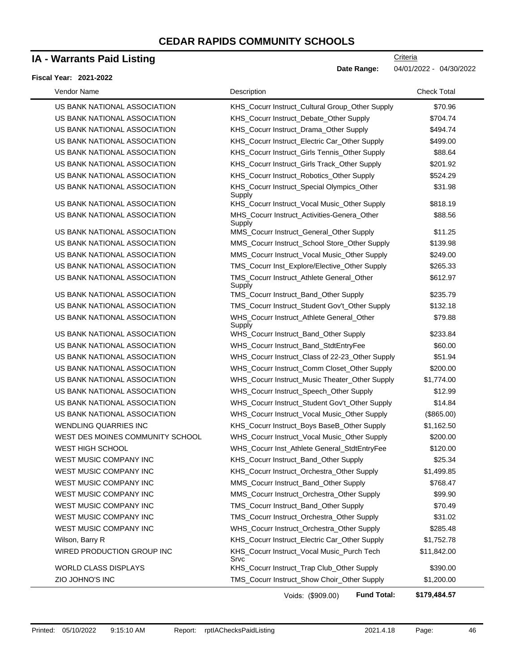### **IA - Warrants Paid Listing**

#### **Fiscal Year: 2021-2022**

Date Range: 04/01/2022 - 04/30/2022

**Criteria** 

| Vendor Name                      | Description                                           | <b>Check Total</b> |
|----------------------------------|-------------------------------------------------------|--------------------|
| US BANK NATIONAL ASSOCIATION     | KHS_Cocurr Instruct_Cultural Group_Other Supply       | \$70.96            |
| US BANK NATIONAL ASSOCIATION     | KHS_Cocurr Instruct_Debate_Other Supply               | \$704.74           |
| US BANK NATIONAL ASSOCIATION     | KHS_Cocurr Instruct_Drama_Other Supply                | \$494.74           |
| US BANK NATIONAL ASSOCIATION     | KHS_Cocurr Instruct_Electric Car_Other Supply         | \$499.00           |
| US BANK NATIONAL ASSOCIATION     | KHS_Cocurr Instruct_Girls Tennis_Other Supply         | \$88.64            |
| US BANK NATIONAL ASSOCIATION     | KHS_Cocurr Instruct_Girls Track_Other Supply          | \$201.92           |
| US BANK NATIONAL ASSOCIATION     | KHS_Cocurr Instruct_Robotics_Other Supply             | \$524.29           |
| US BANK NATIONAL ASSOCIATION     | KHS_Cocurr Instruct_Special Olympics_Other<br>Supply  | \$31.98            |
| US BANK NATIONAL ASSOCIATION     | KHS_Cocurr Instruct_Vocal Music_Other Supply          | \$818.19           |
| US BANK NATIONAL ASSOCIATION     | MHS_Cocurr Instruct_Activities-Genera_Other<br>Supply | \$88.56            |
| US BANK NATIONAL ASSOCIATION     | MMS_Cocurr Instruct_General_Other Supply              | \$11.25            |
| US BANK NATIONAL ASSOCIATION     | MMS_Cocurr Instruct_School Store_Other Supply         | \$139.98           |
| US BANK NATIONAL ASSOCIATION     | MMS_Cocurr Instruct_Vocal Music_Other Supply          | \$249.00           |
| US BANK NATIONAL ASSOCIATION     | TMS_Cocurr Inst_Explore/Elective_Other Supply         | \$265.33           |
| US BANK NATIONAL ASSOCIATION     | TMS_Cocurr Instruct_Athlete General_Other<br>Supply   | \$612.97           |
| US BANK NATIONAL ASSOCIATION     | TMS_Cocurr Instruct_Band_Other Supply                 | \$235.79           |
| US BANK NATIONAL ASSOCIATION     | TMS_Cocurr Instruct_Student Gov't_Other Supply        | \$132.18           |
| US BANK NATIONAL ASSOCIATION     | WHS_Cocurr Instruct_Athlete General_Other<br>Supply   | \$79.88            |
| US BANK NATIONAL ASSOCIATION     | WHS_Cocurr Instruct_Band_Other Supply                 | \$233.84           |
| US BANK NATIONAL ASSOCIATION     | WHS_Cocurr Instruct_Band_StdtEntryFee                 | \$60.00            |
| US BANK NATIONAL ASSOCIATION     | WHS_Cocurr Instruct_Class of 22-23_Other Supply       | \$51.94            |
| US BANK NATIONAL ASSOCIATION     | WHS_Cocurr Instruct_Comm Closet_Other Supply          | \$200.00           |
| US BANK NATIONAL ASSOCIATION     | WHS_Cocurr Instruct_Music Theater_Other Supply        | \$1,774.00         |
| US BANK NATIONAL ASSOCIATION     | WHS_Cocurr Instruct_Speech_Other Supply               | \$12.99            |
| US BANK NATIONAL ASSOCIATION     | WHS_Cocurr Instruct_Student Gov't_Other Supply        | \$14.84            |
| US BANK NATIONAL ASSOCIATION     | WHS_Cocurr Instruct_Vocal Music_Other Supply          | (\$865.00)         |
| <b>WENDLING QUARRIES INC</b>     | KHS_Cocurr Instruct_Boys BaseB_Other Supply           | \$1,162.50         |
| WEST DES MOINES COMMUNITY SCHOOL | WHS_Cocurr Instruct_Vocal Music_Other Supply          | \$200.00           |
| <b>WEST HIGH SCHOOL</b>          | WHS_Cocurr Inst_Athlete General_StdtEntryFee          | \$120.00           |
| WEST MUSIC COMPANY INC           | KHS_Cocurr Instruct_Band_Other Supply                 | \$25.34            |
| WEST MUSIC COMPANY INC           | KHS_Cocurr Instruct_Orchestra_Other Supply            | \$1,499.85         |
| WEST MUSIC COMPANY INC           | MMS_Cocurr Instruct_Band_Other Supply                 | \$768.47           |
| WEST MUSIC COMPANY INC           | MMS_Cocurr Instruct_Orchestra_Other Supply            | \$99.90            |
| WEST MUSIC COMPANY INC           | TMS_Cocurr Instruct_Band_Other Supply                 | \$70.49            |
| WEST MUSIC COMPANY INC           | TMS_Cocurr Instruct_Orchestra_Other Supply            | \$31.02            |
| <b>WEST MUSIC COMPANY INC</b>    | WHS_Cocurr Instruct_Orchestra_Other Supply            | \$285.48           |
| Wilson, Barry R                  | KHS_Cocurr Instruct_Electric Car_Other Supply         | \$1,752.78         |
| WIRED PRODUCTION GROUP INC       | KHS_Cocurr Instruct_Vocal Music_Purch Tech<br>Srvc    | \$11,842.00        |
| WORLD CLASS DISPLAYS             | KHS_Cocurr Instruct_Trap Club_Other Supply            | \$390.00           |
| ZIO JOHNO'S INC                  | TMS_Cocurr Instruct_Show Choir_Other Supply           | \$1,200.00         |

Voids: (\$909.00)

**Fund Total: \$179,484.57**